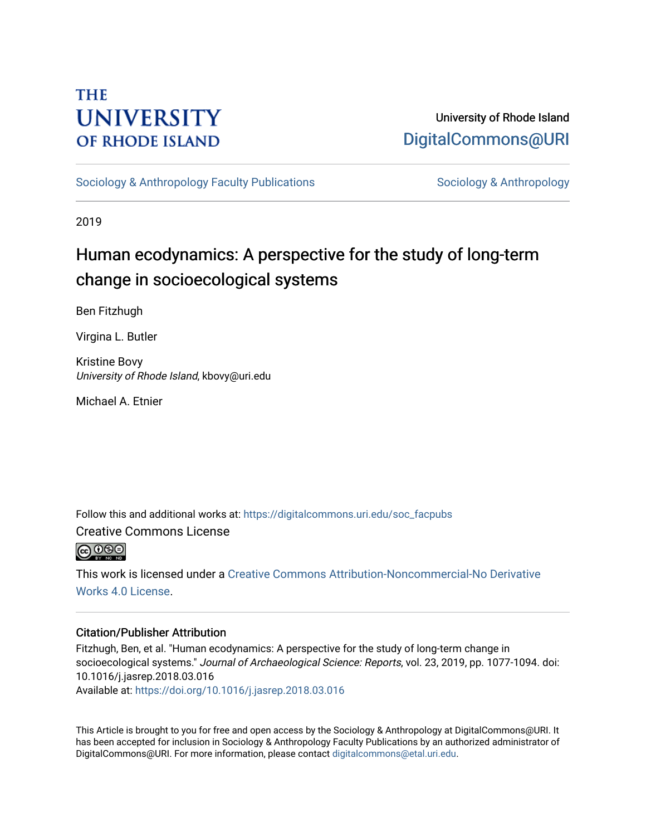# **THE UNIVERSITY OF RHODE ISLAND**

# University of Rhode Island [DigitalCommons@URI](https://digitalcommons.uri.edu/)

[Sociology & Anthropology Faculty Publications](https://digitalcommons.uri.edu/soc_facpubs) [Sociology & Anthropology](https://digitalcommons.uri.edu/soc) & Anthropology

2019

# Human ecodynamics: A perspective for the study of long-term change in socioecological systems

Ben Fitzhugh

Virgina L. Butler

Kristine Bovy University of Rhode Island, kbovy@uri.edu

Michael A. Etnier

Follow this and additional works at: [https://digitalcommons.uri.edu/soc\\_facpubs](https://digitalcommons.uri.edu/soc_facpubs?utm_source=digitalcommons.uri.edu%2Fsoc_facpubs%2F32&utm_medium=PDF&utm_campaign=PDFCoverPages)  Creative Commons License

 $\bigcirc$   $\bigcirc$   $\bigcirc$ 

This work is licensed under a [Creative Commons Attribution-Noncommercial-No Derivative](https://creativecommons.org/licenses/by-nc-nd/4.0/)  [Works 4.0 License](https://creativecommons.org/licenses/by-nc-nd/4.0/).

### Citation/Publisher Attribution

Fitzhugh, Ben, et al. "Human ecodynamics: A perspective for the study of long-term change in socioecological systems." Journal of Archaeological Science: Reports, vol. 23, 2019, pp. 1077-1094. doi: 10.1016/j.jasrep.2018.03.016

Available at:<https://doi.org/10.1016/j.jasrep.2018.03.016>

This Article is brought to you for free and open access by the Sociology & Anthropology at DigitalCommons@URI. It has been accepted for inclusion in Sociology & Anthropology Faculty Publications by an authorized administrator of DigitalCommons@URI. For more information, please contact [digitalcommons@etal.uri.edu.](mailto:digitalcommons@etal.uri.edu)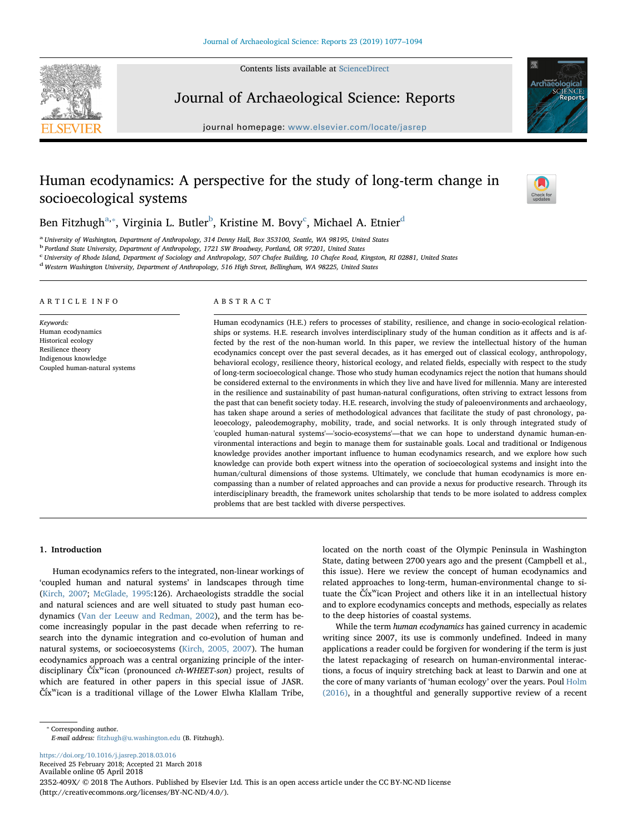Contents lists available at [ScienceDirect](http://www.sciencedirect.com/science/journal/2352409X)



Journal of Archaeological Science: Reports

journal homepage: [www.elsevier.com/locate/jasrep](https://www.elsevier.com/locate/jasrep)

## Human ecodynamics: A perspective for the study of long-term change in socioecological systems



Ben Fitzhugh $^{\rm a, *},$  $^{\rm a, *},$  $^{\rm a, *},$  Virginia L. Butler $^{\rm b}$  $^{\rm b}$  $^{\rm b}$ , Kristine M. Bovy $^{\rm c}$  $^{\rm c}$  $^{\rm c}$ , Michael A. Etnier $^{\rm d}$  $^{\rm d}$  $^{\rm d}$ 

<span id="page-1-0"></span><sup>a</sup> University of Washington, Department of Anthropology, 314 Denny Hall, Box 353100, Seattle, WA 98195, United States

<span id="page-1-2"></span><sup>b</sup> Portland State University, Department of Anthropology, 1721 SW Broadway, Portland, OR 97201, United States

<span id="page-1-3"></span>c University of Rhode Island, Department of Sociology and Anthropology, 507 Chafee Building, 10 Chafee Road, Kingston, RI 02881, United States

<span id="page-1-4"></span><sup>d</sup> Western Washington University, Department of Anthropology, 516 High Street, Bellingham, WA 98225, United States

#### ARTICLE INFO

Keywords: Human ecodynamics Historical ecology Resilience theory Indigenous knowledge Coupled human-natural systems

#### ABSTRACT

Human ecodynamics (H.E.) refers to processes of stability, resilience, and change in socio-ecological relationships or systems. H.E. research involves interdisciplinary study of the human condition as it affects and is affected by the rest of the non-human world. In this paper, we review the intellectual history of the human ecodynamics concept over the past several decades, as it has emerged out of classical ecology, anthropology, behavioral ecology, resilience theory, historical ecology, and related fields, especially with respect to the study of long-term socioecological change. Those who study human ecodynamics reject the notion that humans should be considered external to the environments in which they live and have lived for millennia. Many are interested in the resilience and sustainability of past human-natural configurations, often striving to extract lessons from the past that can benefit society today. H.E. research, involving the study of paleoenvironments and archaeology, has taken shape around a series of methodological advances that facilitate the study of past chronology, paleoecology, paleodemography, mobility, trade, and social networks. It is only through integrated study of 'coupled human-natural systems'—'socio-ecosystems'—that we can hope to understand dynamic human-environmental interactions and begin to manage them for sustainable goals. Local and traditional or Indigenous knowledge provides another important influence to human ecodynamics research, and we explore how such knowledge can provide both expert witness into the operation of socioecological systems and insight into the human/cultural dimensions of those systems. Ultimately, we conclude that human ecodynamics is more encompassing than a number of related approaches and can provide a nexus for productive research. Through its interdisciplinary breadth, the framework unites scholarship that tends to be more isolated to address complex problems that are best tackled with diverse perspectives.

#### 1. Introduction

Human ecodynamics refers to the integrated, non-linear workings of 'coupled human and natural systems' in landscapes through time ([Kirch, 2007](#page-16-0); [McGlade, 1995](#page-16-1):126). Archaeologists straddle the social and natural sciences and are well situated to study past human ecodynamics [\(Van der Leeuw and Redman, 2002\)](#page-17-0), and the term has become increasingly popular in the past decade when referring to research into the dynamic integration and co-evolution of human and natural systems, or socioecosystems [\(Kirch, 2005, 2007](#page-16-2)). The human ecodynamics approach was a central organizing principle of the interdisciplinary Čix<sup>w</sup>ican (pronounced *ch-WHEET-son*) project, results of which are featured in other papers in this special issue of JASR. Číx<sup>w</sup>icən is a traditional village of the Lower Elwha Klallam Tribe, located on the north coast of the Olympic Peninsula in Washington State, dating between 2700 years ago and the present (Campbell et al., this issue). Here we review the concept of human ecodynamics and related approaches to long-term, human-environmental change to situate the Čix<sup>w</sup>ican Project and others like it in an intellectual history and to explore ecodynamics concepts and methods, especially as relates to the deep histories of coastal systems.

While the term human ecodynamics has gained currency in academic writing since 2007, its use is commonly undefined. Indeed in many applications a reader could be forgiven for wondering if the term is just the latest repackaging of research on human-environmental interactions, a focus of inquiry stretching back at least to Darwin and one at the core of many variants of 'human ecology' over the years. Poul [Holm](#page-15-0) [\(2016\),](#page-15-0) in a thoughtful and generally supportive review of a recent

<span id="page-1-1"></span>⁎ Corresponding author.

E-mail address: fi[tzhugh@u.washington.edu](mailto:fitzhugh@u.washington.edu) (B. Fitzhugh).

<https://doi.org/10.1016/j.jasrep.2018.03.016> Received 25 February 2018; Accepted 21 March 2018 Available online 05 April 2018

2352-409X/ © 2018 The Authors. Published by Elsevier Ltd. This is an open access article under the CC BY-NC-ND license (http://creativecommons.org/licenses/BY-NC-ND/4.0/).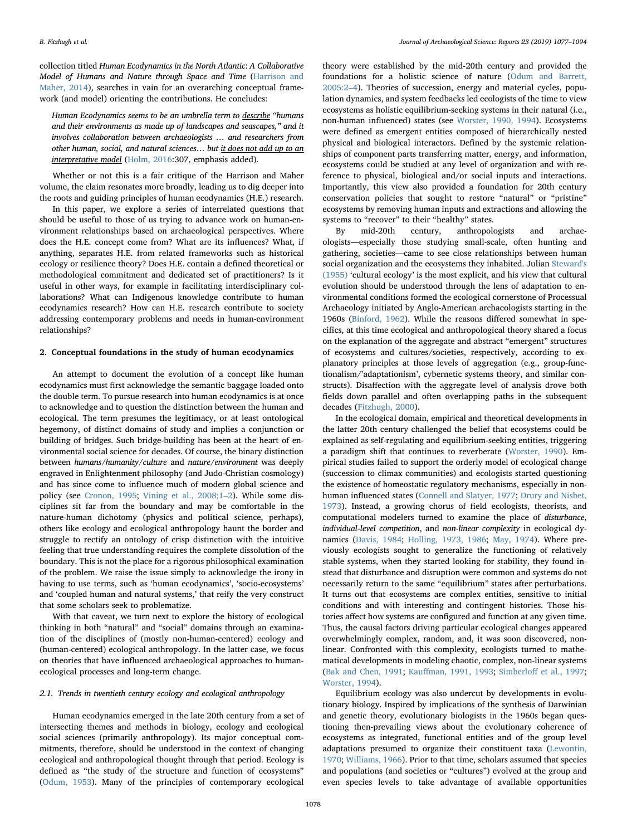collection titled Human Ecodynamics in the North Atlantic: A Collaborative Model of Humans and Nature through Space and Time ([Harrison and](#page-15-1) [Maher, 2014\)](#page-15-1), searches in vain for an overarching conceptual framework (and model) orienting the contributions. He concludes:

Human Ecodynamics seems to be an umbrella term to describe "humans and their environments as made up of landscapes and seascapes," and it involves collaboration between archaeologists … and researchers from other human, social, and natural sciences... but it does not add up to an interpretative model [\(Holm, 2016:](#page-15-0)307, emphasis added).

Whether or not this is a fair critique of the Harrison and Maher volume, the claim resonates more broadly, leading us to dig deeper into the roots and guiding principles of human ecodynamics (H.E.) research.

In this paper, we explore a series of interrelated questions that should be useful to those of us trying to advance work on human-environment relationships based on archaeological perspectives. Where does the H.E. concept come from? What are its influences? What, if anything, separates H.E. from related frameworks such as historical ecology or resilience theory? Does H.E. contain a defined theoretical or methodological commitment and dedicated set of practitioners? Is it useful in other ways, for example in facilitating interdisciplinary collaborations? What can Indigenous knowledge contribute to human ecodynamics research? How can H.E. research contribute to society addressing contemporary problems and needs in human-environment relationships?

### 2. Conceptual foundations in the study of human ecodynamics

An attempt to document the evolution of a concept like human ecodynamics must first acknowledge the semantic baggage loaded onto the double term. To pursue research into human ecodynamics is at once to acknowledge and to question the distinction between the human and ecological. The term presumes the legitimacy, or at least ontological hegemony, of distinct domains of study and implies a conjunction or building of bridges. Such bridge-building has been at the heart of environmental social science for decades. Of course, the binary distinction between humans/humanity/culture and nature/environment was deeply engraved in Enlightenment philosophy (and Judo-Christian cosmology) and has since come to influence much of modern global science and policy (see [Cronon, 1995](#page-14-0); [Vining et al., 2008;1](#page-17-1)-2). While some disciplines sit far from the boundary and may be comfortable in the nature-human dichotomy (physics and political science, perhaps), others like ecology and ecological anthropology haunt the border and struggle to rectify an ontology of crisp distinction with the intuitive feeling that true understanding requires the complete dissolution of the boundary. This is not the place for a rigorous philosophical examination of the problem. We raise the issue simply to acknowledge the irony in having to use terms, such as 'human ecodynamics', 'socio-ecosystems' and 'coupled human and natural systems,' that reify the very construct that some scholars seek to problematize.

With that caveat, we turn next to explore the history of ecological thinking in both "natural" and "social" domains through an examination of the disciplines of (mostly non-human-centered) ecology and (human-centered) ecological anthropology. In the latter case, we focus on theories that have influenced archaeological approaches to humanecological processes and long-term change.

#### 2.1. Trends in twentieth century ecology and ecological anthropology

Human ecodynamics emerged in the late 20th century from a set of intersecting themes and methods in biology, ecology and ecological social sciences (primarily anthropology). Its major conceptual commitments, therefore, should be understood in the context of changing ecological and anthropological thought through that period. Ecology is defined as "the study of the structure and function of ecosystems" ([Odum, 1953](#page-17-2)). Many of the principles of contemporary ecological

theory were established by the mid-20th century and provided the foundations for a holistic science of nature [\(Odum and Barrett,](#page-17-3) [2005:2](#page-17-3)–4). Theories of succession, energy and material cycles, population dynamics, and system feedbacks led ecologists of the time to view ecosystems as holistic equilibrium-seeking systems in their natural (i.e., non-human influenced) states (see [Worster, 1990, 1994](#page-18-0)). Ecosystems were defined as emergent entities composed of hierarchically nested physical and biological interactors. Defined by the systemic relationships of component parts transferring matter, energy, and information, ecosystems could be studied at any level of organization and with reference to physical, biological and/or social inputs and interactions. Importantly, this view also provided a foundation for 20th century conservation policies that sought to restore "natural" or "pristine" ecosystems by removing human inputs and extractions and allowing the systems to "recover" to their "healthy" states.

By mid-20th century, anthropologists and archaeologists—especially those studying small-scale, often hunting and gathering, societies—came to see close relationships between human social organization and the ecosystems they inhabited. Julian [Steward's](#page-17-4) [\(1955\)](#page-17-4) 'cultural ecology' is the most explicit, and his view that cultural evolution should be understood through the lens of adaptation to environmental conditions formed the ecological cornerstone of Processual Archaeology initiated by Anglo-American archaeologists starting in the 1960s [\(Binford, 1962](#page-14-1)). While the reasons differed somewhat in specifics, at this time ecological and anthropological theory shared a focus on the explanation of the aggregate and abstract "emergent" structures of ecosystems and cultures/societies, respectively, according to explanatory principles at those levels of aggregation (e.g., group-functionalism/'adaptationism', cybernetic systems theory, and similar constructs). Disaffection with the aggregate level of analysis drove both fields down parallel and often overlapping paths in the subsequent decades ([Fitzhugh, 2000\)](#page-15-2).

In the ecological domain, empirical and theoretical developments in the latter 20th century challenged the belief that ecosystems could be explained as self-regulating and equilibrium-seeking entities, triggering a paradigm shift that continues to reverberate [\(Worster, 1990\)](#page-18-0). Empirical studies failed to support the orderly model of ecological change (succession to climax communities) and ecologists started questioning the existence of homeostatic regulatory mechanisms, especially in nonhuman influenced states ([Connell and Slatyer, 1977;](#page-14-2) [Drury and Nisbet,](#page-15-3) [1973\)](#page-15-3). Instead, a growing chorus of field ecologists, theorists, and computational modelers turned to examine the place of disturbance, individual-level competition, and non-linear complexity in ecological dynamics [\(Davis, 1984;](#page-15-4) [Holling, 1973, 1986](#page-15-5); [May, 1974\)](#page-16-3). Where previously ecologists sought to generalize the functioning of relatively stable systems, when they started looking for stability, they found instead that disturbance and disruption were common and systems do not necessarily return to the same "equilibrium" states after perturbations. It turns out that ecosystems are complex entities, sensitive to initial conditions and with interesting and contingent histories. Those histories affect how systems are configured and function at any given time. Thus, the causal factors driving particular ecological changes appeared overwhelmingly complex, random, and, it was soon discovered, nonlinear. Confronted with this complexity, ecologists turned to mathematical developments in modeling chaotic, complex, non-linear systems ([Bak and Chen, 1991](#page-14-3); Kauff[man, 1991, 1993;](#page-15-6) Simberloff [et al., 1997](#page-17-5); [Worster, 1994](#page-18-1)).

Equilibrium ecology was also undercut by developments in evolutionary biology. Inspired by implications of the synthesis of Darwinian and genetic theory, evolutionary biologists in the 1960s began questioning then-prevailing views about the evolutionary coherence of ecosystems as integrated, functional entities and of the group level adaptations presumed to organize their constituent taxa ([Lewontin,](#page-16-4) [1970;](#page-16-4) [Williams, 1966\)](#page-18-2). Prior to that time, scholars assumed that species and populations (and societies or "cultures") evolved at the group and even species levels to take advantage of available opportunities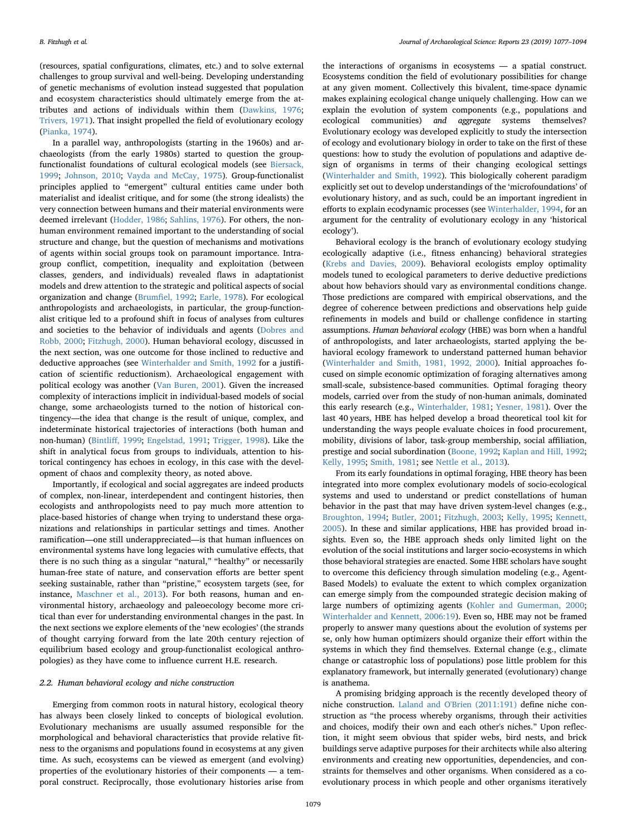(resources, spatial configurations, climates, etc.) and to solve external challenges to group survival and well-being. Developing understanding of genetic mechanisms of evolution instead suggested that population and ecosystem characteristics should ultimately emerge from the attributes and actions of individuals within them ([Dawkins, 1976](#page-15-7); [Trivers, 1971\)](#page-17-6). That insight propelled the field of evolutionary ecology ([Pianka, 1974](#page-17-7)).

In a parallel way, anthropologists (starting in the 1960s) and archaeologists (from the early 1980s) started to question the groupfunctionalist foundations of cultural ecological models (see [Biersack,](#page-14-4) [1999;](#page-14-4) [Johnson, 2010;](#page-15-8) [Vayda and McCay, 1975](#page-17-8)). Group-functionalist principles applied to "emergent" cultural entities came under both materialist and idealist critique, and for some (the strong idealists) the very connection between humans and their material environments were deemed irrelevant ([Hodder, 1986;](#page-15-9) [Sahlins, 1976\)](#page-17-9). For others, the nonhuman environment remained important to the understanding of social structure and change, but the question of mechanisms and motivations of agents within social groups took on paramount importance. Intragroup conflict, competition, inequality and exploitation (between classes, genders, and individuals) revealed flaws in adaptationist models and drew attention to the strategic and political aspects of social organization and change (Brumfi[el, 1992;](#page-14-5) [Earle, 1978\)](#page-15-10). For ecological anthropologists and archaeologists, in particular, the group-functionalist critique led to a profound shift in focus of analyses from cultures and societies to the behavior of individuals and agents [\(Dobres and](#page-15-11) [Robb, 2000;](#page-15-11) [Fitzhugh, 2000\)](#page-15-2). Human behavioral ecology, discussed in the next section, was one outcome for those inclined to reductive and deductive approaches (see [Winterhalder and Smith, 1992](#page-18-3) for a justification of scientific reductionism). Archaeological engagement with political ecology was another ([Van Buren, 2001\)](#page-17-10). Given the increased complexity of interactions implicit in individual-based models of social change, some archaeologists turned to the notion of historical contingency—the idea that change is the result of unique, complex, and indeterminate historical trajectories of interactions (both human and non-human) (Bintliff[, 1999;](#page-14-6) [Engelstad, 1991](#page-15-12); [Trigger, 1998](#page-17-11)). Like the shift in analytical focus from groups to individuals, attention to historical contingency has echoes in ecology, in this case with the development of chaos and complexity theory, as noted above.

Importantly, if ecological and social aggregates are indeed products of complex, non-linear, interdependent and contingent histories, then ecologists and anthropologists need to pay much more attention to place-based histories of change when trying to understand these organizations and relationships in particular settings and times. Another ramification—one still underappreciated—is that human influences on environmental systems have long legacies with cumulative effects, that there is no such thing as a singular "natural," "healthy" or necessarily human-free state of nature, and conservation efforts are better spent seeking sustainable, rather than "pristine," ecosystem targets (see, for instance, [Maschner et al., 2013](#page-16-5)). For both reasons, human and environmental history, archaeology and paleoecology become more critical than ever for understanding environmental changes in the past. In the next sections we explore elements of the 'new ecologies' (the strands of thought carrying forward from the late 20th century rejection of equilibrium based ecology and group-functionalist ecological anthropologies) as they have come to influence current H.E. research.

#### <span id="page-3-0"></span>2.2. Human behavioral ecology and niche construction

Emerging from common roots in natural history, ecological theory has always been closely linked to concepts of biological evolution. Evolutionary mechanisms are usually assumed responsible for the morphological and behavioral characteristics that provide relative fitness to the organisms and populations found in ecosystems at any given time. As such, ecosystems can be viewed as emergent (and evolving) properties of the evolutionary histories of their components — a temporal construct. Reciprocally, those evolutionary histories arise from

the interactions of organisms in ecosystems — a spatial construct. Ecosystems condition the field of evolutionary possibilities for change at any given moment. Collectively this bivalent, time-space dynamic makes explaining ecological change uniquely challenging. How can we explain the evolution of system components (e.g., populations and ecological communities) and aggregate systems themselves? Evolutionary ecology was developed explicitly to study the intersection of ecology and evolutionary biology in order to take on the first of these questions: how to study the evolution of populations and adaptive design of organisms in terms of their changing ecological settings ([Winterhalder and Smith, 1992](#page-18-3)). This biologically coherent paradigm explicitly set out to develop understandings of the 'microfoundations' of evolutionary history, and as such, could be an important ingredient in efforts to explain ecodynamic processes (see [Winterhalder, 1994,](#page-18-4) for an argument for the centrality of evolutionary ecology in any 'historical ecology').

Behavioral ecology is the branch of evolutionary ecology studying ecologically adaptive (i.e., fitness enhancing) behavioral strategies ([Krebs and Davies, 2009\)](#page-16-6). Behavioral ecologists employ optimality models tuned to ecological parameters to derive deductive predictions about how behaviors should vary as environmental conditions change. Those predictions are compared with empirical observations, and the degree of coherence between predictions and observations help guide refinements in models and build or challenge confidence in starting assumptions. Human behavioral ecology (HBE) was born when a handful of anthropologists, and later archaeologists, started applying the behavioral ecology framework to understand patterned human behavior ([Winterhalder and Smith, 1981, 1992, 2000](#page-18-5)). Initial approaches focused on simple economic optimization of foraging alternatives among small-scale, subsistence-based communities. Optimal foraging theory models, carried over from the study of non-human animals, dominated this early research (e.g., [Winterhalder, 1981](#page-18-6); [Yesner, 1981](#page-18-7)). Over the last 40 years, HBE has helped develop a broad theoretical tool kit for understanding the ways people evaluate choices in food procurement, mobility, divisions of labor, task-group membership, social affiliation, prestige and social subordination ([Boone, 1992](#page-14-7); [Kaplan and Hill, 1992](#page-15-13); [Kelly, 1995](#page-15-14); [Smith, 1981;](#page-17-12) see [Nettle et al., 2013](#page-16-7)).

From its early foundations in optimal foraging, HBE theory has been integrated into more complex evolutionary models of socio-ecological systems and used to understand or predict constellations of human behavior in the past that may have driven system-level changes (e.g., [Broughton, 1994;](#page-14-8) [Butler, 2001;](#page-14-9) [Fitzhugh, 2003](#page-15-15); [Kelly, 1995;](#page-15-14) [Kennett,](#page-15-16) [2005\)](#page-15-16). In these and similar applications, HBE has provided broad insights. Even so, the HBE approach sheds only limited light on the evolution of the social institutions and larger socio-ecosystems in which those behavioral strategies are enacted. Some HBE scholars have sought to overcome this deficiency through simulation modeling (e.g., Agent-Based Models) to evaluate the extent to which complex organization can emerge simply from the compounded strategic decision making of large numbers of optimizing agents ([Kohler and Gumerman, 2000](#page-16-8); [Winterhalder and Kennett, 2006:19\)](#page-18-8). Even so, HBE may not be framed properly to answer many questions about the evolution of systems per se, only how human optimizers should organize their effort within the systems in which they find themselves. External change (e.g., climate change or catastrophic loss of populations) pose little problem for this explanatory framework, but internally generated (evolutionary) change is anathema.

A promising bridging approach is the recently developed theory of niche construction. [Laland and O'Brien \(2011:191\)](#page-16-9) define niche construction as "the process whereby organisms, through their activities and choices, modify their own and each other's niches." Upon reflection, it might seem obvious that spider webs, bird nests, and brick buildings serve adaptive purposes for their architects while also altering environments and creating new opportunities, dependencies, and constraints for themselves and other organisms. When considered as a coevolutionary process in which people and other organisms iteratively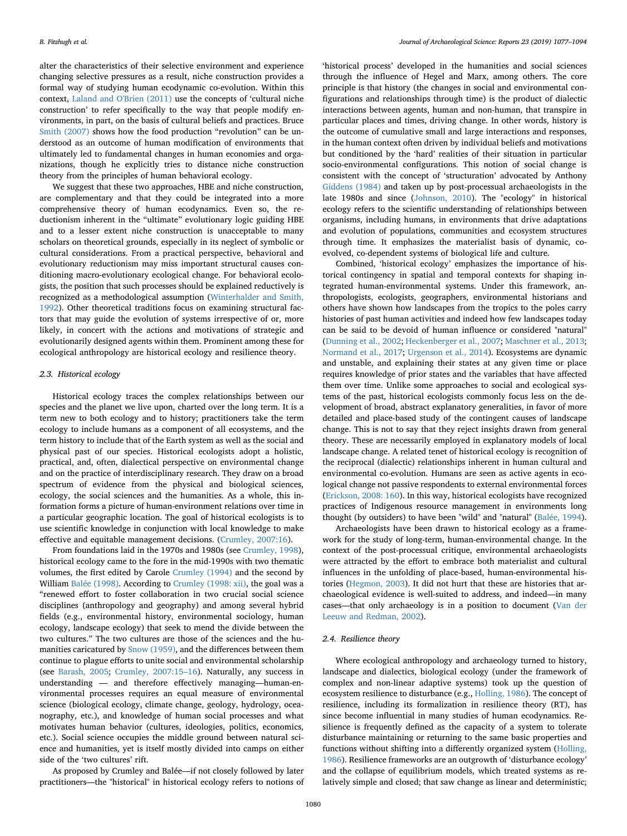alter the characteristics of their selective environment and experience changing selective pressures as a result, niche construction provides a formal way of studying human ecodynamic co-evolution. Within this context, [Laland and O'Brien \(2011\)](#page-16-9) use the concepts of 'cultural niche construction' to refer specifically to the way that people modify environments, in part, on the basis of cultural beliefs and practices. Bruce [Smith \(2007\)](#page-17-13) shows how the food production "revolution" can be understood as an outcome of human modification of environments that ultimately led to fundamental changes in human economies and organizations, though he explicitly tries to distance niche construction theory from the principles of human behavioral ecology.

We suggest that these two approaches. HBE and niche construction, are complementary and that they could be integrated into a more comprehensive theory of human ecodynamics. Even so, the reductionism inherent in the "ultimate" evolutionary logic guiding HBE and to a lesser extent niche construction is unacceptable to many scholars on theoretical grounds, especially in its neglect of symbolic or cultural considerations. From a practical perspective, behavioral and evolutionary reductionism may miss important structural causes conditioning macro-evolutionary ecological change. For behavioral ecologists, the position that such processes should be explained reductively is recognized as a methodological assumption [\(Winterhalder and Smith,](#page-18-3) [1992\)](#page-18-3). Other theoretical traditions focus on examining structural factors that may guide the evolution of systems irrespective of or, more likely, in concert with the actions and motivations of strategic and evolutionarily designed agents within them. Prominent among these for ecological anthropology are historical ecology and resilience theory.

#### 2.3. Historical ecology

Historical ecology traces the complex relationships between our species and the planet we live upon, charted over the long term. It is a term new to both ecology and to history; practitioners take the term ecology to include humans as a component of all ecosystems, and the term history to include that of the Earth system as well as the social and physical past of our species. Historical ecologists adopt a holistic, practical, and, often, dialectical perspective on environmental change and on the practice of interdisciplinary research. They draw on a broad spectrum of evidence from the physical and biological sciences, ecology, the social sciences and the humanities. As a whole, this information forms a picture of human-environment relations over time in a particular geographic location. The goal of historical ecologists is to use scientific knowledge in conjunction with local knowledge to make effective and equitable management decisions. [\(Crumley, 2007:16](#page-15-17)).

From foundations laid in the 1970s and 1980s (see [Crumley, 1998](#page-15-18)), historical ecology came to the fore in the mid-1990s with two thematic volumes, the first edited by Carole [Crumley \(1994\)](#page-14-10) and the second by William [Balée \(1998\).](#page-14-11) According to [Crumley \(1998: xii\),](#page-15-18) the goal was a "renewed effort to foster collaboration in two crucial social science disciplines (anthropology and geography) and among several hybrid fields (e.g., environmental history, environmental sociology, human ecology, landscape ecology) that seek to mend the divide between the two cultures." The two cultures are those of the sciences and the humanities caricatured by [Snow \(1959\),](#page-17-14) and the differences between them continue to plague efforts to unite social and environmental scholarship (see [Barash,](#page-14-12) 2005; [Crumley, 2007:15](#page-15-17)–16). Naturally, any success in understanding — and therefore effectively managing—human-environmental processes requires an equal measure of environmental science (biological ecology, climate change, geology, hydrology, oceanography, etc.), and knowledge of human social processes and what motivates human behavior (cultures, ideologies, politics, economics, etc.). Social science occupies the middle ground between natural science and humanities, yet is itself mostly divided into camps on either side of the 'two cultures' rift.

As proposed by Crumley and Balée—if not closely followed by later practitioners—the "historical" in historical ecology refers to notions of

'historical process' developed in the humanities and social sciences through the influence of Hegel and Marx, among others. The core principle is that history (the changes in social and environmental configurations and relationships through time) is the product of dialectic interactions between agents, human and non-human, that transpire in particular places and times, driving change. In other words, history is the outcome of cumulative small and large interactions and responses, in the human context often driven by individual beliefs and motivations but conditioned by the 'hard' realities of their situation in particular socio-environmental configurations. This notion of social change is consistent with the concept of 'structuration' advocated by Anthony [Giddens \(1984\)](#page-15-19) and taken up by post-processual archaeologists in the late 1980s and since ([Johnson, 2010\)](#page-15-8). The "ecology" in historical ecology refers to the scientific understanding of relationships between organisms, including humans, in environments that drive adaptations and evolution of populations, communities and ecosystem structures through time. It emphasizes the materialist basis of dynamic, coevolved, co-dependent systems of biological life and culture.

Combined, 'historical ecology' emphasizes the importance of historical contingency in spatial and temporal contexts for shaping integrated human-environmental systems. Under this framework, anthropologists, ecologists, geographers, environmental historians and others have shown how landscapes from the tropics to the poles carry histories of past human activities and indeed how few landscapes today can be said to be devoid of human influence or considered "natural" ([Dunning et al., 2002](#page-15-20); [Heckenberger et al., 2007;](#page-15-21) [Maschner et al., 2013](#page-16-5); [Normand et al., 2017;](#page-17-15) [Urgenson et al., 2014\)](#page-17-16). Ecosystems are dynamic and unstable, and explaining their states at any given time or place requires knowledge of prior states and the variables that have affected them over time. Unlike some approaches to social and ecological systems of the past, historical ecologists commonly focus less on the development of broad, abstract explanatory generalities, in favor of more detailed and place-based study of the contingent causes of landscape change. This is not to say that they reject insights drawn from general theory. These are necessarily employed in explanatory models of local landscape change. A related tenet of historical ecology is recognition of the reciprocal (dialectic) relationships inherent in human cultural and environmental co-evolution. Humans are seen as active agents in ecological change not passive respondents to external environmental forces ([Erickson, 2008: 160\)](#page-15-22). In this way, historical ecologists have recognized practices of Indigenous resource management in environments long thought (by outsiders) to have been "wild" and "natural" ([Balée, 1994](#page-14-13)).

Archaeologists have been drawn to historical ecology as a framework for the study of long-term, human-environmental change. In the context of the post-processual critique, environmental archaeologists were attracted by the effort to embrace both materialist and cultural influences in the unfolding of place-based, human-environmental histories ([Hegmon, 2003\)](#page-15-23). It did not hurt that these are histories that archaeological evidence is well-suited to address, and indeed—in many cases—that only archaeology is in a position to document ([Van der](#page-17-0) [Leeuw and Redman, 2002\)](#page-17-0).

#### 2.4. Resilience theory

Where ecological anthropology and archaeology turned to history, landscape and dialectics, biological ecology (under the framework of complex and non-linear adaptive systems) took up the question of ecosystem resilience to disturbance (e.g., [Holling, 1986](#page-15-24)). The concept of resilience, including its formalization in resilience theory (RT), has since become influential in many studies of human ecodynamics. Resilience is frequently defined as the capacity of a system to tolerate disturbance maintaining or returning to the same basic properties and functions without shifting into a differently organized system [\(Holling,](#page-15-24) [1986\)](#page-15-24). Resilience frameworks are an outgrowth of 'disturbance ecology' and the collapse of equilibrium models, which treated systems as relatively simple and closed; that saw change as linear and deterministic;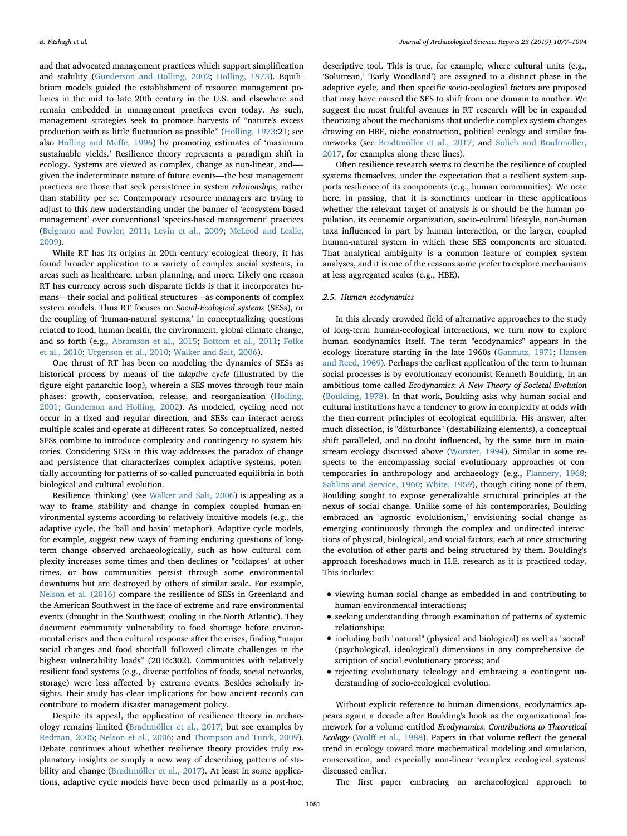and that advocated management practices which support simplification and stability [\(Gunderson and Holling, 2002;](#page-15-25) [Holling, 1973](#page-15-5)). Equilibrium models guided the establishment of resource management policies in the mid to late 20th century in the U.S. and elsewhere and remain embedded in management practices even today. As such, management strategies seek to promote harvests of "nature's excess production with as little fluctuation as possible" [\(Holling, 1973:](#page-15-5)21; see also [Holling and Me](#page-15-26)ffe, 1996) by promoting estimates of 'maximum sustainable yields.' Resilience theory represents a paradigm shift in ecology. Systems are viewed as complex, change as non-linear, andgiven the indeterminate nature of future events—the best management practices are those that seek persistence in system relationships, rather than stability per se. Contemporary resource managers are trying to adjust to this new understanding under the banner of 'ecosystem-based management' over conventional 'species-based management' practices ([Belgrano and Fowler, 2011;](#page-14-14) [Levin et al., 2009](#page-16-10); [McLeod and Leslie,](#page-16-11) [2009\)](#page-16-11).

While RT has its origins in 20th century ecological theory, it has found broader application to a variety of complex social systems, in areas such as healthcare, urban planning, and more. Likely one reason RT has currency across such disparate fields is that it incorporates humans—their social and political structures—as components of complex system models. Thus RT focuses on Social-Ecological systems (SESs), or the coupling of 'human-natural systems,' in conceptualizing questions related to food, human health, the environment, global climate change, and so forth (e.g., [Abramson et al., 2015](#page-14-15); [Bottom et al., 2011;](#page-14-16) [Folke](#page-15-27) [et al., 2010](#page-15-27); [Urgenson et al., 2010](#page-17-17); [Walker and Salt, 2006\)](#page-17-18).

One thrust of RT has been on modeling the dynamics of SESs as historical process by means of the adaptive cycle (illustrated by the figure eight panarchic loop), wherein a SES moves through four main phases: growth, conservation, release, and reorganization [\(Holling,](#page-15-28) [2001;](#page-15-28) Gunderson [and Holling, 2002](#page-15-25)). As modeled, cycling need not occur in a fixed and regular direction, and SESs can interact across multiple scales and operate at different rates. So conceptualized, nested SESs combine to introduce complexity and contingency to system histories. Considering SESs in this way addresses the paradox of change and persistence that characterizes complex adaptive systems, potentially accounting for patterns of so-called punctuated equilibria in both biological and cultural evolution.

Resilience 'thinking' (see [Walker and Salt, 2006\)](#page-17-18) is appealing as a way to frame stability and change in complex coupled human-environmental systems according to relatively intuitive models (e.g., the adaptive cycle, the 'ball and basin' metaphor). Adaptive cycle models, for example, suggest new ways of framing enduring questions of longterm change observed archaeologically, such as how cultural complexity increases some times and then declines or "collapses" at other times, or how communities persist through some environmental downturns but are destroyed by others of similar scale. For example, [Nelson et al. \(2016\)](#page-16-12) compare the resilience of SESs in Greenland and the American Southwest in the face of extreme and rare environmental events (drought in the Southwest; cooling in the North Atlantic). They document community vulnerability to food shortage before environmental crises and then cultural response after the crises, finding "major social changes and food shortfall followed climate challenges in the highest vulnerability loads" (2016:302). Communities with relatively resilient food systems (e.g., diverse portfolios of foods, social networks, storage) were less affected by extreme events. Besides scholarly insights, their study has clear implications for how ancient records can contribute to modern disaster management policy.

Despite its appeal, the application of resilience theory in archaeology remains limited (Bradtmӧ[ller et al., 2017;](#page-14-17) but see examples by [Redman, 2005;](#page-17-19) [Nelson et al., 2006;](#page-16-13) and [Thompson and Turck, 2009](#page-17-20)). Debate continues about whether resilience theory provides truly explanatory insights or simply a new way of describing patterns of stability and change (Bradtmö[ller et al., 2017\)](#page-14-17). At least in some applications, adaptive cycle models have been used primarily as a post-hoc,

descriptive tool. This is true, for example, where cultural units (e.g., 'Solutrean,' 'Early Woodland') are assigned to a distinct phase in the adaptive cycle, and then specific socio-ecological factors are proposed that may have caused the SES to shift from one domain to another. We suggest the most fruitful avenues in RT research will be in expanded theorizing about the mechanisms that underlie complex system changes drawing on HBE, niche construction, political ecology and similar frameworks (see Bradtmӧ[ller et al., 2017;](#page-14-17) and [Solich and Bradtm](#page-17-21)ӧller, [2017,](#page-17-21) for examples along these lines).

Often resilience research seems to describe the resilience of coupled systems themselves, under the expectation that a resilient system supports resilience of its components (e.g., human communities). We note here, in passing, that it is sometimes unclear in these applications whether the relevant target of analysis is or should be the human population, its economic organization, socio-cultural lifestyle, non-human taxa influenced in part by human interaction, or the larger, coupled human-natural system in which these SES components are situated. That analytical ambiguity is a common feature of complex system analyses, and it is one of the reasons some prefer to explore mechanisms at less aggregated scales (e.g., HBE).

#### 2.5. Human ecodynamics

In this already crowded field of alternative approaches to the study of long-term human-ecological interactions, we turn now to explore human ecodynamics itself. The term "ecodynamics" appears in the ecology literature starting in the late 1960s ([Gannutz, 1971;](#page-15-29) [Hansen](#page-15-30) [and Reed, 1969\)](#page-15-30). Perhaps the earliest application of the term to human social processes is by evolutionary economist Kenneth Boulding, in an ambitious tome called Ecodynamics: A New Theory of Societal Evolution ([Boulding, 1978\)](#page-14-18). In that work, Boulding asks why human social and cultural institutions have a tendency to grow in complexity at odds with the then-current principles of ecological equilibria. His answer, after much dissection, is "disturbance" (destabilizing elements), a conceptual shift paralleled, and no-doubt influenced, by the same turn in mainstream ecology discussed above ([Worster, 1994](#page-18-1)). Similar in some respects to the encompassing social evolutionary approaches of contemporaries in anthropology and archaeology (e.g., [Flannery, 1968](#page-15-31); [Sahlins and Service, 1960](#page-17-22); [White, 1959\)](#page-18-9), though citing none of them, Boulding sought to expose generalizable structural principles at the nexus of social change. Unlike some of his contemporaries, Boulding embraced an 'agnostic evolutionism,' envisioning social change as emerging continuously through the complex and undirected interactions of physical, biological, and social factors, each at once structuring the evolution of other parts and being structured by them. Boulding's approach foreshadows much in H.E. research as it is practiced today. This includes:

- viewing human social change as embedded in and contributing to human-environmental interactions;
- seeking understanding through examination of patterns of systemic relationships;
- including both "natural" (physical and biological) as well as "social" (psychological, ideological) dimensions in any comprehensive description of social evolutionary process; and
- rejecting evolutionary teleology and embracing a contingent understanding of socio-ecological evolution.

Without explicit reference to human dimensions, ecodynamics appears again a decade after Boulding's book as the organizational framework for a volume entitled Ecodynamics: Contributions to Theoretical Ecology (Wolff [et al., 1988\)](#page-18-10). Papers in that volume reflect the general trend in ecology toward more mathematical modeling and simulation, conservation, and especially non-linear 'complex ecological systems' discussed earlier.

The first paper embracing an archaeological approach to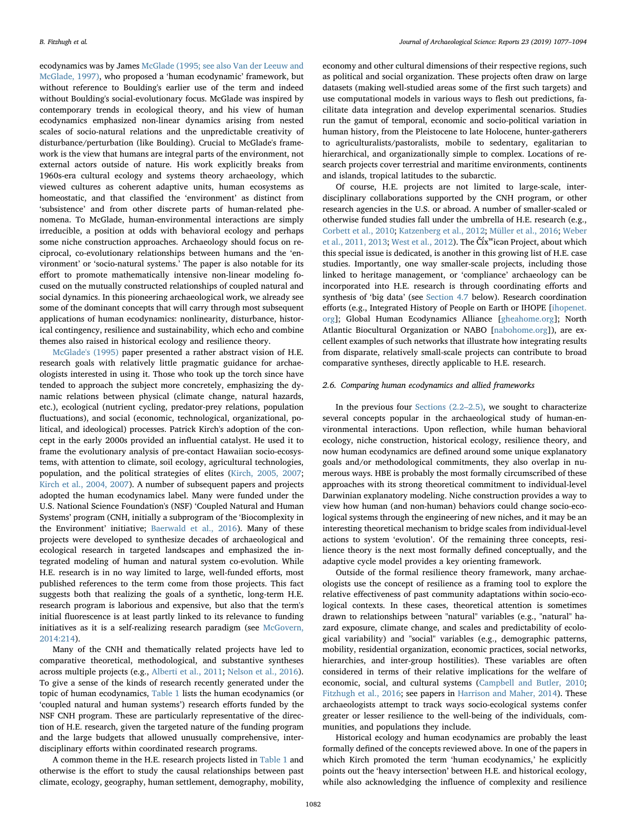ecodynamics was by James [McGlade \(1995; see also Van der Leeuw and](#page-16-1) [McGlade, 1997\)](#page-16-1), who proposed a 'human ecodynamic' framework, but without reference to Boulding's earlier use of the term and indeed without Boulding's social-evolutionary focus. McGlade was inspired by contemporary trends in ecological theory, and his view of human ecodynamics emphasized non-linear dynamics arising from nested scales of socio-natural relations and the unpredictable creativity of disturbance/perturbation (like Boulding). Crucial to McGlade's framework is the view that humans are integral parts of the environment, not external actors outside of nature. His work explicitly breaks from 1960s-era cultural ecology and systems theory archaeology, which viewed cultures as coherent adaptive units, human ecosystems as homeostatic, and that classified the 'environment' as distinct from 'subsistence' and from other discrete parts of human-related phenomena. To McGlade, human-environmental interactions are simply irreducible, a position at odds with behavioral ecology and perhaps some niche construction approaches. Archaeology should focus on reciprocal, co-evolutionary relationships between humans and the 'environment' or 'socio-natural systems.' The paper is also notable for its effort to promote mathematically intensive non-linear modeling focused on the mutually constructed relationships of coupled natural and social dynamics. In this pioneering archaeological work, we already see some of the dominant concepts that will carry through most subsequent applications of human ecodynamics: nonlinearity, disturbance, historical contingency, resilience and sustainability, which echo and combine themes also raised in historical ecology and resilience theory.

[McGlade's \(1995\)](#page-16-1) paper presented a rather abstract vision of H.E. research goals with relatively little pragmatic guidance for archaeologists interested in using it. Those who took up the torch since have tended to approach the subject more concretely, emphasizing the dynamic relations between physical (climate change, natural hazards, etc.), ecological (nutrient cycling, predator-prey relations, population fluctuations), and social (economic, technological, organizational, political, and ideological) processes. Patrick Kirch's adoption of the concept in the early 2000s provided an influential catalyst. He used it to frame the evolutionary analysis of pre-contact Hawaiian socio-ecosystems, with attention to climate, soil ecology, agricultural technologies, population, and the political strategies of elites ([Kirch, 2005, 2007](#page-16-2); [Kirch et al., 2004, 2007\)](#page-16-14). A number of subsequent papers and projects adopted the human ecodynamics label. Many were funded under the U.S. National Science Foundation's (NSF) 'Coupled Natural and Human Systems' program (CNH, initially a subprogram of the 'Biocomplexity in the Environment' initiative; [Baerwald et al., 2016](#page-14-19)). Many of these projects were developed to synthesize decades of archaeological and ecological research in targeted landscapes and emphasized the integrated modeling of human and natural system co-evolution. While H.E. research is in no way limited to large, well-funded efforts, most published references to the term come from those projects. This fact suggests both that realizing the goals of a synthetic, long-term H.E. research program is laborious and expensive, but also that the term's initial fluorescence is at least partly linked to its relevance to funding initiatives as it is a self-realizing research paradigm (see [McGovern,](#page-16-15) [2014:214](#page-16-15)).

Many of the CNH and thematically related projects have led to comparative theoretical, methodological, and substantive syntheses across multiple projects (e.g., [Alberti et al., 2011;](#page-14-20) [Nelson et al., 2016](#page-16-12)). To give a sense of the kinds of research recently generated under the topic of human ecodynamics, [Table 1](#page-7-0) lists the human ecodynamics (or 'coupled natural and human systems') research efforts funded by the NSF CNH program. These are particularly representative of the direction of H.E. research, given the targeted nature of the funding program and the large budgets that allowed unusually comprehensive, interdisciplinary efforts within coordinated research programs.

A common theme in the H.E. research projects listed in [Table 1](#page-7-0) and otherwise is the effort to study the causal relationships between past climate, ecology, geography, human settlement, demography, mobility,

economy and other cultural dimensions of their respective regions, such as political and social organization. These projects often draw on large datasets (making well-studied areas some of the first such targets) and use computational models in various ways to flesh out predictions, facilitate data integration and develop experimental scenarios. Studies run the gamut of temporal, economic and socio-political variation in human history, from the Pleistocene to late Holocene, hunter-gatherers to agriculturalists/pastoralists, mobile to sedentary, egalitarian to hierarchical, and organizationally simple to complex. Locations of research projects cover terrestrial and maritime environments, continents and islands, tropical latitudes to the subarctic.

Of course, H.E. projects are not limited to large-scale, interdisciplinary collaborations supported by the CNH program, or other research agencies in the U.S. or abroad. A number of smaller-scaled or otherwise funded studies fall under the umbrella of H.E. research (e.g., [Corbett et al., 2010;](#page-14-21) [Katzenberg et al., 2012;](#page-15-32) [Müller et al., 2016](#page-16-16); [Weber](#page-18-11) [et al., 2011, 2013;](#page-18-11) [West et al., 2012](#page-18-12)). The Číx<sup>w</sup>ican Project, about which this special issue is dedicated, is another in this growing list of H.E. case studies. Importantly, one way smaller-scale projects, including those linked to heritage management, or 'compliance' archaeology can be incorporated into H.E. research is through coordinating efforts and synthesis of 'big data' (see [Section 4.7](#page-11-0) below). Research coordination efforts (e.g., Integrated History of People on Earth or IHOPE [[ihopenet.](http://ihopenet.org) [org](http://ihopenet.org)]; Global Human Ecodynamics Alliance [\[gheahome.org\]](http://gheahome.org); North Atlantic Biocultural Organization or NABO [[nabohome.org](http://nabohome.org)]), are excellent examples of such networks that illustrate how integrating results from disparate, relatively small-scale projects can contribute to broad comparative syntheses, directly applicable to H.E. research.

#### 2.6. Comparing human ecodynamics and allied frameworks

In the previous four [Sections \(2.2](#page-3-0)–2.5), we sought to characterize several concepts popular in the archaeological study of human-environmental interactions. Upon reflection, while human behavioral ecology, niche construction, historical ecology, resilience theory, and now human ecodynamics are defined around some unique explanatory goals and/or methodological commitments, they also overlap in numerous ways. HBE is probably the most formally circumscribed of these approaches with its strong theoretical commitment to individual-level Darwinian explanatory modeling. Niche construction provides a way to view how human (and non-human) behaviors could change socio-ecological systems through the engineering of new niches, and it may be an interesting theoretical mechanism to bridge scales from individual-level actions to system 'evolution'. Of the remaining three concepts, resilience theory is the next most formally defined conceptually, and the adaptive cycle model provides a key orienting framework.

Outside of the formal resilience theory framework, many archaeologists use the concept of resilience as a framing tool to explore the relative effectiveness of past community adaptations within socio-ecological contexts. In these cases, theoretical attention is sometimes drawn to relationships between "natural" variables (e.g., "natural" hazard exposure, climate change, and scales and predictability of ecological variability) and "social" variables (e.g., demographic patterns, mobility, residential organization, economic practices, social networks, hierarchies, and inter-group hostilities). These variables are often considered in terms of their relative implications for the welfare of economic, social, and cultural systems [\(Campbell and Butler, 2010](#page-14-22); [Fitzhugh et al., 2016;](#page-15-33) see papers in [Harrison and Maher, 2014](#page-15-1)). These archaeologists attempt to track ways socio-ecological systems confer greater or lesser resilience to the well-being of the individuals, communities, and populations they include.

Historical ecology and human ecodynamics are probably the least formally defined of the concepts reviewed above. In one of the papers in which Kirch promoted the term 'human ecodynamics,' he explicitly points out the 'heavy intersection' between H.E. and historical ecology, while also acknowledging the influence of complexity and resilience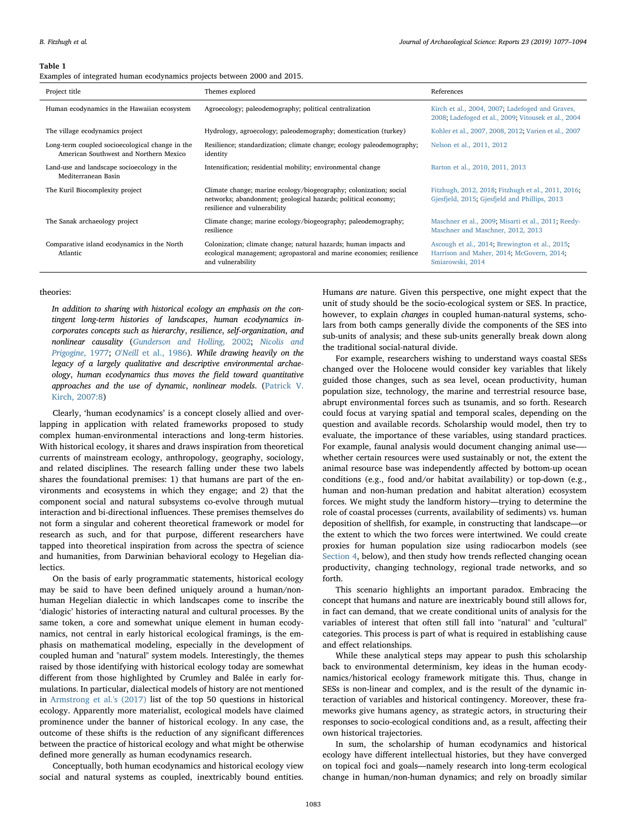#### <span id="page-7-0"></span>Table 1

Examples of integrated human ecodynamics projects between 2000 and 2015.

| Project title                                                                             | Themes explored                                                                                                                                                    | References                                                                                                      |
|-------------------------------------------------------------------------------------------|--------------------------------------------------------------------------------------------------------------------------------------------------------------------|-----------------------------------------------------------------------------------------------------------------|
| Human ecodynamics in the Hawaiian ecosystem                                               | Agroecology; paleodemography; political centralization                                                                                                             | Kirch et al., 2004, 2007; Ladefoged and Graves,<br>2008; Ladefoged et al., 2009; Vitousek et al., 2004          |
| The village ecodynamics project                                                           | Hydrology, agroecology; paleodemography; domestication (turkey)                                                                                                    | Kohler et al., 2007, 2008, 2012; Varien et al., 2007                                                            |
| Long-term coupled socioecological change in the<br>American Southwest and Northern Mexico | Resilience; standardization; climate change; ecology paleodemography;<br>identity                                                                                  | Nelson et al., 2011, 2012                                                                                       |
| Land-use and landscape socioecology in the<br>Mediterranean Basin                         | Intensification; residential mobility; environmental change                                                                                                        | Barton et al., 2010, 2011, 2013                                                                                 |
| The Kuril Biocomplexity project                                                           | Climate change; marine ecology/biogeography; colonization; social<br>networks; abandonment; geological hazards; political economy;<br>resilience and vulnerability | Fitzhugh, 2012, 2018; Fitzhugh et al., 2011, 2016;<br>Gjesfjeld, 2015; Gjesfjeld and Phillips, 2013             |
| The Sanak archaeology project                                                             | Climate change; marine ecology/biogeography; paleodemography;<br>resilience                                                                                        | Maschner et al., 2009; Misarti et al., 2011; Reedy-<br>Maschner and Maschner, 2012, 2013                        |
| Comparative island ecodynamics in the North<br>Atlantic                                   | Colonization; climate change; natural hazards; human impacts and<br>ecological management; agropastoral and marine economies; resilience<br>and vulnerability      | Ascough et al., 2014; Brewington et al., 2015;<br>Harrison and Maher, 2014; McGovern, 2014;<br>Smiarowski, 2014 |

#### theories:

In addition to sharing with historical ecology an emphasis on the contingent long-term histories of landscapes, human ecodynamics incorporates concepts such as hierarchy, resilience, self-organization, and nonlinear causality ([Gunderson and Holling](#page-15-25), 2002; [Nicolis and](#page-16-17) [Prigogine](#page-16-17), 1977; O'Neill [et al., 1986\)](#page-17-23). While drawing heavily on the legacy of a largely qualitative and descriptive environmental archaeology, human ecodynamics thus moves the field toward quantitative approaches and the use of dynamic, nonlinear models. ([Patrick V.](#page-16-0) [Kirch, 2007:8\)](#page-16-0)

Clearly, 'human ecodynamics' is a concept closely allied and overlapping in application with related frameworks proposed to study complex human-environmental interactions and long-term histories. With historical ecology, it shares and draws inspiration from theoretical currents of mainstream ecology, anthropology, geography, sociology, and related disciplines. The research falling under these two labels shares the foundational premises: 1) that humans are part of the environments and ecosystems in which they engage; and 2) that the component social and natural subsystems co-evolve through mutual interaction and bi-directional influences. These premises themselves do not form a singular and coherent theoretical framework or model for research as such, and for that purpose, different researchers have tapped into theoretical inspiration from across the spectra of science and humanities, from Darwinian behavioral ecology to Hegelian dialectics.

On the basis of early programmatic statements, historical ecology may be said to have been defined uniquely around a human/nonhuman Hegelian dialectic in which landscapes come to inscribe the 'dialogic' histories of interacting natural and cultural processes. By the same token, a core and somewhat unique element in human ecodynamics, not central in early historical ecological framings, is the emphasis on mathematical modeling, especially in the development of coupled human and "natural" system models. Interestingly, the themes raised by those identifying with historical ecology today are somewhat different from those highlighted by Crumley and Balée in early formulations. In particular, dialectical models of history are not mentioned in [Armstrong et al.'s \(2017\)](#page-14-23) list of the top 50 questions in historical ecology. Apparently more materialist, ecological models have claimed prominence under the banner of historical ecology. In any case, the outcome of these shifts is the reduction of any significant differences between the practice of historical ecology and what might be otherwise defined more generally as human ecodynamics research.

Conceptually, both human ecodynamics and historical ecology view social and natural systems as coupled, inextricably bound entities.

Humans are nature. Given this perspective, one might expect that the unit of study should be the socio-ecological system or SES. In practice, however, to explain changes in coupled human-natural systems, scholars from both camps generally divide the components of the SES into sub-units of analysis; and these sub-units generally break down along the traditional social-natural divide.

For example, researchers wishing to understand ways coastal SESs changed over the Holocene would consider key variables that likely guided those changes, such as sea level, ocean productivity, human population size, technology, the marine and terrestrial resource base, abrupt environmental forces such as tsunamis, and so forth. Research could focus at varying spatial and temporal scales, depending on the question and available records. Scholarship would model, then try to evaluate, the importance of these variables, using standard practices. For example, faunal analysis would document changing animal use— whether certain resources were used sustainably or not, the extent the animal resource base was independently affected by bottom-up ocean conditions (e.g., food and/or habitat availability) or top-down (e.g., human and non-human predation and habitat alteration) ecosystem forces. We might study the landform history—trying to determine the role of coastal processes (currents, availability of sediments) vs. human deposition of shellfish, for example, in constructing that landscape—or the extent to which the two forces were intertwined. We could create proxies for human population size using radiocarbon models (see [Section 4](#page-8-0), below), and then study how trends reflected changing ocean productivity, changing technology, regional trade networks, and so forth.

This scenario highlights an important paradox. Embracing the concept that humans and nature are inextricably bound still allows for, in fact can demand, that we create conditional units of analysis for the variables of interest that often still fall into "natural" and "cultural" categories. This process is part of what is required in establishing cause and effect relationships.

While these analytical steps may appear to push this scholarship back to environmental determinism, key ideas in the human ecodynamics/historical ecology framework mitigate this. Thus, change in SESs is non-linear and complex, and is the result of the dynamic interaction of variables and historical contingency. Moreover, these frameworks give humans agency, as strategic actors, in structuring their responses to socio-ecological conditions and, as a result, affecting their own historical trajectories.

In sum, the scholarship of human ecodynamics and historical ecology have different intellectual histories, but they have converged on topical foci and goals—namely research into long-term ecological change in human/non-human dynamics; and rely on broadly similar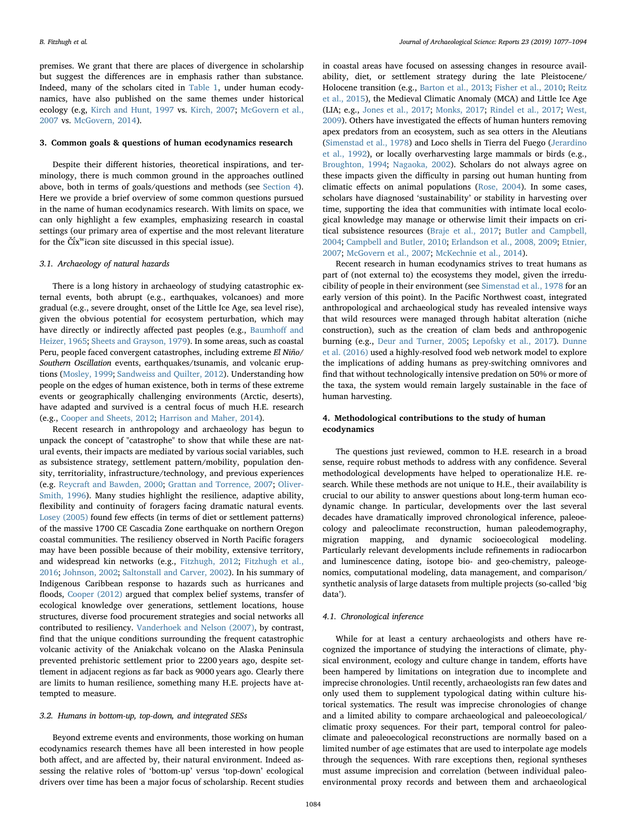premises. We grant that there are places of divergence in scholarship but suggest the differences are in emphasis rather than substance. Indeed, many of the scholars cited in [Table 1](#page-7-0), under human ecodynamics, have also published on the same themes under historical ecology (e.g, [Kirch and Hunt, 1997](#page-16-24) vs. [Kirch, 2007](#page-16-0); [McGovern et al.,](#page-16-25) [2007](#page-16-25) vs. [McGovern, 2014\)](#page-16-15).

#### 3. Common goals & questions of human ecodynamics research

Despite their different histories, theoretical inspirations, and terminology, there is much common ground in the approaches outlined above, both in terms of goals/questions and methods (see [Section 4](#page-8-0)). Here we provide a brief overview of some common questions pursued in the name of human ecodynamics research. With limits on space, we can only highlight a few examples, emphasizing research in coastal settings (our primary area of expertise and the most relevant literature for the Číx<sup>w</sup>ican site discussed in this special issue).

#### 3.1. Archaeology of natural hazards

There is a long history in archaeology of studying catastrophic external events, both abrupt (e.g., earthquakes, volcanoes) and more gradual (e.g., severe drought, onset of the Little Ice Age, sea level rise), given the obvious potential for ecosystem perturbation, which may have directly or indirectly affected past peoples (e.g., [Baumho](#page-14-27)ff and [Heizer, 1965;](#page-14-27) [Sheets and Grayson, 1979\)](#page-17-28). In some areas, such as coastal Peru, people faced convergent catastrophes, including extreme El Niño/ Southern Oscillation events, earthquakes/tsunamis, and volcanic eruptions ([Mosley, 1999](#page-16-26); [Sandweiss and Quilter, 2012](#page-17-29)). Understanding how people on the edges of human existence, both in terms of these extreme events or geographically challenging environments (Arctic, deserts), have adapted and survived is a central focus of much H.E. research (e.g., [Cooper and Sheets, 2012;](#page-14-28) [Harrison and Maher, 2014](#page-15-1)).

Recent research in anthropology and archaeology has begun to unpack the concept of "catastrophe" to show that while these are natural events, their impacts are mediated by various social variables, such as subsistence strategy, settlement pattern/mobility, population density, territoriality, infrastructure/technology, and previous experiences (e.g. [Reycraft and Bawden, 2000;](#page-17-30) [Grattan and Torrence, 2007](#page-15-38); [Oliver-](#page-17-31)[Smith, 1996\)](#page-17-31). Many studies highlight the resilience, adaptive ability, flexibility and continuity of foragers facing dramatic natural events. [Losey \(2005\)](#page-16-27) found few effects (in terms of diet or settlement patterns) of the massive 1700 CE Cascadia Zone earthquake on northern Oregon coastal communities. The resiliency observed in North Pacific foragers may have been possible because of their mobility, extensive territory, and widespread kin networks (e.g., [Fitzhugh, 2012](#page-15-34); [Fitzhugh et al.,](#page-15-33) [2016;](#page-15-33) [Johnson, 2002](#page-15-39); [Saltonstall and Carver, 2002](#page-17-32)). In his summary of Indigenous Caribbean response to hazards such as hurricanes and floods, [Cooper \(2012\)](#page-14-29) argued that complex belief systems, transfer of ecological knowledge over generations, settlement locations, house structures, diverse food procurement strategies and social networks all contributed to resiliency. [Vanderhoek and Nelson \(2007\),](#page-17-33) by contrast, find that the unique conditions surrounding the frequent catastrophic volcanic activity of the Aniakchak volcano on the Alaska Peninsula prevented prehistoric settlement prior to 2200 years ago, despite settlement in adjacent regions as far back as 9000 years ago. Clearly there are limits to human resilience, something many H.E. projects have attempted to measure.

#### 3.2. Humans in bottom-up, top-down, and integrated SESs

Beyond extreme events and environments, those working on human ecodynamics research themes have all been interested in how people both affect, and are affected by, their natural environment. Indeed assessing the relative roles of 'bottom-up' versus 'top-down' ecological drivers over time has been a major focus of scholarship. Recent studies in coastal areas have focused on assessing changes in resource availability, diet, or settlement strategy during the late Pleistocene/ Holocene transition (e.g., [Barton et al., 2013;](#page-14-30) [Fisher et al., 2010](#page-15-40); [Reitz](#page-17-34) [et al., 2015](#page-17-34)), the Medieval Climatic Anomaly (MCA) and Little Ice Age (LIA; e.g., [Jones et al., 2017;](#page-15-41) [Monks, 2017;](#page-16-28) [Rindel et al., 2017](#page-17-35); [West,](#page-18-13) [2009\)](#page-18-13). Others have investigated the effects of human hunters removing apex predators from an ecosystem, such as sea otters in the Aleutians ([Simenstad et al., 1978\)](#page-17-36) and Loco shells in Tierra del Fuego ([Jerardino](#page-15-42) [et al., 1992\)](#page-15-42), or locally overharvesting large mammals or birds (e.g., [Broughton, 1994;](#page-14-8) [Nagaoka, 2002](#page-16-29)). Scholars do not always agree on these impacts given the difficulty in parsing out human hunting from climatic effects on animal populations [\(Rose, 2004](#page-17-37)). In some cases, scholars have diagnosed 'sustainability' or stability in harvesting over time, supporting the idea that communities with intimate local ecological knowledge may manage or otherwise limit their impacts on critical subsistence resources ([Braje et al., 2017;](#page-14-31) [Butler and Campbell,](#page-14-32) [2004;](#page-14-32) [Campbell and Butler, 2010](#page-14-22); [Erlandson et al., 2008, 2009;](#page-15-43) [Etnier,](#page-15-44) [2007;](#page-15-44) [McGovern et al., 2007](#page-16-25); [McKechnie et al., 2014](#page-16-30)).

Recent research in human ecodynamics strives to treat humans as part of (not external to) the ecosystems they model, given the irreducibility of people in their environment (see [Simenstad et al., 1978](#page-17-36) for an early version of this point). In the Pacific Northwest coast, integrated anthropological and archaeological study has revealed intensive ways that wild resources were managed through habitat alteration (niche construction), such as the creation of clam beds and anthropogenic burning (e.g., [Deur and Turner, 2005;](#page-15-45) [Lepofsky et al., 2017\)](#page-16-31). [Dunne](#page-15-46) [et al. \(2016\)](#page-15-46) used a highly-resolved food web network model to explore the implications of adding humans as prey-switching omnivores and find that without technologically intensive predation on 50% or more of the taxa, the system would remain largely sustainable in the face of human harvesting.

#### <span id="page-8-0"></span>4. Methodological contributions to the study of human ecodynamics

The questions just reviewed, common to H.E. research in a broad sense, require robust methods to address with any confidence. Several methodological developments have helped to operationalize H.E. research. While these methods are not unique to H.E., their availability is crucial to our ability to answer questions about long-term human ecodynamic change. In particular, developments over the last several decades have dramatically improved chronological inference, paleoecology and paleoclimate reconstruction, human paleodemography, migration mapping, and dynamic socioecological modeling. Particularly relevant developments include refinements in radiocarbon and luminescence dating, isotope bio- and geo-chemistry, paleogenomics, computational modeling, data management, and comparison/ synthetic analysis of large datasets from multiple projects (so-called 'big data').

#### 4.1. Chronological inference

While for at least a century archaeologists and others have recognized the importance of studying the interactions of climate, physical environment, ecology and culture change in tandem, efforts have been hampered by limitations on integration due to incomplete and imprecise chronologies. Until recently, archaeologists ran few dates and only used them to supplement typological dating within culture historical systematics. The result was imprecise chronologies of change and a limited ability to compare archaeological and paleoecological/ climatic proxy sequences. For their part, temporal control for paleoclimate and paleoecological reconstructions are normally based on a limited number of age estimates that are used to interpolate age models through the sequences. With rare exceptions then, regional syntheses must assume imprecision and correlation (between individual paleoenvironmental proxy records and between them and archaeological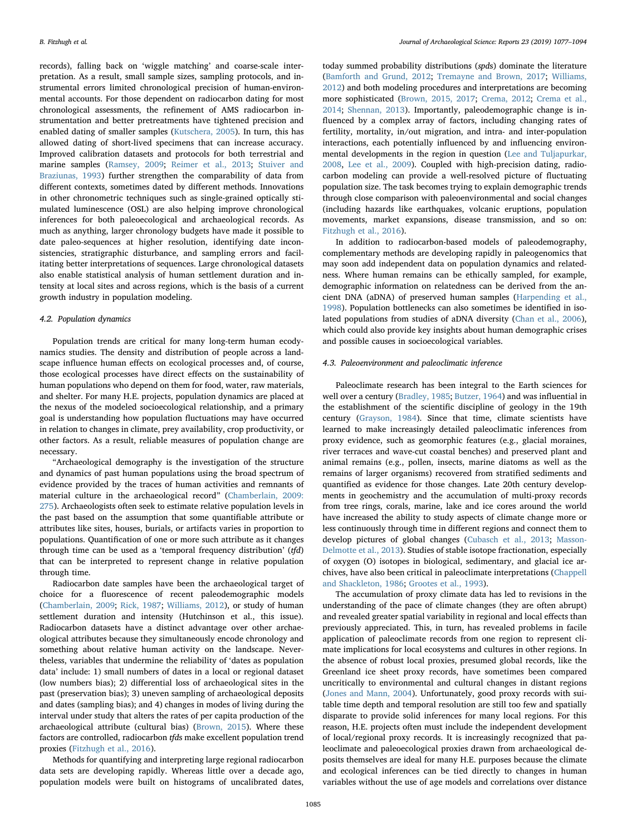records), falling back on 'wiggle matching' and coarse-scale interpretation. As a result, small sample sizes, sampling protocols, and instrumental errors limited chronological precision of human-environmental accounts. For those dependent on radiocarbon dating for most chronological assessments, the refinement of AMS radiocarbon instrumentation and better pretreatments have tightened precision and enabled dating of smaller samples [\(Kutschera, 2005](#page-16-32)). In turn, this has allowed dating of short-lived specimens that can increase accuracy. Improved calibration datasets and protocols for both terrestrial and marine samples [\(Ramsey, 2009;](#page-17-38) [Reimer et al., 2013](#page-17-39); [Stuiver and](#page-17-40) [Braziunas, 1993](#page-17-40)) further strengthen the comparability of data from different contexts, sometimes dated by different methods. Innovations in other chronometric techniques such as single-grained optically stimulated luminescence (OSL) are also helping improve chronological inferences for both paleoecological and archaeological records. As much as anything, larger chronology budgets have made it possible to date paleo-sequences at higher resolution, identifying date inconsistencies, stratigraphic disturbance, and sampling errors and facilitating better interpretations of sequences. Large chronological datasets also enable statistical analysis of human settlement duration and intensity at local sites and across regions, which is the basis of a current growth industry in population modeling.

#### 4.2. Population dynamics

Population trends are critical for many long-term human ecodynamics studies. The density and distribution of people across a landscape influence human effects on ecological processes and, of course, those ecological processes have direct effects on the sustainability of human populations who depend on them for food, water, raw materials, and shelter. For many H.E. projects, population dynamics are placed at the nexus of the modeled socioecological relationship, and a primary goal is understanding how population fluctuations may have occurred in relation to changes in climate, prey availability, crop productivity, or other factors. As a result, reliable measures of population change are necessary.

"Archaeological demography is the investigation of the structure and dynamics of past human populations using the broad spectrum of evidence provided by the traces of human activities and remnants of material culture in the archaeological record" ([Chamberlain, 2009:](#page-14-33) [275](#page-14-33)). Archaeologists often seek to estimate relative population levels in the past based on the assumption that some quantifiable attribute or attributes like sites, houses, burials, or artifacts varies in proportion to populations. Quantification of one or more such attribute as it changes through time can be used as a 'temporal frequency distribution' (tfd) that can be interpreted to represent change in relative population through time.

Radiocarbon date samples have been the archaeological target of choice for a fluorescence of recent paleodemographic models ([Chamberlain, 2009](#page-14-33); [Rick, 1987](#page-17-41); [Williams, 2012\)](#page-18-14), or study of human settlement duration and intensity (Hutchinson et al., this issue). Radiocarbon datasets have a distinct advantage over other archaeological attributes because they simultaneously encode chronology and something about relative human activity on the landscape. Nevertheless, variables that undermine the reliability of 'dates as population data' include: 1) small numbers of dates in a local or regional dataset (low numbers bias); 2) differential loss of archaeological sites in the past (preservation bias); 3) uneven sampling of archaeological deposits and dates (sampling bias); and 4) changes in modes of living during the interval under study that alters the rates of per capita production of the archaeological attribute (cultural bias) ([Brown, 2015\)](#page-14-34). Where these factors are controlled, radiocarbon tfds make excellent population trend proxies ([Fitzhugh et al., 2016](#page-15-33)).

Methods for quantifying and interpreting large regional radiocarbon data sets are developing rapidly. Whereas little over a decade ago, population models were built on histograms of uncalibrated dates,

today summed probability distributions (spds) dominate the literature ([Bamforth and Grund, 2012](#page-14-35); [Tremayne and Brown, 2017](#page-17-42); [Williams,](#page-18-14) [2012\)](#page-18-14) and both modeling procedures and interpretations are becoming more sophisticated [\(Brown, 2015, 2017;](#page-14-34) [Crema, 2012](#page-14-36); [Crema et al.,](#page-14-37) [2014;](#page-14-37) [Shennan, 2013\)](#page-17-43). Importantly, paleodemographic change is influenced by a complex array of factors, including changing rates of fertility, mortality, in/out migration, and intra- and inter-population interactions, each potentially influenced by and influencing environmental developments in the region in question [\(Lee and Tuljapurkar,](#page-16-33) [2008,](#page-16-33) [Lee et al., 2009\)](#page-16-34). Coupled with high-precision dating, radiocarbon modeling can provide a well-resolved picture of fluctuating population size. The task becomes trying to explain demographic trends through close comparison with paleoenvironmental and social changes (including hazards like earthquakes, volcanic eruptions, population movements, market expansions, disease transmission, and so on: [Fitzhugh et al., 2016](#page-15-33)).

In addition to radiocarbon-based models of paleodemography, complementary methods are developing rapidly in paleogenomics that may soon add independent data on population dynamics and relatedness. Where human remains can be ethically sampled, for example, demographic information on relatedness can be derived from the ancient DNA (aDNA) of preserved human samples ([Harpending et al.,](#page-15-47) [1998\)](#page-15-47). Population bottlenecks can also sometimes be identified in isolated populations from studies of aDNA diversity ([Chan et al., 2006](#page-14-38)), which could also provide key insights about human demographic crises and possible causes in socioecological variables.

#### 4.3. Paleoenvironment and paleoclimatic inference

Paleoclimate research has been integral to the Earth sciences for well over a century ([Bradley, 1985;](#page-14-39) [Butzer, 1964\)](#page-14-40) and was influential in the establishment of the scientific discipline of geology in the 19th century ([Grayson, 1984\)](#page-15-48). Since that time, climate scientists have learned to make increasingly detailed paleoclimatic inferences from proxy evidence, such as geomorphic features (e.g., glacial moraines, river terraces and wave-cut coastal benches) and preserved plant and animal remains (e.g., pollen, insects, marine diatoms as well as the remains of larger organisms) recovered from stratified sediments and quantified as evidence for those changes. Late 20th century developments in geochemistry and the accumulation of multi-proxy records from tree rings, corals, marine, lake and ice cores around the world have increased the ability to study aspects of climate change more or less continuously through time in different regions and connect them to develop pictures of global changes [\(Cubasch et al., 2013](#page-15-49); [Masson-](#page-16-35)[Delmotte et al., 2013](#page-16-35)). Studies of stable isotope fractionation, especially of oxygen (O) isotopes in biological, sedimentary, and glacial ice archives, have also been critical in paleoclimate interpretations ([Chappell](#page-14-41) [and Shackleton, 1986;](#page-14-41) [Grootes et al., 1993](#page-15-50)).

The accumulation of proxy climate data has led to revisions in the understanding of the pace of climate changes (they are often abrupt) and revealed greater spatial variability in regional and local effects than previously appreciated. This, in turn, has revealed problems in facile application of paleoclimate records from one region to represent climate implications for local ecosystems and cultures in other regions. In the absence of robust local proxies, presumed global records, like the Greenland ice sheet proxy records, have sometimes been compared uncritically to environmental and cultural changes in distant regions ([Jones and Mann, 2004](#page-15-51)). Unfortunately, good proxy records with suitable time depth and temporal resolution are still too few and spatially disparate to provide solid inferences for many local regions. For this reason, H.E. projects often must include the independent development of local/regional proxy records. It is increasingly recognized that paleoclimate and paleoecological proxies drawn from archaeological deposits themselves are ideal for many H.E. purposes because the climate and ecological inferences can be tied directly to changes in human variables without the use of age models and correlations over distance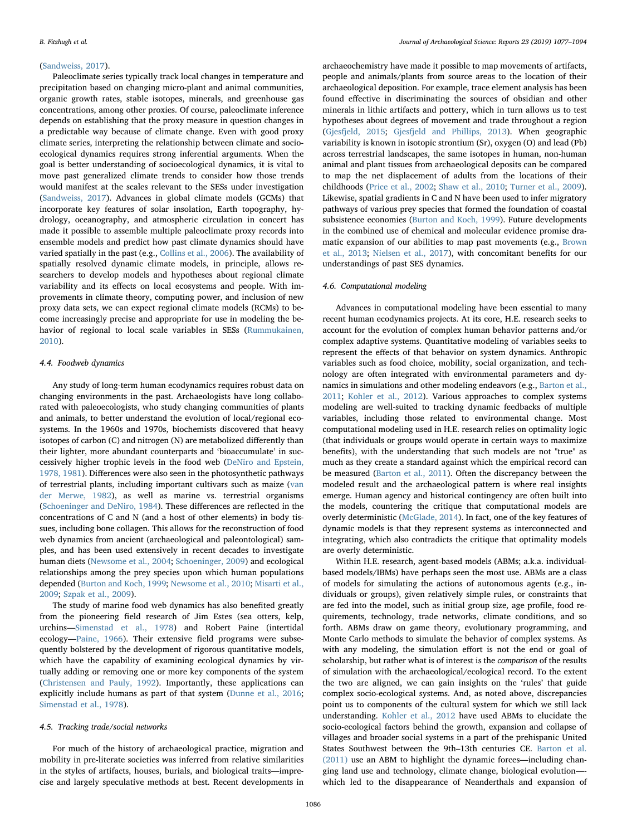#### ([Sandweiss, 2017\)](#page-17-44).

Paleoclimate series typically track local changes in temperature and precipitation based on changing micro-plant and animal communities, organic growth rates, stable isotopes, minerals, and greenhouse gas concentrations, among other proxies. Of course, paleoclimate inference depends on establishing that the proxy measure in question changes in a predictable way because of climate change. Even with good proxy climate series, interpreting the relationship between climate and socioecological dynamics requires strong inferential arguments. When the goal is better understanding of socioecological dynamics, it is vital to move past generalized climate trends to consider how those trends would manifest at the scales relevant to the SESs under investigation ([Sandweiss, 2017](#page-17-44)). Advances in global climate models (GCMs) that incorporate key features of solar insolation, Earth topography, hydrology, oceanography, and atmospheric circulation in concert has made it possible to assemble multiple paleoclimate proxy records into ensemble models and predict how past climate dynamics should have varied spatially in the past (e.g., [Collins et al., 2006\)](#page-14-42). The availability of spatially resolved dynamic climate models, in principle, allows researchers to develop models and hypotheses about regional climate variability and its effects on local ecosystems and people. With improvements in climate theory, computing power, and inclusion of new proxy data sets, we can expect regional climate models (RCMs) to become increasingly precise and appropriate for use in modeling the behavior of regional to local scale variables in SESs ([Rummukainen,](#page-17-45) [2010\)](#page-17-45).

#### 4.4. Foodweb dynamics

Any study of long-term human ecodynamics requires robust data on changing environments in the past. Archaeologists have long collaborated with paleoecologists, who study changing communities of plants and animals, to better understand the evolution of local/regional ecosystems. In the 1960s and 1970s, biochemists discovered that heavy isotopes of carbon (C) and nitrogen (N) are metabolized differently than their lighter, more abundant counterparts and 'bioaccumulate' in successively higher trophic levels in the food web ([DeNiro and Epstein,](#page-15-52) [1978, 1981\)](#page-15-52). Differences were also seen in the photosynthetic pathways of terrestrial plants, including important cultivars such as maize ([van](#page-17-46) [der Merwe, 1982\)](#page-17-46), as well as marine vs. terrestrial organisms ([Schoeninger and DeNiro, 1984\)](#page-17-47). These differences are reflected in the concentrations of C and N (and a host of other elements) in body tissues, including bone collagen. This allows for the reconstruction of food web dynamics from ancient (archaeological and paleontological) samples, and has been used extensively in recent decades to investigate human diets [\(Newsome et al., 2004](#page-16-36); [Schoeninger, 2009\)](#page-17-48) and ecological relationships among the prey species upon which human populations depended ([Burton and Koch, 1999;](#page-14-43) [Newsome et al., 2010;](#page-16-37) [Misarti et al.,](#page-16-38) [2009;](#page-16-38) [Szpak et al., 2009](#page-17-49)).

The study of marine food web dynamics has also benefited greatly from the pioneering field research of Jim Estes (sea otters, kelp, urchins—[Simenstad et al., 1978\)](#page-17-36) and Robert Paine (intertidal ecology—[Paine, 1966\)](#page-17-50). Their extensive field programs were subsequently bolstered by the development of rigorous quantitative models, which have the capability of examining ecological dynamics by virtually adding or removing one or more key components of the system ([Christensen and Pauly, 1992](#page-14-44)). Importantly, these applications can explicitly include humans as part of that system [\(Dunne et al., 2016](#page-15-46); [Simenstad et al., 1978](#page-17-36)).

#### 4.5. Tracking trade/social networks

For much of the history of archaeological practice, migration and mobility in pre-literate societies was inferred from relative similarities in the styles of artifacts, houses, burials, and biological traits—imprecise and largely speculative methods at best. Recent developments in

archaeochemistry have made it possible to map movements of artifacts, people and animals/plants from source areas to the location of their archaeological deposition. For example, trace element analysis has been found effective in discriminating the sources of obsidian and other minerals in lithic artifacts and pottery, which in turn allows us to test hypotheses about degrees of movement and trade throughout a region ([Gjesfjeld, 2015](#page-15-36); [Gjesfjeld and Phillips, 2013\)](#page-15-37). When geographic variability is known in isotopic strontium (Sr), oxygen (O) and lead (Pb) across terrestrial landscapes, the same isotopes in human, non-human animal and plant tissues from archaeological deposits can be compared to map the net displacement of adults from the locations of their childhoods ([Price et al., 2002](#page-17-51); [Shaw et al., 2010;](#page-17-52) [Turner et al., 2009](#page-17-53)). Likewise, spatial gradients in C and N have been used to infer migratory pathways of various prey species that formed the foundation of coastal subsistence economies ([Burton and Koch, 1999](#page-14-43)). Future developments in the combined use of chemical and molecular evidence promise dramatic expansion of our abilities to map past movements (e.g., [Brown](#page-14-45) [et al., 2013;](#page-14-45) [Nielsen et al., 2017](#page-16-39)), with concomitant benefits for our understandings of past SES dynamics.

#### 4.6. Computational modeling

Advances in computational modeling have been essential to many recent human ecodynamics projects. At its core, H.E. research seeks to account for the evolution of complex human behavior patterns and/or complex adaptive systems. Quantitative modeling of variables seeks to represent the effects of that behavior on system dynamics. Anthropic variables such as food choice, mobility, social organization, and technology are often integrated with environmental parameters and dynamics in simulations and other modeling endeavors (e.g., [Barton et al.,](#page-14-46) [2011;](#page-14-46) [Kohler et al., 2012\)](#page-16-40). Various approaches to complex systems modeling are well-suited to tracking dynamic feedbacks of multiple variables, including those related to environmental change. Most computational modeling used in H.E. research relies on optimality logic (that individuals or groups would operate in certain ways to maximize benefits), with the understanding that such models are not "true" as much as they create a standard against which the empirical record can be measured ([Barton et al., 2011\)](#page-14-46). Often the discrepancy between the modeled result and the archaeological pattern is where real insights emerge. Human agency and historical contingency are often built into the models, countering the critique that computational models are overly deterministic [\(McGlade, 2014](#page-16-41)). In fact, one of the key features of dynamic models is that they represent systems as interconnected and integrating, which also contradicts the critique that optimality models are overly deterministic.

Within H.E. research, agent-based models (ABMs; a.k.a. individualbased models/IBMs) have perhaps seen the most use. ABMs are a class of models for simulating the actions of autonomous agents (e.g., individuals or groups), given relatively simple rules, or constraints that are fed into the model, such as initial group size, age profile, food requirements, technology, trade networks, climate conditions, and so forth. ABMs draw on game theory, evolutionary programming, and Monte Carlo methods to simulate the behavior of complex systems. As with any modeling, the simulation effort is not the end or goal of scholarship, but rather what is of interest is the comparison of the results of simulation with the archaeological/ecological record. To the extent the two are aligned, we can gain insights on the 'rules' that guide complex socio-ecological systems. And, as noted above, discrepancies point us to components of the cultural system for which we still lack understanding. [Kohler et al., 2012](#page-16-40) have used ABMs to elucidate the socio-ecological factors behind the growth, expansion and collapse of villages and broader social systems in a part of the prehispanic United States Southwest between the 9th–13th centuries CE. [Barton et al.](#page-14-46) [\(2011\)](#page-14-46) use an ABM to highlight the dynamic forces—including changing land use and technology, climate change, biological evolution— which led to the disappearance of Neanderthals and expansion of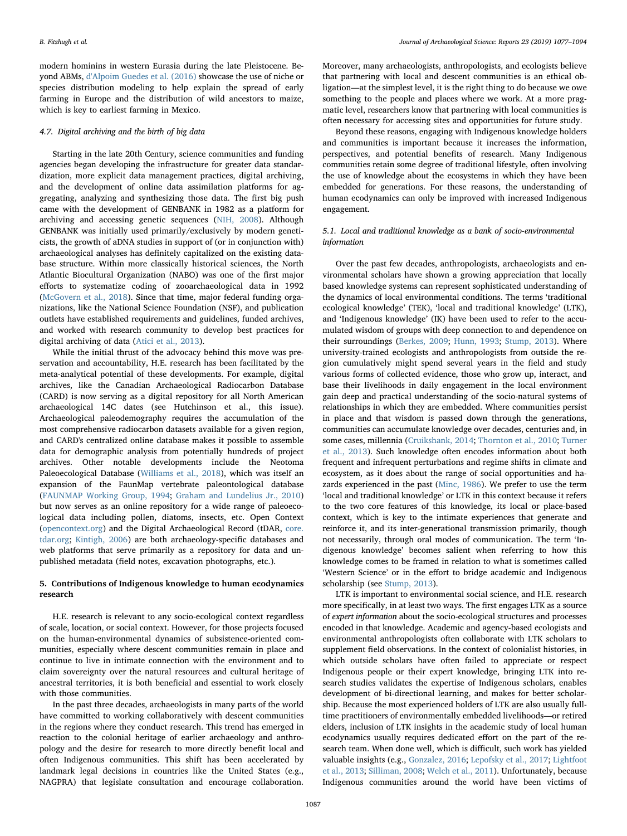modern hominins in western Eurasia during the late Pleistocene. Beyond ABMs, [d'Alpoim Guedes et al. \(2016\)](#page-15-53) showcase the use of niche or species distribution modeling to help explain the spread of early farming in Europe and the distribution of wild ancestors to maize, which is key to earliest farming in Mexico.

#### <span id="page-11-0"></span>4.7. Digital archiving and the birth of big data

Starting in the late 20th Century, science communities and funding agencies began developing the infrastructure for greater data standardization, more explicit data management practices, digital archiving, and the development of online data assimilation platforms for aggregating, analyzing and synthesizing those data. The first big push came with the development of GENBANK in 1982 as a platform for archiving and accessing genetic sequences [\(NIH, 2008\)](#page-17-54). Although GENBANK was initially used primarily/exclusively by modern geneticists, the growth of aDNA studies in support of (or in conjunction with) archaeological analyses has definitely capitalized on the existing database structure. Within more classically historical sciences, the North Atlantic Biocultural Organization (NABO) was one of the first major efforts to systematize coding of zooarchaeological data in 1992 ([McGovern et al., 2018](#page-16-42)). Since that time, major federal funding organizations, like the National Science Foundation (NSF), and publication outlets have established requirements and guidelines, funded archives, and worked with research community to develop best practices for digital archiving of data [\(Atici et al., 2013](#page-14-47)).

While the initial thrust of the advocacy behind this move was preservation and accountability, H.E. research has been facilitated by the meta-analytical potential of these developments. For example, digital archives, like the Canadian Archaeological Radiocarbon Database (CARD) is now serving as a digital repository for all North American archaeological 14C dates (see Hutchinson et al., this issue). Archaeological paleodemography requires the accumulation of the most comprehensive radiocarbon datasets available for a given region, and CARD's centralized online database makes it possible to assemble data for demographic analysis from potentially hundreds of project archives. Other notable developments include the Neotoma Paleoecological Database ([Williams et al., 2018\)](#page-18-15), which was itself an expansion of the FaunMap vertebrate paleontological database ([FAUNMAP Working Group, 1994](#page-15-54); [Graham and Lundelius Jr., 2010\)](#page-15-55) but now serves as an online repository for a wide range of paleoecological data including pollen, diatoms, insects, etc. Open Context ([opencontext.org\)](https://opencontext.org) and the Digital Archaeological Record (tDAR, [core.](https://core.tdar.org) [tdar.org;](https://core.tdar.org) [Kintigh, 2006](#page-15-56)) are both archaeology-specific databases and web platforms that serve primarily as a repository for data and unpublished metadata (field notes, excavation photographs, etc.).

#### 5. Contributions of Indigenous knowledge to human ecodynamics research

H.E. research is relevant to any socio-ecological context regardless of scale, location, or social context. However, for those projects focused on the human-environmental dynamics of subsistence-oriented communities, especially where descent communities remain in place and continue to live in intimate connection with the environment and to claim sovereignty over the natural resources and cultural heritage of ancestral territories, it is both beneficial and essential to work closely with those communities.

In the past three decades, archaeologists in many parts of the world have committed to working collaboratively with descent communities in the regions where they conduct research. This trend has emerged in reaction to the colonial heritage of earlier archaeology and anthropology and the desire for research to more directly benefit local and often Indigenous communities. This shift has been accelerated by landmark legal decisions in countries like the United States (e.g., NAGPRA) that legislate consultation and encourage collaboration.

Moreover, many archaeologists, anthropologists, and ecologists believe that partnering with local and descent communities is an ethical obligation—at the simplest level, it is the right thing to do because we owe something to the people and places where we work. At a more pragmatic level, researchers know that partnering with local communities is often necessary for accessing sites and opportunities for future study.

Beyond these reasons, engaging with Indigenous knowledge holders and communities is important because it increases the information, perspectives, and potential benefits of research. Many Indigenous communities retain some degree of traditional lifestyle, often involving the use of knowledge about the ecosystems in which they have been embedded for generations. For these reasons, the understanding of human ecodynamics can only be improved with increased Indigenous engagement.

#### 5.1. Local and traditional knowledge as a bank of socio-environmental information

Over the past few decades, anthropologists, archaeologists and environmental scholars have shown a growing appreciation that locally based knowledge systems can represent sophisticated understanding of the dynamics of local environmental conditions. The terms 'traditional ecological knowledge' (TEK), 'local and traditional knowledge' (LTK), and 'Indigenous knowledge' (IK) have been used to refer to the accumulated wisdom of groups with deep connection to and dependence on their surroundings [\(Berkes, 2009;](#page-14-48) [Hunn, 1993](#page-15-57); [Stump, 2013](#page-17-55)). Where university-trained ecologists and anthropologists from outside the region cumulatively might spend several years in the field and study various forms of collected evidence, those who grow up, interact, and base their livelihoods in daily engagement in the local environment gain deep and practical understanding of the socio-natural systems of relationships in which they are embedded. Where communities persist in place and that wisdom is passed down through the generations, communities can accumulate knowledge over decades, centuries and, in some cases, millennia ([Cruikshank, 2014](#page-14-49); [Thornton et al., 2010](#page-17-56); [Turner](#page-17-57) [et al., 2013](#page-17-57)). Such knowledge often encodes information about both frequent and infrequent perturbations and regime shifts in climate and ecosystem, as it does about the range of social opportunities and hazards experienced in the past ([Minc, 1986](#page-16-43)). We prefer to use the term 'local and traditional knowledge' or LTK in this context because it refers to the two core features of this knowledge, its local or place-based context, which is key to the intimate experiences that generate and reinforce it, and its inter-generational transmission primarily, though not necessarily, through oral modes of communication. The term 'Indigenous knowledge' becomes salient when referring to how this knowledge comes to be framed in relation to what is sometimes called 'Western Science' or in the effort to bridge academic and Indigenous scholarship (see [Stump, 2013](#page-17-55)).

LTK is important to environmental social science, and H.E. research more specifically, in at least two ways. The first engages LTK as a source of expert information about the socio-ecological structures and processes encoded in that knowledge. Academic and agency-based ecologists and environmental anthropologists often collaborate with LTK scholars to supplement field observations. In the context of colonialist histories, in which outside scholars have often failed to appreciate or respect Indigenous people or their expert knowledge, bringing LTK into research studies validates the expertise of Indigenous scholars, enables development of bi-directional learning, and makes for better scholarship. Because the most experienced holders of LTK are also usually fulltime practitioners of environmentally embedded livelihoods—or retired elders, inclusion of LTK insights in the academic study of local human ecodynamics usually requires dedicated effort on the part of the research team. When done well, which is difficult, such work has yielded valuable insights (e.g., [Gonzalez, 2016;](#page-15-58) [Lepofsky et al., 2017](#page-16-31); [Lightfoot](#page-16-44) [et al., 2013](#page-16-44); [Silliman, 2008;](#page-17-58) [Welch et al., 2011](#page-18-16)). Unfortunately, because Indigenous communities around the world have been victims of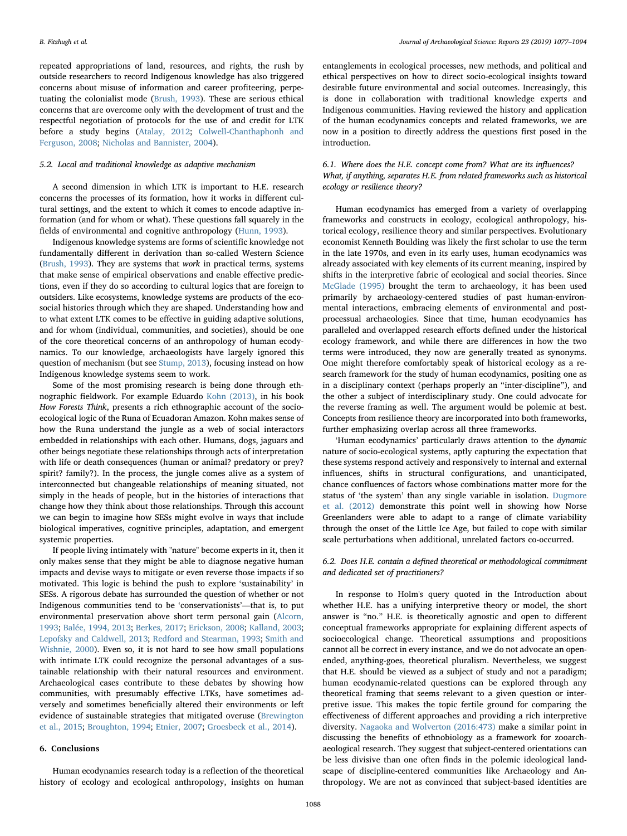repeated appropriations of land, resources, and rights, the rush by outside researchers to record Indigenous knowledge has also triggered concerns about misuse of information and career profiteering, perpetuating the colonialist mode [\(Brush, 1993](#page-14-50)). These are serious ethical concerns that are overcome only with the development of trust and the respectful negotiation of protocols for the use of and credit for LTK before a study begins ([Atalay, 2012;](#page-14-51) [Colwell-Chanthaphonh and](#page-14-52) [Ferguson, 2008;](#page-14-52) [Nicholas and Bannister, 2004](#page-16-45)).

#### 5.2. Local and traditional knowledge as adaptive mechanism

A second dimension in which LTK is important to H.E. research concerns the processes of its formation, how it works in different cultural settings, and the extent to which it comes to encode adaptive information (and for whom or what). These questions fall squarely in the fields of environmental and cognitive anthropology [\(Hunn, 1993\)](#page-15-57).

Indigenous knowledge systems are forms of scientific knowledge not fundamentally different in derivation than so-called Western Science ([Brush, 1993\)](#page-14-50). They are systems that work in practical terms, systems that make sense of empirical observations and enable effective predictions, even if they do so according to cultural logics that are foreign to outsiders. Like ecosystems, knowledge systems are products of the ecosocial histories through which they are shaped. Understanding how and to what extent LTK comes to be effective in guiding adaptive solutions, and for whom (individual, communities, and societies), should be one of the core theoretical concerns of an anthropology of human ecodynamics. To our knowledge, archaeologists have largely ignored this question of mechanism (but see [Stump, 2013\)](#page-17-55), focusing instead on how Indigenous knowledge systems seem to work.

Some of the most promising research is being done through ethnographic fieldwork. For example Eduardo [Kohn \(2013\)](#page-16-46), in his book How Forests Think, presents a rich ethnographic account of the socioecological logic of the Runa of Ecuadoran Amazon. Kohn makes sense of how the Runa understand the jungle as a web of social interactors embedded in relationships with each other. Humans, dogs, jaguars and other beings negotiate these relationships through acts of interpretation with life or death consequences (human or animal? predatory or prey? spirit? family?). In the process, the jungle comes alive as a system of interconnected but changeable relationships of meaning situated, not simply in the heads of people, but in the histories of interactions that change how they think about those relationships. Through this account we can begin to imagine how SESs might evolve in ways that include biological imperatives, cognitive principles, adaptation, and emergent systemic properties.

If people living intimately with "nature" become experts in it, then it only makes sense that they might be able to diagnose negative human impacts and devise ways to mitigate or even reverse those impacts if so motivated. This logic is behind the push to explore 'sustainability' in SESs. A rigorous debate has surrounded the question of whether or not Indigenous communities tend to be 'conservationists'—that is, to put environmental preservation above short term personal gain ([Alcorn,](#page-14-53) [1993;](#page-14-53) [Balée, 1994, 2013](#page-14-13); [Berkes, 2017;](#page-14-54) [Erickson, 2008](#page-15-22); [Kalland, 2003](#page-15-59); Lepofsky [and Caldwell, 2013](#page-16-47); [Redford and Stearman, 1993;](#page-17-59) [Smith and](#page-17-60) [Wishnie, 2000](#page-17-60)). Even so, it is not hard to see how small populations with intimate LTK could recognize the personal advantages of a sustainable relationship with their natural resources and environment. Archaeological cases contribute to these debates by showing how communities, with presumably effective LTKs, have sometimes adversely and sometimes beneficially altered their environments or left evidence of sustainable strategies that mitigated overuse ([Brewington](#page-14-26) [et al., 2015](#page-14-26); [Broughton, 1994](#page-14-8); [Etnier, 2007](#page-15-44); [Groesbeck et al., 2014\)](#page-15-60).

#### 6. Conclusions

Human ecodynamics research today is a reflection of the theoretical history of ecology and ecological anthropology, insights on human

entanglements in ecological processes, new methods, and political and ethical perspectives on how to direct socio-ecological insights toward desirable future environmental and social outcomes. Increasingly, this is done in collaboration with traditional knowledge experts and Indigenous communities. Having reviewed the history and application of the human ecodynamics concepts and related frameworks, we are now in a position to directly address the questions first posed in the introduction.

#### 6.1. Where does the H.E. concept come from? What are its influences? What, if anything, separates H.E. from related frameworks such as historical ecology or resilience theory?

Human ecodynamics has emerged from a variety of overlapping frameworks and constructs in ecology, ecological anthropology, historical ecology, resilience theory and similar perspectives. Evolutionary economist Kenneth Boulding was likely the first scholar to use the term in the late 1970s, and even in its early uses, human ecodynamics was already associated with key elements of its current meaning, inspired by shifts in the interpretive fabric of ecological and social theories. Since [McGlade \(1995\)](#page-16-1) brought the term to archaeology, it has been used primarily by archaeology-centered studies of past human-environmental interactions, embracing elements of environmental and postprocessual archaeologies. Since that time, human ecodynamics has paralleled and overlapped research efforts defined under the historical ecology framework, and while there are differences in how the two terms were introduced, they now are generally treated as synonyms. One might therefore comfortably speak of historical ecology as a research framework for the study of human ecodynamics, positing one as in a disciplinary context (perhaps properly an "inter-discipline"), and the other a subject of interdisciplinary study. One could advocate for the reverse framing as well. The argument would be polemic at best. Concepts from resilience theory are incorporated into both frameworks, further emphasizing overlap across all three frameworks.

'Human ecodynamics' particularly draws attention to the dynamic nature of socio-ecological systems, aptly capturing the expectation that these systems respond actively and responsively to internal and external influences, shifts in structural configurations, and unanticipated, chance confluences of factors whose combinations matter more for the status of 'the system' than any single variable in isolation. [Dugmore](#page-15-61) [et al. \(2012\)](#page-15-61) demonstrate this point well in showing how Norse Greenlanders were able to adapt to a range of climate variability through the onset of the Little Ice Age, but failed to cope with similar scale perturbations when additional, unrelated factors co-occurred.

#### 6.2. Does H.E. contain a defined theoretical or methodological commitment and dedicated set of practitioners?

In response to Holm's query quoted in the Introduction about whether H.E. has a unifying interpretive theory or model, the short answer is "no." H.E. is theoretically agnostic and open to different conceptual frameworks appropriate for explaining different aspects of socioecological change. Theoretical assumptions and propositions cannot all be correct in every instance, and we do not advocate an openended, anything-goes, theoretical pluralism. Nevertheless, we suggest that H.E. should be viewed as a subject of study and not a paradigm; human ecodynamic-related questions can be explored through any theoretical framing that seems relevant to a given question or interpretive issue. This makes the topic fertile ground for comparing the effectiveness of different approaches and providing a rich interpretive diversity. [Nagaoka and Wolverton \(2016:473\)](#page-16-48) make a similar point in discussing the benefits of ethnobiology as a framework for zooarchaeological research. They suggest that subject-centered orientations can be less divisive than one often finds in the polemic ideological landscape of discipline-centered communities like Archaeology and Anthropology. We are not as convinced that subject-based identities are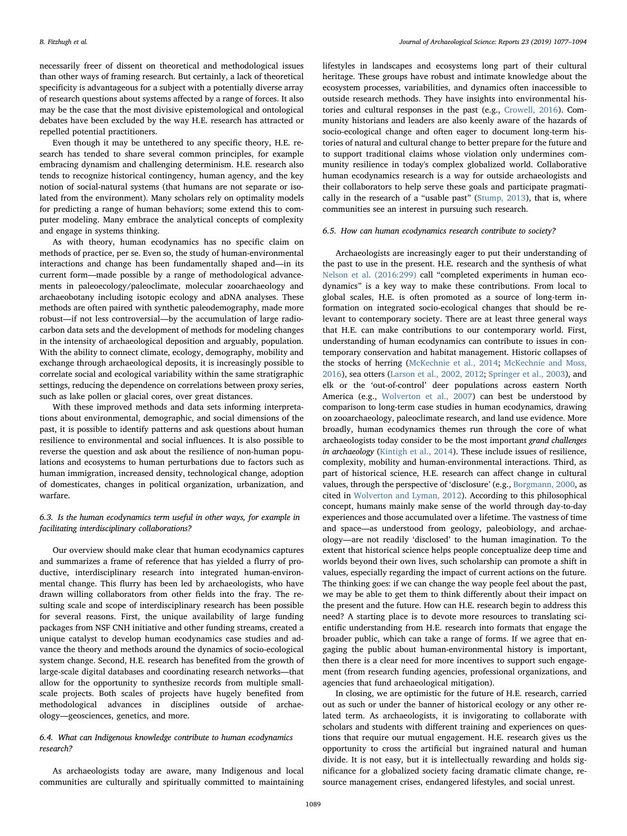necessarily freer of dissent on theoretical and methodological issues than other ways of framing research. But certainly, a lack of theoretical specificity is advantageous for a subject with a potentially diverse array of research questions about systems affected by a range of forces. It also may be the case that the most divisive epistemological and ontological debates have been excluded by the way H.E. research has attracted or repelled potential practitioners.

Even though it may be untethered to any specific theory, H.E. research has tended to share several common principles, for example embracing dynamism and challenging determinism. H.E. research also tends to recognize historical contingency, human agency, and the key notion of social-natural systems (that humans are not separate or isolated from the environment). Many scholars rely on optimality models for predicting a range of human behaviors; some extend this to computer modeling. Many embrace the analytical concepts of complexity and engage in systems thinking.

As with theory, human ecodynamics has no specific claim on methods of practice, per se. Even so, the study of human-environmental interactions and change has been fundamentally shaped and—in its current form—made possible by a range of methodological advancements in paleoecology/paleoclimate, molecular zooarchaeology and archaeobotany including isotopic ecology and aDNA analyses. These methods are often paired with synthetic paleodemography, made more robust—if not less controversial—by the accumulation of large radiocarbon data sets and the development of methods for modeling changes in the intensity of archaeological deposition and arguably, population. With the ability to connect climate, ecology, demography, mobility and exchange through archaeological deposits, it is increasingly possible to correlate social and ecological variability within the same stratigraphic settings, reducing the dependence on correlations between proxy series, such as lake pollen or glacial cores, over great distances.

With these improved methods and data sets informing interpretations about environmental, demographic, and social dimensions of the past, it is possible to identify patterns and ask questions about human resilience to environmental and social influences. It is also possible to reverse the question and ask about the resilience of non-human populations and ecosystems to human perturbations due to factors such as human immigration, increased density, technological change, adoption of domesticates, changes in political organization, urbanization, and warfare.

#### 6.3. Is the human ecodynamics term useful in other ways, for example in facilitating interdisciplinary collaborations?

Our overview should make clear that human ecodynamics captures and summarizes a frame of reference that has yielded a flurry of productive, interdisciplinary research into integrated human-environmental change. This flurry has been led by archaeologists, who have drawn willing collaborators from other fields into the fray. The resulting scale and scope of interdisciplinary research has been possible for several reasons. First, the unique availability of large funding packages from NSF CNH initiative and other funding streams, created a unique catalyst to develop human ecodynamics case studies and advance the theory and methods around the dynamics of socio-ecological system change. Second, H.E. research has benefited from the growth of large-scale digital databases and coordinating research networks—that allow for the opportunity to synthesize records from multiple smallscale projects. Both scales of projects have hugely benefited from methodological advances in disciplines outside of archaeology—geosciences, genetics, and more.

#### 6.4. What can Indigenous knowledge contribute to human ecodynamics research?

As archaeologists today are aware, many Indigenous and local communities are culturally and spiritually committed to maintaining lifestyles in landscapes and ecosystems long part of their cultural heritage. These groups have robust and intimate knowledge about the ecosystem processes, variabilities, and dynamics often inaccessible to outside research methods. They have insights into environmental histories and cultural responses in the past (e.g., [Crowell, 2016](#page-14-55)). Community historians and leaders are also keenly aware of the hazards of socio-ecological change and often eager to document long-term histories of natural and cultural change to better prepare for the future and to support traditional claims whose violation only undermines community resilience in today's complex globalized world. Collaborative human ecodynamics research is a way for outside archaeologists and their collaborators to help serve these goals and participate pragmatically in the research of a "usable past" ([Stump, 2013\)](#page-17-55), that is, where communities see an interest in pursuing such research.

#### 6.5. How can human ecodynamics research contribute to society?

Archaeologists are increasingly eager to put their understanding of the past to use in the present. H.E. research and the synthesis of what [Nelson et al. \(2016:299\)](#page-16-12) call "completed experiments in human ecodynamics" is a key way to make these contributions. From local to global scales, H.E. is often promoted as a source of long-term information on integrated socio-ecological changes that should be relevant to contemporary society. There are at least three general ways that H.E. can make contributions to our contemporary world. First, understanding of human ecodynamics can contribute to issues in contemporary conservation and habitat management. Historic collapses of the stocks of herring ([McKechnie et al., 2014](#page-16-30); [McKechnie and Moss,](#page-16-49) [2016\)](#page-16-49), sea otters [\(Larson et al., 2002, 2012;](#page-16-50) [Springer et al., 2003\)](#page-17-61), and elk or the 'out-of-control' deer populations across eastern North America (e.g., [Wolverton et al., 2007\)](#page-18-17) can best be understood by comparison to long-term case studies in human ecodynamics, drawing on zooarchaeology, paleoclimate research, and land use evidence. More broadly, human ecodynamics themes run through the core of what archaeologists today consider to be the most important grand challenges in archaeology [\(Kintigh et al., 2014](#page-16-51)). These include issues of resilience, complexity, mobility and human-environmental interactions. Third, as part of historical science, H.E. research can affect change in cultural values, through the perspective of 'disclosure' (e.g., [Borgmann, 2000](#page-14-56), as cited in [Wolverton and Lyman, 2012](#page-18-18)). According to this philosophical concept, humans mainly make sense of the world through day-to-day experiences and those accumulated over a lifetime. The vastness of time and space—as understood from geology, paleobiology, and archaeology—are not readily 'disclosed' to the human imagination. To the extent that historical science helps people conceptualize deep time and worlds beyond their own lives, such scholarship can promote a shift in values, especially regarding the impact of current actions on the future. The thinking goes: if we can change the way people feel about the past, we may be able to get them to think differently about their impact on the present and the future. How can H.E. research begin to address this need? A starting place is to devote more resources to translating scientific understanding from H.E. research into formats that engage the broader public, which can take a range of forms. If we agree that engaging the public about human-environmental history is important, then there is a clear need for more incentives to support such engagement (from research funding agencies, professional organizations, and agencies that fund archaeological mitigation).

In closing, we are optimistic for the future of H.E. research, carried out as such or under the banner of historical ecology or any other related term. As archaeologists, it is invigorating to collaborate with scholars and students with different training and experiences on questions that require our mutual engagement. H.E. research gives us the opportunity to cross the artificial but ingrained natural and human divide. It is not easy, but it is intellectually rewarding and holds significance for a globalized society facing dramatic climate change, resource management crises, endangered lifestyles, and social unrest.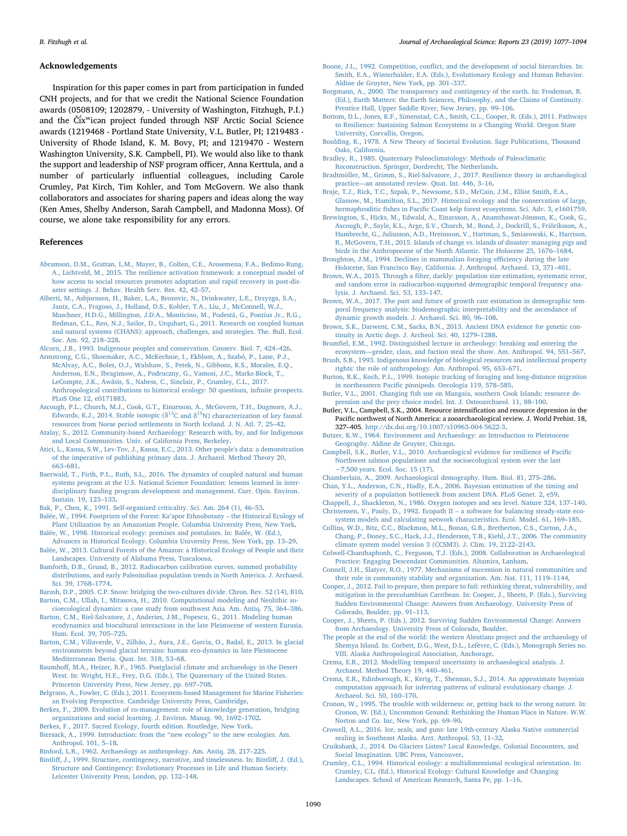#### Acknowledgements

Inspiration for this paper comes in part from participation in funded CNH projects, and for that we credit the National Science Foundation awards (0508109; 1202879, - University of Washington, Fitzhugh, P.I.) and the Čîx<sup>w</sup>ican project funded through NSF Arctic Social Science awards (1219468 - Portland State University, V.L. Butler, PI; 1219483 - University of Rhode Island, K. M. Bovy, PI; and 1219470 - Western Washington University, S.K. Campbell, PI). We would also like to thank the support and leadership of NSF program officer, Anna Kerttula, and a number of particularly influential colleagues, including Carole Crumley, Pat Kirch, Tim Kohler, and Tom McGovern. We also thank collaborators and associates for sharing papers and ideas along the way (Ken Ames, Shelby Anderson, Sarah Campbell, and Madonna Moss). Of course, we alone take responsibility for any errors.

#### References

- <span id="page-14-15"></span>[Abramson, D.M., Grattan, L.M., Mayer, B., Colten, C.E., Arosemena, F.A., Bedimo-Rung,](http://refhub.elsevier.com/S2352-409X(18)30131-7/rf0005) [A., Lichtveld, M., 2015. The resilience activation framework: a conceptual model of](http://refhub.elsevier.com/S2352-409X(18)30131-7/rf0005) [how access to social resources promotes adaptation and rapid recovery in post-dis](http://refhub.elsevier.com/S2352-409X(18)30131-7/rf0005)[aster settings. J. Behav. Health Serv. Res. 42, 42](http://refhub.elsevier.com/S2352-409X(18)30131-7/rf0005)–57.
- <span id="page-14-20"></span>[Alberti, M., Asbjornsen, H., Baker, L.A., Brozovic, N., Drinkwater, L.E., Drzyzga, S.A.,](http://refhub.elsevier.com/S2352-409X(18)30131-7/rf0010) [Jantz, C.A., Fragoso, J., Holland, D.S., Kohler, T.A., Liu, J., McConnell, W.J.,](http://refhub.elsevier.com/S2352-409X(18)30131-7/rf0010) [Maschner, H.D.G., Millington, J.D.A., Monticino, M., Podestá, G., Pontius Jr., R.G.,](http://refhub.elsevier.com/S2352-409X(18)30131-7/rf0010) [Redman, C.L., Reo, N.J., Sailor, D., Urquhart, G., 2011. Research on coupled human](http://refhub.elsevier.com/S2352-409X(18)30131-7/rf0010) [and natural systems \(CHANS\): approach, challenges, and strategies. The. Bull. Ecol.](http://refhub.elsevier.com/S2352-409X(18)30131-7/rf0010) [Soc. Am. 92, 218](http://refhub.elsevier.com/S2352-409X(18)30131-7/rf0010)–228.
- <span id="page-14-53"></span><span id="page-14-23"></span>[Alcorn, J.B., 1993. Indigenous peoples and conservation. Conserv. Biol. 7, 424](http://refhub.elsevier.com/S2352-409X(18)30131-7/rf0015)–426. [Armstrong, C.G., Shoemaker, A.C., McKechnie, I., Ekblom, A., Szabó, P., Lane, P.J.,](http://refhub.elsevier.com/S2352-409X(18)30131-7/rf0020) [McAlvay, A.C., Boles, O.J., Walshaw, S., Petek, N., Gibbons, K.S., Morales, E.Q.,](http://refhub.elsevier.com/S2352-409X(18)30131-7/rf0020) [Anderson, E.N., Ibragimow, A., Podruczny, G., Vamosi, J.C., Marks-Block, T.,](http://refhub.elsevier.com/S2352-409X(18)30131-7/rf0020) [LeCompte, J.K., Awâsis, S., Nabess, C., Sinclair, P., Crumley, C.L., 2017.](http://refhub.elsevier.com/S2352-409X(18)30131-7/rf0020) [Anthropological contributions to historical ecology: 50 questions, in](http://refhub.elsevier.com/S2352-409X(18)30131-7/rf0020)finite prospects. [PLoS One 12, e0171883](http://refhub.elsevier.com/S2352-409X(18)30131-7/rf0020).
- <span id="page-14-25"></span>[Ascough, P.L., Church, M.J., Cook, G.T., Einarsson, A., McGovern, T.H., Dugmore, A.J.,](http://refhub.elsevier.com/S2352-409X(18)30131-7/rf0025) [Edwards, K.J., 2014. Stable isotopic \(](http://refhub.elsevier.com/S2352-409X(18)30131-7/rf0025)δ<sup>13</sup>C and δ<sup>15</sup>N) characterization of key faunal [resources from Norse period settlements in North Iceland. J. N. Atl. 7, 25](http://refhub.elsevier.com/S2352-409X(18)30131-7/rf0025)–42.
- <span id="page-14-51"></span>[Atalay, S., 2012. Community-based Archaeology: Research with, by, and for Indigenous](http://refhub.elsevier.com/S2352-409X(18)30131-7/rf0030) [and Local Communities. Univ. of California Press, Berkeley](http://refhub.elsevier.com/S2352-409X(18)30131-7/rf0030).
- <span id="page-14-47"></span>[Atici, L., Kansa, S.W., Lev-Tov, J., Kansa, E.C., 2013. Other people's data: a demonstration](http://refhub.elsevier.com/S2352-409X(18)30131-7/rf0035) [of the imperative of publishing primary data. J. Archaeol. Method Theory 20,](http://refhub.elsevier.com/S2352-409X(18)30131-7/rf0035) 663–[681](http://refhub.elsevier.com/S2352-409X(18)30131-7/rf0035).
- <span id="page-14-19"></span>[Baerwald, T., Firth, P.L., Ruth, S.L., 2016. The dynamics of coupled natural and human](http://refhub.elsevier.com/S2352-409X(18)30131-7/rf0040) [systems program at the U.S. National Science Foundation: lessons learned in inter](http://refhub.elsevier.com/S2352-409X(18)30131-7/rf0040)[disciplinary funding program development and management. Curr. Opin. Environ.](http://refhub.elsevier.com/S2352-409X(18)30131-7/rf0040) [Sustain. 19, 123](http://refhub.elsevier.com/S2352-409X(18)30131-7/rf0040)–133.

<span id="page-14-3"></span>[Bak, P., Chen, K., 1991. Self-organized criticality. Sci. Am. 264 \(1\), 46](http://refhub.elsevier.com/S2352-409X(18)30131-7/rf0045)–53.

- <span id="page-14-13"></span>[Balée, W., 1994. Footprints of the Forest: Ka](http://refhub.elsevier.com/S2352-409X(18)30131-7/rf0050)'apor Ethnobotany – the Historical Ecology of [Plant Utilization by an Amazonian People. Columbia University Press, New York.](http://refhub.elsevier.com/S2352-409X(18)30131-7/rf0050) [Balée, W., 1998. Historical ecology: premises and postulates. In: Balée, W. \(Ed.\),](http://refhub.elsevier.com/S2352-409X(18)30131-7/rf0055)
- <span id="page-14-11"></span>[Advances in Historical Ecology. Columbia University Press, New York, pp. 13](http://refhub.elsevier.com/S2352-409X(18)30131-7/rf0055)–29. [Balée, W., 2013. Cultural Forests of the Amazon: a Historical Ecology of People and their](http://refhub.elsevier.com/S2352-409X(18)30131-7/rf0060) [Landscapes. University of Alabama Press, Tuscaloosa](http://refhub.elsevier.com/S2352-409X(18)30131-7/rf0060).
- <span id="page-14-35"></span>[Bamforth, D.B., Grund, B., 2012. Radiocarbon calibration curves, summed probability](http://refhub.elsevier.com/S2352-409X(18)30131-7/rf0065) [distributions, and early Paleoindian population trends in North America. J. Archaeol.](http://refhub.elsevier.com/S2352-409X(18)30131-7/rf0065) [Sci. 39, 1768](http://refhub.elsevier.com/S2352-409X(18)30131-7/rf0065)–1774.
- <span id="page-14-24"></span><span id="page-14-12"></span>[Barash, D.P., 2005. C.P. Snow: bridging the two-cultures divide. Chron. Rev. 52 \(14\), B10.](http://refhub.elsevier.com/S2352-409X(18)30131-7/rf0070) [Barton, C.M., Ullah, I., Mitasova, H., 2010. Computational modeling and Neolithic so](http://refhub.elsevier.com/S2352-409X(18)30131-7/rf0075)[cioecological dynamics: a case study from southwest Asia. Am. Antiq. 75, 364](http://refhub.elsevier.com/S2352-409X(18)30131-7/rf0075)–386.
- <span id="page-14-46"></span>[Barton, C.M., Riel-Salvatore, J., Anderies, J.M., Popescu, G., 2011. Modeling human](http://refhub.elsevier.com/S2352-409X(18)30131-7/rf0080) [ecodynamics and biocultural interactions in the late Pleistocene of western Eurasia.](http://refhub.elsevier.com/S2352-409X(18)30131-7/rf0080) [Hum. Ecol. 39, 705](http://refhub.elsevier.com/S2352-409X(18)30131-7/rf0080)–725.
- <span id="page-14-30"></span>[Barton, C.M., Villaverde, V., Zilhão, J., Aura, J.E., Garcia, O., Badal, E., 2013. In glacial](http://refhub.elsevier.com/S2352-409X(18)30131-7/rf0085) [environments beyond glacial terrains: human eco-dynamics in late Pleistocene](http://refhub.elsevier.com/S2352-409X(18)30131-7/rf0085) [Mediterranean Iberia. Quat. Int. 318, 53](http://refhub.elsevier.com/S2352-409X(18)30131-7/rf0085)–68.
- <span id="page-14-27"></span>Baumhoff[, M.A., Heizer, R.F., 1965. Postglacial climate and archaeology in the Desert](http://refhub.elsevier.com/S2352-409X(18)30131-7/rf0090) [West. In: Wright, H.E., Frey, D.G. \(Eds.\), The Quaternary of the United States.](http://refhub.elsevier.com/S2352-409X(18)30131-7/rf0090) [Princeton University Press, New Jersey, pp. 697](http://refhub.elsevier.com/S2352-409X(18)30131-7/rf0090)–708.
- <span id="page-14-14"></span>[Belgrano, A., Fowler, C. \(Eds.\), 2011. Ecosystem-based Management for Marine Fisheries:](http://refhub.elsevier.com/S2352-409X(18)30131-7/rf0095) [an Evolving Perspective. Cambridge University Press, Cambridge](http://refhub.elsevier.com/S2352-409X(18)30131-7/rf0095).
- <span id="page-14-48"></span>[Berkes, F., 2009. Evolution of co-management: role of knowledge generation, bridging](http://refhub.elsevier.com/S2352-409X(18)30131-7/rf0100) [organizations and social learning. J. Environ. Manag. 90, 1692](http://refhub.elsevier.com/S2352-409X(18)30131-7/rf0100)–1702.
- <span id="page-14-54"></span><span id="page-14-4"></span>[Berkes, F., 2017. Sacred Ecology, fourth edition. Routledge, New York](http://refhub.elsevier.com/S2352-409X(18)30131-7/rf0105). [Biersack, A., 1999. Introduction: from the](http://refhub.elsevier.com/S2352-409X(18)30131-7/rf0110) "new ecology" to the new ecologies. Am. [Anthropol. 101, 5](http://refhub.elsevier.com/S2352-409X(18)30131-7/rf0110)–18.

<span id="page-14-1"></span>[Binford, L.R., 1962. Archaeology as anthropology. Am. Antiq. 28, 217](http://refhub.elsevier.com/S2352-409X(18)30131-7/rf0115)–225.

<span id="page-14-6"></span>Bintliff[, J., 1999. Structure, contingency, narrative, and timelessness. In: Bintli](http://refhub.elsevier.com/S2352-409X(18)30131-7/rf0120)ff, J. (Ed.), [Structure and Contingency: Evolutionary Processes in Life and Human Society.](http://refhub.elsevier.com/S2352-409X(18)30131-7/rf0120) [Leicester University Press, London, pp. 132](http://refhub.elsevier.com/S2352-409X(18)30131-7/rf0120)–148.

- <span id="page-14-7"></span>Boone, J.L., 1992. Competition, confl[ict, and the development of social hierarchies. In:](http://refhub.elsevier.com/S2352-409X(18)30131-7/rf0125) [Smith, E.A., Winterhalder, E.A. \(Eds.\), Evolutionary Ecology and Human Behavior.](http://refhub.elsevier.com/S2352-409X(18)30131-7/rf0125) [Aldine de Gruyter, New York, pp. 301](http://refhub.elsevier.com/S2352-409X(18)30131-7/rf0125)–337.
- <span id="page-14-56"></span>[Borgmann, A., 2000. The transparency and contingency of the earth. In: Frodeman, R.](http://refhub.elsevier.com/S2352-409X(18)30131-7/rf0130) [\(Ed.\), Earth Matters: the Earth Sciences, Philosophy, and the Claims of Continuity.](http://refhub.elsevier.com/S2352-409X(18)30131-7/rf0130) [Prentice Hall, Upper Saddle River, New Jersey, pp. 99](http://refhub.elsevier.com/S2352-409X(18)30131-7/rf0130)–106.
- <span id="page-14-16"></span>[Bottom, D.L., Jones, K.F., Simenstad, C.A., Smith, C.L., Cooper, R. \(Eds.\), 2011. Pathways](http://refhub.elsevier.com/S2352-409X(18)30131-7/rf0135) [to Resilience: Sustaining Salmon Ecosystems in a Changing World. Oregon State](http://refhub.elsevier.com/S2352-409X(18)30131-7/rf0135) [University, Corvallis, Oregon.](http://refhub.elsevier.com/S2352-409X(18)30131-7/rf0135)
- <span id="page-14-18"></span>[Boulding, K., 1978. A New Theory of Societal Evolution. Sage Publications, Thousand](http://refhub.elsevier.com/S2352-409X(18)30131-7/rf0140) [Oaks, California](http://refhub.elsevier.com/S2352-409X(18)30131-7/rf0140).
- <span id="page-14-39"></span>[Bradley, R., 1985. Quaternary Paleoclimatology: Methods of Paleoclimatic](http://refhub.elsevier.com/S2352-409X(18)30131-7/rf0145) [Reconstruction. Springer, Dordrecht, The Netherlands.](http://refhub.elsevier.com/S2352-409X(18)30131-7/rf0145)
- <span id="page-14-17"></span>Bradtmö[ller, M., Grimm, S., Riel-Salvatore, J., 2017. Resilience theory in archaeological](http://refhub.elsevier.com/S2352-409X(18)30131-7/rf0150) practice—[an annotated review. Quat. Int. 446, 3](http://refhub.elsevier.com/S2352-409X(18)30131-7/rf0150)–16.
- <span id="page-14-31"></span>[Braje, T.J., Rick, T.C., Szpak, P., Newsome, S.D., McCain, J.M., Elliot Smith, E.A.,](http://refhub.elsevier.com/S2352-409X(18)30131-7/rf0155) [Glassow, M., Hamilton, S.L., 2017. Historical ecology and the conservation of large,](http://refhub.elsevier.com/S2352-409X(18)30131-7/rf0155) hermaphroditic fishes in Pacifi[c Coast kelp forest ecosystems. Sci. Adv. 3, e1601759.](http://refhub.elsevier.com/S2352-409X(18)30131-7/rf0155)
- <span id="page-14-26"></span>[Brewington, S., Hicks, M., Edwald, A., Einarsson, A., Anamthawat-Jónsson, K., Cook, G.,](http://refhub.elsevier.com/S2352-409X(18)30131-7/rf0160) [Ascough, P., Sayle, K.L., Arge, S.V., Church, M., Bond, J., Dockrill, S., Fri](http://refhub.elsevier.com/S2352-409X(18)30131-7/rf0160)ŏriksson, A., [Hambrecht, G., Juliusson, A.D., Hreinsson, V., Hartman, S., Smiarowski, K., Harrison,](http://refhub.elsevier.com/S2352-409X(18)30131-7/rf0160) [R., McGovern, T.H., 2015. Islands of change vs. islands of disaster: managing pigs and](http://refhub.elsevier.com/S2352-409X(18)30131-7/rf0160) [birds in the Anthropocene of the North Atlantic. The Holocene 25, 1676](http://refhub.elsevier.com/S2352-409X(18)30131-7/rf0160)–1684.
- <span id="page-14-8"></span>[Broughton, J.M., 1994. Declines in mammalian foraging e](http://refhub.elsevier.com/S2352-409X(18)30131-7/rf0165)fficiency during the late [Holocene, San Francisco Bay, California. J. Anthropol. Archaeol. 13, 371](http://refhub.elsevier.com/S2352-409X(18)30131-7/rf0165)–401.
- <span id="page-14-34"></span>Brown, W.A., 2015. Through a fi[lter, darkly: population size estimation, systematic error,](http://refhub.elsevier.com/S2352-409X(18)30131-7/rf0170) [and random error in radiocarbon-supported demographic temporal frequency ana](http://refhub.elsevier.com/S2352-409X(18)30131-7/rf0170)[lysis. J. Archaeol. Sci. 53, 133](http://refhub.elsevier.com/S2352-409X(18)30131-7/rf0170)–147.
- [Brown, W.A., 2017. The past and future of growth rate estimation in demographic tem](http://refhub.elsevier.com/S2352-409X(18)30131-7/rf0175)[poral frequency analysis: biodemographic interpretability and the ascendance of](http://refhub.elsevier.com/S2352-409X(18)30131-7/rf0175) [dynamic growth models. J. Archaeol. Sci. 80, 96](http://refhub.elsevier.com/S2352-409X(18)30131-7/rf0175)–108.
- <span id="page-14-45"></span>[Brown, S.K., Darwent, C.M., Sacks, B.N., 2013. Ancient DNA evidence for genetic con](http://refhub.elsevier.com/S2352-409X(18)30131-7/rf0180)[tinuity in Arctic dogs. J. Archeol. Sci. 40, 1279](http://refhub.elsevier.com/S2352-409X(18)30131-7/rf0180)–1288.
- <span id="page-14-5"></span>Brumfi[el, E.M., 1992. Distinguished lecture in archeology: breaking and entering the](http://refhub.elsevier.com/S2352-409X(18)30131-7/rf0185) ecosystem—[gender, class, and faction steal the show. Am. Anthropol. 94, 551](http://refhub.elsevier.com/S2352-409X(18)30131-7/rf0185)–567.
- <span id="page-14-50"></span>[Brush, S.B., 1993. Indigenous knowledge of biological resources and intellectual property](http://refhub.elsevier.com/S2352-409X(18)30131-7/rf0190) [rights: the role of anthropology. Am. Anthropol. 95, 653](http://refhub.elsevier.com/S2352-409X(18)30131-7/rf0190)–671.
- <span id="page-14-43"></span>[Burton, R.K., Koch, P.L., 1999. Isotopic tracking of foraging and long-distance migration](http://refhub.elsevier.com/S2352-409X(18)30131-7/rf0195) in northeastern Pacifi[c pinnipeds. Oecologia 119, 578](http://refhub.elsevier.com/S2352-409X(18)30131-7/rf0195)–585.
- <span id="page-14-9"></span>Butler, V.L., 2001. Changing fish [use on Mangaia, southern Cook Islands: resource de](http://refhub.elsevier.com/S2352-409X(18)30131-7/rf0200)[pression and the prey choice model. Int. J. Osteoarchaeol. 11, 88](http://refhub.elsevier.com/S2352-409X(18)30131-7/rf0200)–100.
- <span id="page-14-32"></span>Butler, V.L., Campbell, S.K., 2004. Resource intensification and resource depression in the Pacific northwest of North America: a zooarchaeological review. J. World Prehist. 18, 327–405. <http://dx.doi.org/10.1007/s10963-004-5622-3>.
- <span id="page-14-40"></span>[Butzer, K.W., 1964. Environment and Archaeology: an Introduction to Pleistocene](http://refhub.elsevier.com/S2352-409X(18)30131-7/rf0210) [Geography. Aldine de Gruyter, Chicago.](http://refhub.elsevier.com/S2352-409X(18)30131-7/rf0210)
- <span id="page-14-22"></span>[Campbell, S.K., Butler, V.L., 2010. Archaeological evidence for resilience of Paci](http://refhub.elsevier.com/S2352-409X(18)30131-7/rf0215)fic [Northwest salmon populations and the socioecological system over the last](http://refhub.elsevier.com/S2352-409X(18)30131-7/rf0215) [~7,500 years. Ecol. Soc. 15 \(17\).](http://refhub.elsevier.com/S2352-409X(18)30131-7/rf0215)
- <span id="page-14-38"></span><span id="page-14-33"></span>[Chamberlain, A., 2009. Archaeological demography. Hum. Biol. 81, 275](http://refhub.elsevier.com/S2352-409X(18)30131-7/rf0220)–286. [Chan, Y.L., Anderson, C.N., Hadly, E.A., 2006. Bayesian estimation of the timing and](http://refhub.elsevier.com/S2352-409X(18)30131-7/rf0225)
- <span id="page-14-41"></span>[severity of a population bottleneck from ancient DNA. PLoS Genet. 2, e59.](http://refhub.elsevier.com/S2352-409X(18)30131-7/rf0225) [Chappell, J., Shackleton, N., 1986. Oxygen isotopes and sea level. Nature 324, 137](http://refhub.elsevier.com/S2352-409X(18)30131-7/rf0230)–140.
- <span id="page-14-44"></span>[Christensen, V., Pauly, D., 1992. Ecopath II](http://refhub.elsevier.com/S2352-409X(18)30131-7/rf0235) – a software for balancing steady-state eco[system models and calculating network characteristics. Ecol. Model. 61, 169](http://refhub.elsevier.com/S2352-409X(18)30131-7/rf0235)–185.
- <span id="page-14-42"></span>[Collins, W.D., Bitz, C.C., Blackmon, M.L., Bonan, G.B., Bretherton, C.S., Carton, J.A.,](http://refhub.elsevier.com/S2352-409X(18)30131-7/rf0240) [Chang, P., Doney, S.C., Hack, J.J., Henderson, T.B., Kiehl, J.T., 2006. The community](http://refhub.elsevier.com/S2352-409X(18)30131-7/rf0240) [climate system model version 3 \(CCSM3\). J. Clim. 19, 2122](http://refhub.elsevier.com/S2352-409X(18)30131-7/rf0240)–2143.
- <span id="page-14-52"></span>[Colwell-Chanthaphonh, C., Ferguson, T.J. \(Eds.\), 2008. Collaboration in Archaeological](http://refhub.elsevier.com/S2352-409X(18)30131-7/rf0245) [Practice: Engaging Descendant Communities. Altamira, Lanham](http://refhub.elsevier.com/S2352-409X(18)30131-7/rf0245).
- <span id="page-14-2"></span>[Connell, J.H., Slatyer, R.O., 1977. Mechanisms of succession in natural communities and](http://refhub.elsevier.com/S2352-409X(18)30131-7/rf0250) [their role in community stability and organization. Am. Nat. 111, 1119](http://refhub.elsevier.com/S2352-409X(18)30131-7/rf0250)–1144.
- <span id="page-14-29"></span>[Cooper, J., 2012. Fail to prepare, then prepare to fail: rethinking threat, vulnerability, and](http://refhub.elsevier.com/S2352-409X(18)30131-7/rf0255) [mitigation in the precolumbian Carribean. In: Cooper, J., Sheets, P. \(Eds.\), Surviving](http://refhub.elsevier.com/S2352-409X(18)30131-7/rf0255) [Sudden Environmental Change: Answers from Archaeology. University Press of](http://refhub.elsevier.com/S2352-409X(18)30131-7/rf0255) [Colorado, Boulder, pp. 91](http://refhub.elsevier.com/S2352-409X(18)30131-7/rf0255)–113.
- <span id="page-14-28"></span>[Cooper, J., Sheets, P. \(Eds.\), 2012. Surviving Sudden Environmental Change: Answers](http://refhub.elsevier.com/S2352-409X(18)30131-7/rf0260) [from Archaeology. University Press of Colorado, Boulder](http://refhub.elsevier.com/S2352-409X(18)30131-7/rf0260).
- <span id="page-14-21"></span>[The people at the end of the world: the western Aleutians project and the archaeology of](http://refhub.elsevier.com/S2352-409X(18)30131-7/rf0265) [Shemya Island. In: Corbett, D.G., West, D.L., Lefèvre, C. \(Eds.\), Monograph Series no.](http://refhub.elsevier.com/S2352-409X(18)30131-7/rf0265) [VIII. Alaska Anthropological Association, Anchorage.](http://refhub.elsevier.com/S2352-409X(18)30131-7/rf0265)
- <span id="page-14-36"></span>[Crema, E.R., 2012. Modelling temporal uncertainty in archaeological analysis. J.](http://refhub.elsevier.com/S2352-409X(18)30131-7/rf0270) [Archaeol. Method Theory 19, 440](http://refhub.elsevier.com/S2352-409X(18)30131-7/rf0270)–461.
- <span id="page-14-37"></span>[Crema, E.R., Edinborough, K., Kerig, T., Shennan, S.J., 2014. An approximate bayesian](http://refhub.elsevier.com/S2352-409X(18)30131-7/rf0275) [computation approach for inferring patterns of cultural evolutionary change. J.](http://refhub.elsevier.com/S2352-409X(18)30131-7/rf0275) [Archaeol. Sci. 50, 160](http://refhub.elsevier.com/S2352-409X(18)30131-7/rf0275)–170.
- <span id="page-14-0"></span>[Cronon, W., 1995. The trouble with wilderness: or, getting back to the wrong nature. In:](http://refhub.elsevier.com/S2352-409X(18)30131-7/rf0280) [Cronon, W. \(Ed.\), Uncommon Ground: Rethinking the Human Place in Nature. W.W.](http://refhub.elsevier.com/S2352-409X(18)30131-7/rf0280) [Norton and Co. Inc, New York, pp. 69](http://refhub.elsevier.com/S2352-409X(18)30131-7/rf0280)–90.
- <span id="page-14-55"></span>[Crowell, A.L., 2016. Ice, seals, and guns: late 19th-century Alaska Native commercial](http://refhub.elsevier.com/S2352-409X(18)30131-7/rf0285) [sealing in Southeast Alaska. Arct. Anthropol. 53, 11](http://refhub.elsevier.com/S2352-409X(18)30131-7/rf0285)–32.
- <span id="page-14-49"></span>[Cruikshank, J., 2014. Do Glaciers Listen? Local Knowledge, Colonial Encounters, and](http://refhub.elsevier.com/S2352-409X(18)30131-7/rf0290) [Social Imagination. UBC Press, Vancouver](http://refhub.elsevier.com/S2352-409X(18)30131-7/rf0290).
- <span id="page-14-10"></span>[Crumley, C.L., 1994. Historical ecology: a multidimensional ecological orientation. In:](http://refhub.elsevier.com/S2352-409X(18)30131-7/rf0295) [Crumley, C.L. \(Ed.\), Historical Ecology: Cultural Knowledge and Changing](http://refhub.elsevier.com/S2352-409X(18)30131-7/rf0295) [Landscapes. School of American Research, Santa Fe, pp. 1](http://refhub.elsevier.com/S2352-409X(18)30131-7/rf0295)–16.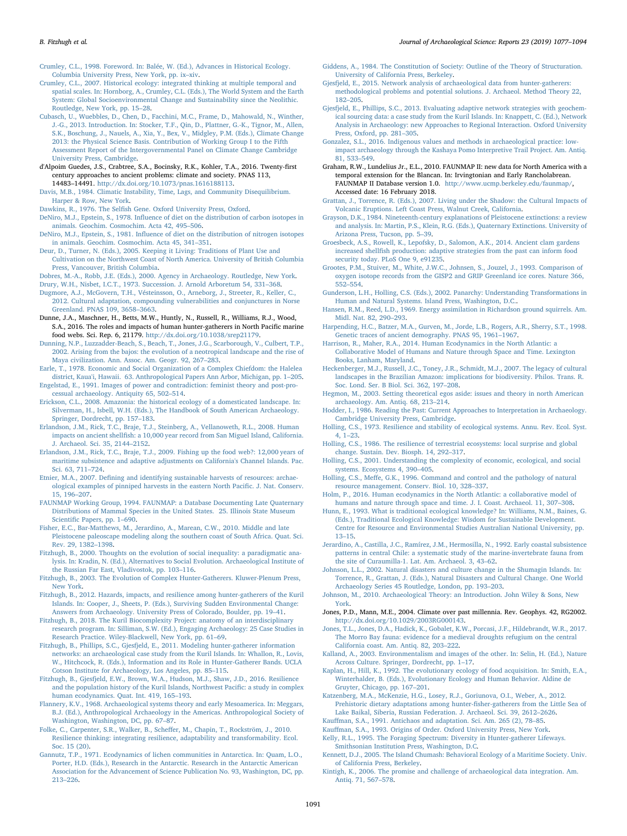- <span id="page-15-18"></span>[Crumley, C.L., 1998. Foreword. In: Balée, W. \(Ed.\), Advances in Historical Ecology.](http://refhub.elsevier.com/S2352-409X(18)30131-7/rf0300) [Columbia University Press, New York, pp. ix](http://refhub.elsevier.com/S2352-409X(18)30131-7/rf0300)–xiv.
- <span id="page-15-17"></span>[Crumley, C.L., 2007. Historical ecology: integrated thinking at multiple temporal and](http://refhub.elsevier.com/S2352-409X(18)30131-7/rf0305) [spatial scales. In: Hornborg, A., Crumley, C.L. \(Eds.\), The World System and the Earth](http://refhub.elsevier.com/S2352-409X(18)30131-7/rf0305) [System: Global Socioenvironmental Change and Sustainability since the Neolithic.](http://refhub.elsevier.com/S2352-409X(18)30131-7/rf0305) [Routledge, New York, pp. 15](http://refhub.elsevier.com/S2352-409X(18)30131-7/rf0305)–28.
- <span id="page-15-49"></span>[Cubasch, U., Wuebbles, D., Chen, D., Facchini, M.C., Frame, D., Mahowald, N., Winther,](http://refhub.elsevier.com/S2352-409X(18)30131-7/rf0310) [J.-G., 2013. Introduction. In: Stocker, T.F., Qin, D., Plattner, G.-K., Tignor, M., Allen,](http://refhub.elsevier.com/S2352-409X(18)30131-7/rf0310) [S.K., Boschung, J., Nauels, A., Xia, Y., Bex, V., Midgley, P.M. \(Eds.\), Climate Change](http://refhub.elsevier.com/S2352-409X(18)30131-7/rf0310) [2013: the Physical Science Basis. Contribution of Working Group I to the Fifth](http://refhub.elsevier.com/S2352-409X(18)30131-7/rf0310) [Assessment Report of the Intergovernmental Panel on Climate Change Cambridge](http://refhub.elsevier.com/S2352-409X(18)30131-7/rf0310) [University Press, Cambridge.](http://refhub.elsevier.com/S2352-409X(18)30131-7/rf0310)
- <span id="page-15-53"></span>d'Alpoim Guedes, J.S., Crabtree, S.A., Bocinsky, R.K., Kohler, T.A., 2016. Twenty-first century approaches to ancient problems: climate and society. PNAS 113, 14483–14491. <http://dx.doi.org/10.1073/pnas.1616188113>.

<span id="page-15-4"></span>[Davis, M.B., 1984. Climatic Instability, Time, Lags, and Community Disequilibrium.](http://refhub.elsevier.com/S2352-409X(18)30131-7/rf0320) [Harper & Row, New York.](http://refhub.elsevier.com/S2352-409X(18)30131-7/rf0320)

- <span id="page-15-7"></span>Dawkins, R., 1976. The Selfi[sh Gene. Oxford University Press, Oxford](http://refhub.elsevier.com/S2352-409X(18)30131-7/rf0325).
- <span id="page-15-52"></span>DeNiro, M.J., Epstein, S., 1978. Infl[uence of diet on the distribution of carbon isotopes in](http://refhub.elsevier.com/S2352-409X(18)30131-7/rf0330) [animals. Geochim. Cosmochim. Acta 42, 495](http://refhub.elsevier.com/S2352-409X(18)30131-7/rf0330)–506.
- DeNiro, M.J., Epstein, S., 1981. Infl[uence of diet on the distribution of nitrogen isotopes](http://refhub.elsevier.com/S2352-409X(18)30131-7/rf0335) [in animals. Geochim. Cosmochim. Acta 45, 341](http://refhub.elsevier.com/S2352-409X(18)30131-7/rf0335)–351.
- <span id="page-15-45"></span>[Deur, D., Turner, N. \(Eds.\), 2005. Keeping it Living: Traditions of Plant Use and](http://refhub.elsevier.com/S2352-409X(18)30131-7/rf0340) [Cultivation on the Northwest Coast of North America. University of British Columbia](http://refhub.elsevier.com/S2352-409X(18)30131-7/rf0340) [Press, Vancouver, British Columbia.](http://refhub.elsevier.com/S2352-409X(18)30131-7/rf0340)
- <span id="page-15-11"></span>[Dobres, M.-A., Robb, J.E. \(Eds.\), 2000. Agency in Archaeology. Routledge, New York.](http://refhub.elsevier.com/S2352-409X(18)30131-7/rf0345)

<span id="page-15-3"></span>[Drury, W.H., Nisbet, I.C.T., 1973. Succession. J. Arnold Arboretum 54, 331](http://refhub.elsevier.com/S2352-409X(18)30131-7/rf0350)–368.

- <span id="page-15-61"></span>[Dugmore, A.J., McGovern, T.H., Vésteinsson, O., Arneborg, J., Streeter, R., Keller, C.,](http://refhub.elsevier.com/S2352-409X(18)30131-7/rf0355) [2012. Cultural adaptation, compounding vulnerabilities and conjunctures in Norse](http://refhub.elsevier.com/S2352-409X(18)30131-7/rf0355) [Greenland. PNAS 109, 3658](http://refhub.elsevier.com/S2352-409X(18)30131-7/rf0355)–3663.
- <span id="page-15-46"></span>Dunne, J.A., Maschner, H., Betts, M.W., Huntly, N., Russell, R., Williams, R.J., Wood, S.A., 2016. The roles and impacts of human hunter-gatherers in North Pacific marine food webs. Sci. Rep. 6, 21179. <http://dx.doi.org/10.1038/srep21179>.
- <span id="page-15-20"></span>[Dunning, N.P., Luzzadder-Beach, S., Beach, T., Jones, J.G., Scarborough, V., Culbert, T.P.,](http://refhub.elsevier.com/S2352-409X(18)30131-7/rf0365) [2002. Arising from the bajos: the evolution of a neotropical landscape and the rise of](http://refhub.elsevier.com/S2352-409X(18)30131-7/rf0365) [Maya civilization. Ann. Assoc. Am. Geogr. 92, 267](http://refhub.elsevier.com/S2352-409X(18)30131-7/rf0365)–283.
- <span id="page-15-10"></span>[Earle, T., 1978. Economic and Social Organization of a Complex Chiefdom: the Halelea](http://refhub.elsevier.com/S2352-409X(18)30131-7/rf0370) [district, Kaua'i, Hawaii. 63. Anthropological Papers Ann Arbor, Michigan, pp. 1](http://refhub.elsevier.com/S2352-409X(18)30131-7/rf0370)–205.
- <span id="page-15-12"></span>[Engelstad, E., 1991. Images of power and contradiction: feminist theory and post-pro](http://refhub.elsevier.com/S2352-409X(18)30131-7/rf0375)[cessual archaeology. Antiquity 65, 502](http://refhub.elsevier.com/S2352-409X(18)30131-7/rf0375)–514.
- <span id="page-15-22"></span>[Erickson, C.L., 2008. Amazonia: the historical ecology of a domesticated landscape. In:](http://refhub.elsevier.com/S2352-409X(18)30131-7/rf0380) [Silverman, H., Isbell, W.H. \(Eds.\), The Handbook of South American Archaeology.](http://refhub.elsevier.com/S2352-409X(18)30131-7/rf0380)
- <span id="page-15-43"></span>[Springer, Dordrecht, pp. 157](http://refhub.elsevier.com/S2352-409X(18)30131-7/rf0380)–183. [Erlandson, J.M., Rick, T.C., Braje, T.J., Steinberg, A., Vellanoweth, R.L., 2008. Human](http://refhub.elsevier.com/S2352-409X(18)30131-7/rf0385) impacts on ancient shellfi[sh: a 10,000 year record from San Miguel Island, California.](http://refhub.elsevier.com/S2352-409X(18)30131-7/rf0385) [J. Archaeol. Sci. 35, 2144](http://refhub.elsevier.com/S2352-409X(18)30131-7/rf0385)–2152.
- [Erlandson, J.M., Rick, T.C., Braje, T.J., 2009. Fishing up the food web?: 12,000 years of](http://refhub.elsevier.com/S2352-409X(18)30131-7/rf0390) maritime [subsistence and adaptive adjustments on California's Channel Islands. Pac.](http://refhub.elsevier.com/S2352-409X(18)30131-7/rf0390) [Sci. 63, 711](http://refhub.elsevier.com/S2352-409X(18)30131-7/rf0390)–724.
- <span id="page-15-44"></span>Etnier, M.A., 2007. Defi[ning and identifying sustainable harvests of resources: archae](http://refhub.elsevier.com/S2352-409X(18)30131-7/rf0395)[ological examples of pinniped harvests in the eastern North Paci](http://refhub.elsevier.com/S2352-409X(18)30131-7/rf0395)fic. J. Nat. Conserv. [15, 196](http://refhub.elsevier.com/S2352-409X(18)30131-7/rf0395)–207.
- <span id="page-15-54"></span>[FAUNMAP Working Group, 1994. FAUNMAP: a Database Documenting Late Quaternary](http://refhub.elsevier.com/S2352-409X(18)30131-7/rf0400) [Distributions of Mammal Species in the United States. 25. Illinois State Museum](http://refhub.elsevier.com/S2352-409X(18)30131-7/rf0400) Scientifi[c Papers, pp. 1](http://refhub.elsevier.com/S2352-409X(18)30131-7/rf0400)–690.
- <span id="page-15-40"></span>[Fisher, E.C., Bar-Matthews, M., Jerardino, A., Marean, C.W., 2010. Middle and late](http://refhub.elsevier.com/S2352-409X(18)30131-7/rf0405) [Pleistocene paleoscape modeling along the southern coast of South Africa. Quat. Sci.](http://refhub.elsevier.com/S2352-409X(18)30131-7/rf0405) [Rev. 29, 1382](http://refhub.elsevier.com/S2352-409X(18)30131-7/rf0405)–1398.
- <span id="page-15-2"></span>[Fitzhugh, B., 2000. Thoughts on the evolution of social inequality: a paradigmatic ana](http://refhub.elsevier.com/S2352-409X(18)30131-7/rf0410)[lysis. In: Kradin, N. \(Ed.\), Alternatives to Social Evolution. Archaeological Institute of](http://refhub.elsevier.com/S2352-409X(18)30131-7/rf0410) [the Russian Far East, Vladivostok, pp. 103](http://refhub.elsevier.com/S2352-409X(18)30131-7/rf0410)–116.
- <span id="page-15-15"></span>[Fitzhugh, B., 2003. The Evolution of Complex Hunter-Gatherers. Kluwer-Plenum Press,](http://refhub.elsevier.com/S2352-409X(18)30131-7/rf0415) [New York.](http://refhub.elsevier.com/S2352-409X(18)30131-7/rf0415)
- <span id="page-15-34"></span>[Fitzhugh, B., 2012. Hazards, impacts, and resilience among hunter-gatherers of the Kuril](http://refhub.elsevier.com/S2352-409X(18)30131-7/rf0420) [Islands. In: Cooper, J., Sheets, P. \(Eds.\), Surviving Sudden Environmental Change:](http://refhub.elsevier.com/S2352-409X(18)30131-7/rf0420) [Answers from Archaeology. University Press of Colorado, Boulder, pp. 19](http://refhub.elsevier.com/S2352-409X(18)30131-7/rf0420)–41.

[Fitzhugh, B., 2018. The Kuril Biocomplexity Project: anatomy of an interdisciplinary](http://refhub.elsevier.com/S2352-409X(18)30131-7/rf0425) [research program. In: Silliman, S.W. \(Ed.\), Engaging Archaeology: 25 Case Studies in](http://refhub.elsevier.com/S2352-409X(18)30131-7/rf0425) [Research Practice. Wiley-Blackwell, New York, pp. 61](http://refhub.elsevier.com/S2352-409X(18)30131-7/rf0425)–69.

- <span id="page-15-35"></span>[Fitzhugh, B., Phillips, S.C., Gjesfjeld, E., 2011. Modeling hunter-gatherer information](http://refhub.elsevier.com/S2352-409X(18)30131-7/rf0430) [networks: an archaeological case study from the Kuril Islands. In: Whallon, R., Lovis,](http://refhub.elsevier.com/S2352-409X(18)30131-7/rf0430) [W., Hitchcock, R. \(Eds.\), Information and its Role in Hunter-Gatherer Bands. UCLA](http://refhub.elsevier.com/S2352-409X(18)30131-7/rf0430) [Cotson Institute for Archaeology, Los Angeles, pp. 85](http://refhub.elsevier.com/S2352-409X(18)30131-7/rf0430)–115.
- <span id="page-15-33"></span>[Fitzhugh, B., Gjesfjeld, E.W., Brown, W.A., Hudson, M.J., Shaw, J.D., 2016. Resilience](http://refhub.elsevier.com/S2352-409X(18)30131-7/rf0435) [and the population history of the Kuril Islands, Northwest Paci](http://refhub.elsevier.com/S2352-409X(18)30131-7/rf0435)fic: a study in complex [human ecodynamics. Quat. Int. 419, 165](http://refhub.elsevier.com/S2352-409X(18)30131-7/rf0435)–193.
- <span id="page-15-31"></span>Flannery, K.V., 1968. Archaeological systems theory and early Mesoamerica. In: Meggars [B.J. \(Ed.\), Anthropological Archaeology in the Americas. Anthropological Society of](http://refhub.elsevier.com/S2352-409X(18)30131-7/rf0440) [Washington, Washington, DC, pp. 67](http://refhub.elsevier.com/S2352-409X(18)30131-7/rf0440)–87.
- <span id="page-15-27"></span>[Folke, C., Carpenter, S.R., Walker, B., Sche](http://refhub.elsevier.com/S2352-409X(18)30131-7/rf0445)ffer, M., Chapin, T., Rockström, J., 2010. [Resilience thinking: integrating resilience, adaptability and transformability. Ecol.](http://refhub.elsevier.com/S2352-409X(18)30131-7/rf0445) [Soc. 15 \(20\).](http://refhub.elsevier.com/S2352-409X(18)30131-7/rf0445)
- <span id="page-15-29"></span>[Gannutz, T.P., 1971. Ecodynamics of lichen communities in Antarctica. In: Quam, L.O.,](http://refhub.elsevier.com/S2352-409X(18)30131-7/rf0450) [Porter, H.D. \(Eds.\), Research in the Antarctic. Research in the Antarctic American](http://refhub.elsevier.com/S2352-409X(18)30131-7/rf0450) [Association for the Advancement of Science Publication No. 93, Washington, DC, pp.](http://refhub.elsevier.com/S2352-409X(18)30131-7/rf0450) 213–[226](http://refhub.elsevier.com/S2352-409X(18)30131-7/rf0450).
- <span id="page-15-19"></span>[Giddens, A., 1984. The Constitution of Society: Outline of the Theory of Structuration.](http://refhub.elsevier.com/S2352-409X(18)30131-7/rf0455) [University of California Press, Berkeley](http://refhub.elsevier.com/S2352-409X(18)30131-7/rf0455).
- <span id="page-15-36"></span>[Gjesfjeld, E., 2015. Network analysis of archaeological data from hunter-gatherers:](http://refhub.elsevier.com/S2352-409X(18)30131-7/rf0460) [methodological problems and potential solutions. J. Archaeol. Method Theory 22,](http://refhub.elsevier.com/S2352-409X(18)30131-7/rf0460) 182–[205](http://refhub.elsevier.com/S2352-409X(18)30131-7/rf0460).
- <span id="page-15-37"></span>[Gjesfjeld, E., Phillips, S.C., 2013. Evaluating adaptive network strategies with geochem](http://refhub.elsevier.com/S2352-409X(18)30131-7/rf0465)[ical sourcing data: a case study from the Kuril Islands. In: Knappett, C. \(Ed.\), Network](http://refhub.elsevier.com/S2352-409X(18)30131-7/rf0465) [Analysis in Archaeology: new Approaches to Regional Interaction. Oxford University](http://refhub.elsevier.com/S2352-409X(18)30131-7/rf0465) [Press, Oxford, pp. 281](http://refhub.elsevier.com/S2352-409X(18)30131-7/rf0465)–305.
- <span id="page-15-58"></span>[Gonzalez, S.L., 2016. Indigenous values and methods in archaeological practice: low](http://refhub.elsevier.com/S2352-409X(18)30131-7/rf0470)[impact archaeology through the Kashaya Pomo Interpretive Trail Project. Am. Antiq.](http://refhub.elsevier.com/S2352-409X(18)30131-7/rf0470) [81, 533](http://refhub.elsevier.com/S2352-409X(18)30131-7/rf0470)–549.
- <span id="page-15-55"></span>Graham, R.W., Lundelius Jr., E.L., 2010. FAUNMAP II: new data for North America with a temporal extension for the Blancan. In: Irvingtonian and Early Rancholabrean. FAUNMAP II Database version 1.0. [http://www.ucmp.berkeley.edu/faunmap/,](http://www.ucmp.berkeley.edu/faunmap/) Accessed date: 16 February 2018.
- <span id="page-15-38"></span>[Grattan, J., Torrence, R. \(Eds.\), 2007. Living under the Shadow: the Cultural Impacts of](http://refhub.elsevier.com/S2352-409X(18)30131-7/rf0480) [Volcanic Eruptions. Left Coast Press, Walnut Creek, California](http://refhub.elsevier.com/S2352-409X(18)30131-7/rf0480).
- <span id="page-15-48"></span>[Grayson, D.K., 1984. Nineteenth-century explanations of Pleistocene extinctions: a review](http://refhub.elsevier.com/S2352-409X(18)30131-7/rf0485) [and analysis. In: Martin, P.S., Klein, R.G. \(Eds.\), Quaternary Extinctions. University of](http://refhub.elsevier.com/S2352-409X(18)30131-7/rf0485) [Arizona Press, Tucson, pp. 5](http://refhub.elsevier.com/S2352-409X(18)30131-7/rf0485)–39.
- <span id="page-15-60"></span>[Groesbeck, A.S., Rowell, K., Lepofsky, D., Salomon, A.K., 2014. Ancient clam gardens](http://refhub.elsevier.com/S2352-409X(18)30131-7/rf0490) increased shellfi[sh production: adaptive strategies from the past can inform food](http://refhub.elsevier.com/S2352-409X(18)30131-7/rf0490) [security today. PLoS One 9, e91235.](http://refhub.elsevier.com/S2352-409X(18)30131-7/rf0490)
- <span id="page-15-50"></span>[Grootes, P.M., Stuiver, M., White, J.W.C., Johnsen, S., Jouzel, J., 1993. Comparison of](http://refhub.elsevier.com/S2352-409X(18)30131-7/rf0495) [oxygen isotope records from the GISP2 and GRIP Greenland ice cores. Nature 366,](http://refhub.elsevier.com/S2352-409X(18)30131-7/rf0495) 552–[554](http://refhub.elsevier.com/S2352-409X(18)30131-7/rf0495).
- <span id="page-15-25"></span>[Gunderson, L.H., Holling, C.S. \(Eds.\), 2002. Panarchy: Understanding Transformations in](http://refhub.elsevier.com/S2352-409X(18)30131-7/rf0500) [Human and Natural Systems. Island Press, Washington, D.C..](http://refhub.elsevier.com/S2352-409X(18)30131-7/rf0500)
- <span id="page-15-30"></span>[Hansen, R.M., Reed, L.D., 1969. Energy assimilation in Richardson ground squirrels. Am.](http://refhub.elsevier.com/S2352-409X(18)30131-7/rf0505) [Midl. Nat. 82, 290](http://refhub.elsevier.com/S2352-409X(18)30131-7/rf0505)–293.
- <span id="page-15-47"></span>[Harpending, H.C., Batzer, M.A., Gurven, M., Jorde, L.B., Rogers, A.R., Sherry, S.T., 1998.](http://refhub.elsevier.com/S2352-409X(18)30131-7/rf0510) [Genetic traces of ancient demography. PNAS 95, 1961](http://refhub.elsevier.com/S2352-409X(18)30131-7/rf0510)–1967.
- <span id="page-15-1"></span>[Harrison, R., Maher, R.A., 2014. Human Ecodynamics in the North Atlantic: a](http://refhub.elsevier.com/S2352-409X(18)30131-7/rf0515) [Collaborative Model of Humans and Nature through Space and Time. Lexington](http://refhub.elsevier.com/S2352-409X(18)30131-7/rf0515) [Books, Lanham, Maryland.](http://refhub.elsevier.com/S2352-409X(18)30131-7/rf0515)
- <span id="page-15-21"></span>[Heckenberger, M.J., Russell, J.C., Toney, J.R., Schmidt, M.J., 2007. The legacy of cultural](http://refhub.elsevier.com/S2352-409X(18)30131-7/rf0520) [landscapes in the Brazilian Amazon: implications for biodiversity. Philos. Trans. R.](http://refhub.elsevier.com/S2352-409X(18)30131-7/rf0520) [Soc. Lond. Ser. B Biol. Sci. 362, 197](http://refhub.elsevier.com/S2352-409X(18)30131-7/rf0520)–208.
- <span id="page-15-23"></span>[Hegmon, M., 2003. Setting theoretical egos aside: issues and theory in north American](http://refhub.elsevier.com/S2352-409X(18)30131-7/rf0525) [archaeology. Am. Antiq. 68, 213](http://refhub.elsevier.com/S2352-409X(18)30131-7/rf0525)–214.
- <span id="page-15-9"></span>[Hodder, I., 1986. Reading the Past: Current Approaches to Interpretation in Archaeology.](http://refhub.elsevier.com/S2352-409X(18)30131-7/rf0530) [Cambridge University Press, Cambridge.](http://refhub.elsevier.com/S2352-409X(18)30131-7/rf0530)
- <span id="page-15-5"></span>[Holling, C.S., 1973. Resilience and stability of ecological systems. Annu. Rev. Ecol. Syst.](http://refhub.elsevier.com/S2352-409X(18)30131-7/rf0535) [4, 1](http://refhub.elsevier.com/S2352-409X(18)30131-7/rf0535)–23.
- <span id="page-15-24"></span>[Holling, C.S., 1986. The resilience of terrestrial ecosystems: local surprise and global](http://refhub.elsevier.com/S2352-409X(18)30131-7/rf0540) [change. Sustain. Dev. Biosph. 14, 292](http://refhub.elsevier.com/S2352-409X(18)30131-7/rf0540)–317.
- <span id="page-15-28"></span>[Holling, C.S., 2001. Understanding the complexity of economic, ecological, and social](http://refhub.elsevier.com/S2352-409X(18)30131-7/rf0545) [systems. Ecosystems 4, 390](http://refhub.elsevier.com/S2352-409X(18)30131-7/rf0545)–405.
- <span id="page-15-26"></span>Holling, C.S., Meff[e, G.K., 1996. Command and control and the pathology of natural](http://refhub.elsevier.com/S2352-409X(18)30131-7/rf0550) [resource management. Conserv. Biol. 10, 328](http://refhub.elsevier.com/S2352-409X(18)30131-7/rf0550)–337.
- <span id="page-15-0"></span>[Holm, P., 2016. Human ecodynamics in the North Atlantic: a collaborative model of](http://refhub.elsevier.com/S2352-409X(18)30131-7/rf0555) [humans and nature through space and time. J. I. Coast. Archaeol. 11, 307](http://refhub.elsevier.com/S2352-409X(18)30131-7/rf0555)–308.
- <span id="page-15-57"></span>[Hunn, E., 1993. What is traditional ecological knowledge? In: Williams, N.M., Baines, G.](http://refhub.elsevier.com/S2352-409X(18)30131-7/rf0560) [\(Eds.\), Traditional Ecological Knowledge: Wisdom for Sustainable Development.](http://refhub.elsevier.com/S2352-409X(18)30131-7/rf0560) [Centre for Resource and Environmental Studies Australian National University, pp.](http://refhub.elsevier.com/S2352-409X(18)30131-7/rf0560) 13–[15](http://refhub.elsevier.com/S2352-409X(18)30131-7/rf0560).
- <span id="page-15-42"></span>[Jerardino, A., Castilla, J.C., Ramírez, J.M., Hermosilla, N., 1992. Early coastal subsistence](http://refhub.elsevier.com/S2352-409X(18)30131-7/rf0565) [patterns in central Chile: a systematic study of the marine-invertebrate fauna from](http://refhub.elsevier.com/S2352-409X(18)30131-7/rf0565) [the site of Curaumilla-1. Lat. Am. Archaeol. 3, 43](http://refhub.elsevier.com/S2352-409X(18)30131-7/rf0565)–62.
- <span id="page-15-39"></span>[Johnson, L.L., 2002. Natural disasters and culture change in the Shumagin Islands. In:](http://refhub.elsevier.com/S2352-409X(18)30131-7/rf0570) [Torrence, R., Grattan, J. \(Eds.\), Natural Disasters and Cultural Change. One World](http://refhub.elsevier.com/S2352-409X(18)30131-7/rf0570) [Archaeology Series 45 Routledge, London, pp. 193](http://refhub.elsevier.com/S2352-409X(18)30131-7/rf0570)–203.

<span id="page-15-8"></span>Johnson, [M., 2010. Archaeological Theory: an Introduction. John Wiley & Sons, New](http://refhub.elsevier.com/S2352-409X(18)30131-7/rf0575) [York.](http://refhub.elsevier.com/S2352-409X(18)30131-7/rf0575)

- <span id="page-15-51"></span>Jones, P.D., Mann, M.E., 2004. Climate over past millennia. Rev. Geophys. 42, RG2002. [http://dx.doi.org/10.1029/2003RG000143.](http://dx.doi.org/10.1029/2003RG000143)
- <span id="page-15-41"></span>[Jones, T.L., Jones, D.A., Hadick, K., Gobalet, K.W., Porcasi, J.F., Hildebrandt, W.R., 2017.](http://refhub.elsevier.com/S2352-409X(18)30131-7/rf0585) [The Morro Bay fauna: evidence for a medieval droughts refugium on the central](http://refhub.elsevier.com/S2352-409X(18)30131-7/rf0585) [California coast. Am. Antiq. 82, 203](http://refhub.elsevier.com/S2352-409X(18)30131-7/rf0585)–222.
- <span id="page-15-59"></span>[Kalland, A., 2003. Environmentalism and images of the other. In: Selin, H. \(Ed.\), Nature](http://refhub.elsevier.com/S2352-409X(18)30131-7/rf0590) [Across Culture. Springer, Dordrecht, pp. 1](http://refhub.elsevier.com/S2352-409X(18)30131-7/rf0590)–17.
- <span id="page-15-13"></span>[Kaplan, H., Hill, K., 1992. The evolutionary ecology of food acquisition. In: Smith, E.A.,](http://refhub.elsevier.com/S2352-409X(18)30131-7/rf0595) [Winterhalder, B. \(Eds.\), Evolutionary Ecology and Human Behavior. Aldine de](http://refhub.elsevier.com/S2352-409X(18)30131-7/rf0595) [Gruyter, Chicago, pp. 167](http://refhub.elsevier.com/S2352-409X(18)30131-7/rf0595)–201.
- <span id="page-15-32"></span>[Katzenberg, M.A., McKenzie, H.G., Losey, R.J., Goriunova, O.I., Weber, A., 2012.](http://refhub.elsevier.com/S2352-409X(18)30131-7/rf0600) [Prehistoric dietary adaptations among hunter-](http://refhub.elsevier.com/S2352-409X(18)30131-7/rf0600)fisher-gatherers from the Little Sea of [Lake Baikal, Siberia, Russian Federation. J. Archaeol. Sci. 39, 2612](http://refhub.elsevier.com/S2352-409X(18)30131-7/rf0600)–2626.
- <span id="page-15-6"></span>Kauff[man, S.A., 1991. Antichaos and adaptation. Sci. Am. 265 \(2\), 78](http://refhub.elsevier.com/S2352-409X(18)30131-7/rf0605)–85.
- <span id="page-15-14"></span>Kauff[man, S.A., 1993. Origins of Order. Oxford University Press, New York](http://refhub.elsevier.com/S2352-409X(18)30131-7/rf2406). [Kelly, R.L., 1995. The Foraging Spectrum: Diversity in Hunter-gatherer Lifeways.](http://refhub.elsevier.com/S2352-409X(18)30131-7/rf0610)
- <span id="page-15-16"></span>[Smithsonian Institution Press, Washington, D.C.](http://refhub.elsevier.com/S2352-409X(18)30131-7/rf0610) [Kennett, D.J., 2005. The Island Chumash: Behavioral Ecology of a Maritime Society. Univ.](http://refhub.elsevier.com/S2352-409X(18)30131-7/rf0615) [of California Press, Berkeley.](http://refhub.elsevier.com/S2352-409X(18)30131-7/rf0615)
- <span id="page-15-56"></span>[Kintigh, K., 2006. The promise and challenge of archaeological data integration. Am.](http://refhub.elsevier.com/S2352-409X(18)30131-7/rf0620) [Antiq. 71, 567](http://refhub.elsevier.com/S2352-409X(18)30131-7/rf0620)–578.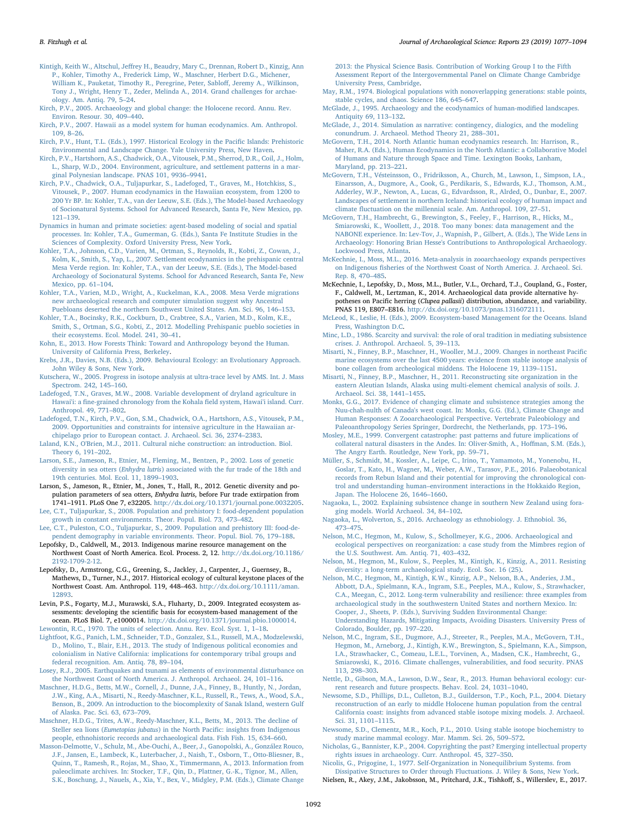- <span id="page-16-51"></span>Kintigh, Keith W., Altschul, Jeff[rey H., Beaudry, Mary C., Drennan, Robert D., Kinzig, Ann](http://refhub.elsevier.com/S2352-409X(18)30131-7/rf0625) [P., Kohler, Timothy A., Frederick Limp, W., Maschner, Herbert D.G., Michener,](http://refhub.elsevier.com/S2352-409X(18)30131-7/rf0625) [William K., Pauketat, Timothy R., Peregrine, Peter, Sablo](http://refhub.elsevier.com/S2352-409X(18)30131-7/rf0625)ff, Jeremy A., Wilkinson, [Tony J., Wright, Henry T., Zeder, Melinda A., 2014. Grand challenges for archae](http://refhub.elsevier.com/S2352-409X(18)30131-7/rf0625)[ology. Am. Antiq. 79, 5](http://refhub.elsevier.com/S2352-409X(18)30131-7/rf0625)–24.
- <span id="page-16-2"></span>[Kirch, P.V., 2005. Archaeology and global change: the Holocene record. Annu. Rev.](http://refhub.elsevier.com/S2352-409X(18)30131-7/rf0630) [Environ. Resour. 30, 409](http://refhub.elsevier.com/S2352-409X(18)30131-7/rf0630)–440.
- <span id="page-16-0"></span>[Kirch, P.V., 2007. Hawaii as a model system for human ecodynamics. Am. Anthropol.](http://refhub.elsevier.com/S2352-409X(18)30131-7/rf0635) [109, 8](http://refhub.elsevier.com/S2352-409X(18)30131-7/rf0635)–26.
- <span id="page-16-24"></span>[Kirch, P.V., Hunt, T.L. \(Eds.\), 1997. Historical Ecology in the Paci](http://refhub.elsevier.com/S2352-409X(18)30131-7/rf0640)fic Islands: Prehistoric [Environmental and Landscape Change. Yale University Press, New Haven](http://refhub.elsevier.com/S2352-409X(18)30131-7/rf0640).
- <span id="page-16-14"></span>[Kirch, P.V., Hartshorn, A.S., Chadwick, O.A., Vitousek, P.M., Sherrod, D.R., Coil, J., Holm,](http://refhub.elsevier.com/S2352-409X(18)30131-7/rf0645) [L., Sharp, W.D., 2004. Environment, agriculture, and settlement patterns in a mar](http://refhub.elsevier.com/S2352-409X(18)30131-7/rf0645)[ginal Polynesian landscape. PNAS 101, 9936](http://refhub.elsevier.com/S2352-409X(18)30131-7/rf0645)–9941.
- [Kirch, P.V., Chadwick, O.A., Tuljapurkar, S., Ladefoged, T., Graves, M., Hotchkiss, S.,](http://refhub.elsevier.com/S2352-409X(18)30131-7/rf0650) [Vitousek, P., 2007. Human ecodynamics in the Hawaiian ecosystem, from 1200 to](http://refhub.elsevier.com/S2352-409X(18)30131-7/rf0650) [200 Yr BP. In: Kohler, T.A., van der Leeuw, S.E. \(Eds.\), The Model-based Archaeology](http://refhub.elsevier.com/S2352-409X(18)30131-7/rf0650) [of Socionatural Systems. School for Advanced Research, Santa Fe, New Mexico, pp.](http://refhub.elsevier.com/S2352-409X(18)30131-7/rf0650) 121–[139](http://refhub.elsevier.com/S2352-409X(18)30131-7/rf0650).
- <span id="page-16-8"></span>[Dynamics in human and primate societies: agent-based modeling of social and spatial](http://refhub.elsevier.com/S2352-409X(18)30131-7/rf0655) [processes. In: Kohler, T.A., Gumerman, G. \(Eds.\), Santa Fe Institute Studies in the](http://refhub.elsevier.com/S2352-409X(18)30131-7/rf0655) [Sciences of Complexity. Oxford University Press, New York](http://refhub.elsevier.com/S2352-409X(18)30131-7/rf0655).
- <span id="page-16-20"></span>[Kohler, T.A., Johnson, C.D., Varien, M., Ortman, S., Reynolds, R., Kobti, Z., Cowan, J.,](http://refhub.elsevier.com/S2352-409X(18)30131-7/rf0660) [Kolm, K., Smith, S., Yap, L., 2007. Settlement ecodynamics in the prehispanic central](http://refhub.elsevier.com/S2352-409X(18)30131-7/rf0660) [Mesa Verde region. In: Kohler, T.A., van der Leeuw, S.E. \(Eds.\), The Model-based](http://refhub.elsevier.com/S2352-409X(18)30131-7/rf0660) [Archaeology of Socionatural Systems. School for Advanced Research, Santa Fe, New](http://refhub.elsevier.com/S2352-409X(18)30131-7/rf0660) [Mexico, pp. 61](http://refhub.elsevier.com/S2352-409X(18)30131-7/rf0660)–104.
- [Kohler, T.A., Varien, M.D., Wright, A., Kuckelman, K.A., 2008. Mesa Verde migrations](http://refhub.elsevier.com/S2352-409X(18)30131-7/rf0665) [new archaeological research and computer simulation suggest why Ancestral](http://refhub.elsevier.com/S2352-409X(18)30131-7/rf0665) [Puebloans deserted the northern Southwest United States. Am. Sci. 96, 146](http://refhub.elsevier.com/S2352-409X(18)30131-7/rf0665)–153.
- <span id="page-16-40"></span>[Kohler, T.A., Bocinsky, R.K., Cockburn, D., Crabtree, S.A., Varien, M.D., Kolm, K.E.,](http://refhub.elsevier.com/S2352-409X(18)30131-7/rf0670) [Smith, S., Ortman, S.G., Kobti, Z., 2012. Modelling Prehispanic pueblo societies in](http://refhub.elsevier.com/S2352-409X(18)30131-7/rf0670) [their ecosystems. Ecol. Model. 241, 30](http://refhub.elsevier.com/S2352-409X(18)30131-7/rf0670)–41.
- <span id="page-16-46"></span>[Kohn, E., 2013. How Forests Think: Toward and Anthropology beyond the Human.](http://refhub.elsevier.com/S2352-409X(18)30131-7/rf0675) [University of California Press, Berkeley](http://refhub.elsevier.com/S2352-409X(18)30131-7/rf0675).
- <span id="page-16-6"></span>[Krebs, J.R., Davies, N.B. \(Eds.\), 2009. Behavioural Ecology: an Evolutionary Approach.](http://refhub.elsevier.com/S2352-409X(18)30131-7/rf0680) [John Wiley & Sons, New York.](http://refhub.elsevier.com/S2352-409X(18)30131-7/rf0680)
- <span id="page-16-32"></span>[Kutschera, W., 2005. Progress in isotope analysis at ultra-trace level by AMS. Int. J. Mass](http://refhub.elsevier.com/S2352-409X(18)30131-7/rf0685) [Spectrom. 242, 145](http://refhub.elsevier.com/S2352-409X(18)30131-7/rf0685)–160.
- <span id="page-16-18"></span>[Ladefoged, T.N., Graves, M.W., 2008. Variable development of dryland agriculture in](http://refhub.elsevier.com/S2352-409X(18)30131-7/rf0690) Hawai'i: a fi[ne-grained chronology from the Kohala](http://refhub.elsevier.com/S2352-409X(18)30131-7/rf0690) field system, Hawai'i island. Curr. [Anthropol. 49, 771](http://refhub.elsevier.com/S2352-409X(18)30131-7/rf0690)–802.
- <span id="page-16-19"></span>[Ladefoged, T.N., Kirch, P.V., Gon, S.M., Chadwick, O.A., Hartshorn, A.S., Vitousek, P.M.,](http://refhub.elsevier.com/S2352-409X(18)30131-7/rf0695) [2009. Opportunities and constraints for intensive agriculture in the Hawaiian ar](http://refhub.elsevier.com/S2352-409X(18)30131-7/rf0695)[chipelago prior to European contact. J. Archaeol. Sci. 36, 2374](http://refhub.elsevier.com/S2352-409X(18)30131-7/rf0695)–2383.
- <span id="page-16-9"></span>[Laland, K.N., O'Brien, M.J., 2011. Cultural niche construction: an introduction. Biol.](http://refhub.elsevier.com/S2352-409X(18)30131-7/rf0700) [Theory 6, 191](http://refhub.elsevier.com/S2352-409X(18)30131-7/rf0700)–202.
- <span id="page-16-50"></span>[Larson, S.E., Jameson, R., Etnier, M., Fleming, M., Bentzen, P., 2002. Loss of genetic](http://refhub.elsevier.com/S2352-409X(18)30131-7/rf0705) diversity in sea otters (Enhydra lutris[\) associated with the fur trade of the 18th and](http://refhub.elsevier.com/S2352-409X(18)30131-7/rf0705) [19th centuries. Mol. Ecol. 11, 1899](http://refhub.elsevier.com/S2352-409X(18)30131-7/rf0705)–1903.
- Larson, S., Jameson, R., Etnier, M., Jones, T., Hall, R., 2012. Genetic diversity and population parameters of sea otters, Enhydra lutris, before Fur trade extirpation from 1741–1911. PLoS One 7, e32205. [http://dx.doi.org/10.1371/journal.pone.0032205.](http://dx.doi.org/10.1371/journal.pone.0032205)
- <span id="page-16-33"></span>[Lee, C.T., Tuljapurkar, S., 2008. Population and prehistory I: food-dependent population](http://refhub.elsevier.com/S2352-409X(18)30131-7/rf0715) [growth in constant environments. Theor. Popul. Biol. 73, 473](http://refhub.elsevier.com/S2352-409X(18)30131-7/rf0715)–482.
- <span id="page-16-34"></span>[Lee, C.T., Puleston, C.O., Tuljapurkar, S., 2009. Population and prehistory III: food-de](http://refhub.elsevier.com/S2352-409X(18)30131-7/rf0720)[pendent demography in variable environments. Theor. Popul. Biol. 76, 179](http://refhub.elsevier.com/S2352-409X(18)30131-7/rf0720)–188.
- <span id="page-16-47"></span>Lepofsky, D., Caldwell, M., 2013. Indigenous marine resource management on the Northwest Coast of North America. Ecol. Process. 2, 12. [http://dx.doi.org/10.1186/](http://dx.doi.org/10.1186/2192-1709-2-12) [2192-1709-2-12](http://dx.doi.org/10.1186/2192-1709-2-12).
- <span id="page-16-31"></span>Lepofsky, D., Armstrong, C.G., Greening, S., Jackley, J., Carpenter, J., Guernsey, B., Mathews, D., Turner, N.J., 2017. Historical ecology of cultural keystone places of the Northwest Coast. Am. Anthropol. 119, 448–463. [http://dx.doi.org/10.1111/aman.](http://dx.doi.org/10.1111/aman.12893) [12893.](http://dx.doi.org/10.1111/aman.12893)
- <span id="page-16-10"></span>Levin, P.S., Fogarty, M.J., Murawski, S.A., Fluharty, D., 2009. Integrated ecosystem assessments: developing the scientific basis for ecosystem-based management of the ocean. PLoS Biol. 7, e1000014. [http://dx.doi.org/10.1371/journal.pbio.1000014.](http://dx.doi.org/10.1371/journal.pbio.1000014) [Lewontin, R.C., 1970. The units of selection. Annu. Rev. Ecol. Syst. 1, 1](http://refhub.elsevier.com/S2352-409X(18)30131-7/rf0745)–18.
- <span id="page-16-44"></span><span id="page-16-4"></span>[Lightfoot, K.G., Panich, L.M., Schneider, T.D., Gonzalez, S.L., Russell, M.A., Modzelewski,](http://refhub.elsevier.com/S2352-409X(18)30131-7/rf0750) [D., Molino, T., Blair, E.H., 2013. The study of Indigenous political economies and](http://refhub.elsevier.com/S2352-409X(18)30131-7/rf0750) [colonialism in Native California: implications for contemporary tribal groups and](http://refhub.elsevier.com/S2352-409X(18)30131-7/rf0750) [federal recognition. Am. Antiq. 78, 89](http://refhub.elsevier.com/S2352-409X(18)30131-7/rf0750)–104.
- <span id="page-16-27"></span>[Losey, R.J., 2005. Earthquakes and tsunami as elements of environmental disturbance on](http://refhub.elsevier.com/S2352-409X(18)30131-7/rf0755) [the Northwest Coast of North America. J. Anthropol. Archaeol. 24, 101](http://refhub.elsevier.com/S2352-409X(18)30131-7/rf0755)–116.
- <span id="page-16-22"></span>[Maschner, H.D.G., Betts, M.W., Cornell, J., Dunne, J.A., Finney, B., Huntly, N., Jordan,](http://refhub.elsevier.com/S2352-409X(18)30131-7/rf0760) [J.W., King, A.A., Misarti, N., Reedy-Maschner, K.L., Russell, R., Tews, A., Wood, S.A.,](http://refhub.elsevier.com/S2352-409X(18)30131-7/rf0760) [Benson, B., 2009. An introduction to the biocomplexity of Sanak Island, western Gulf](http://refhub.elsevier.com/S2352-409X(18)30131-7/rf0760) [of Alaska. Pac. Sci. 63, 673](http://refhub.elsevier.com/S2352-409X(18)30131-7/rf0760)–709.
- <span id="page-16-5"></span>[Maschner, H.D.G., Trites, A.W., Reedy-Maschner, K.L., Betts, M., 2013. The decline of](http://refhub.elsevier.com/S2352-409X(18)30131-7/rf0765) Steller sea lions (Eumetopias jubatus) in the North Pacifi[c: insights from Indigenous](http://refhub.elsevier.com/S2352-409X(18)30131-7/rf0765) [people, ethnohistoric records and archaeological data. Fish Fish. 15, 634](http://refhub.elsevier.com/S2352-409X(18)30131-7/rf0765)–660.
- <span id="page-16-35"></span>[Masson-Delmotte, V., Schulz, M., Abe-Ouchi, A., Beer, J., Ganopolski, A., González Rouco,](http://refhub.elsevier.com/S2352-409X(18)30131-7/rf0770) [J.F., Jansen, E., Lambeck, K., Luterbacher, J., Naish, T., Osborn, T., Otto-Bliesner, B.,](http://refhub.elsevier.com/S2352-409X(18)30131-7/rf0770) [Quinn, T., Ramesh, R., Rojas, M., Shao, X., Timmermann, A., 2013. Information from](http://refhub.elsevier.com/S2352-409X(18)30131-7/rf0770) [paleoclimate archives. In: Stocker, T.F., Qin, D., Plattner, G.-K., Tignor, M., Allen,](http://refhub.elsevier.com/S2352-409X(18)30131-7/rf0770) [S.K., Boschung, J., Nauels, A., Xia, Y., Bex, V., Midgley, P.M. \(Eds.\), Climate Change](http://refhub.elsevier.com/S2352-409X(18)30131-7/rf0770)

[2013: the Physical Science Basis. Contribution of Working Group I to the Fifth](http://refhub.elsevier.com/S2352-409X(18)30131-7/rf0770) [Assessment Report of the Intergovernmental Panel on Climate Change Cambridge](http://refhub.elsevier.com/S2352-409X(18)30131-7/rf0770) [University Press, Cambridge.](http://refhub.elsevier.com/S2352-409X(18)30131-7/rf0770)

- <span id="page-16-3"></span>[May, R.M., 1974. Biological populations with nonoverlapping generations: stable points,](http://refhub.elsevier.com/S2352-409X(18)30131-7/rf0775) [stable cycles, and chaos. Science 186, 645](http://refhub.elsevier.com/S2352-409X(18)30131-7/rf0775)–647.
- <span id="page-16-1"></span>[McGlade, J., 1995. Archaeology and the ecodynamics of human-modi](http://refhub.elsevier.com/S2352-409X(18)30131-7/rf0780)fied landscapes. [Antiquity 69, 113](http://refhub.elsevier.com/S2352-409X(18)30131-7/rf0780)–132.
- <span id="page-16-41"></span>[McGlade, J., 2014. Simulation as narrative: contingency, dialogics, and the modeling](http://refhub.elsevier.com/S2352-409X(18)30131-7/rf0785) [conundrum. J. Archaeol. Method Theory 21, 288](http://refhub.elsevier.com/S2352-409X(18)30131-7/rf0785)–301.
- <span id="page-16-15"></span>[McGovern, T.H., 2014. North Atlantic human ecodynamics research. In: Harrison, R.,](http://refhub.elsevier.com/S2352-409X(18)30131-7/rf0790) [Maher, R.A. \(Eds.\), Human Ecodynamics in the North Atlantic: a Collaborative Model](http://refhub.elsevier.com/S2352-409X(18)30131-7/rf0790) [of Humans and Nature through Space and Time. Lexington Books, Lanham,](http://refhub.elsevier.com/S2352-409X(18)30131-7/rf0790) [Maryland,](http://refhub.elsevier.com/S2352-409X(18)30131-7/rf0790) pp. 213–221.
- <span id="page-16-25"></span>[McGovern, T.H., Vésteinsson, O., Fridriksson, A., Church, M., Lawson, I., Simpson, I.A.,](http://refhub.elsevier.com/S2352-409X(18)30131-7/rf0795) [Einarsson, A., Dugmore, A., Cook, G., Perdikaris, S., Edwards, K.J., Thomson, A.M.,](http://refhub.elsevier.com/S2352-409X(18)30131-7/rf0795) [Adderley, W.P., Newton, A., Lucas, G., Edvardsson, R., Alrded, O., Dunbar, E., 2007.](http://refhub.elsevier.com/S2352-409X(18)30131-7/rf0795) [Landscapes of settlement in northern Iceland: historical ecology of human impact and](http://refhub.elsevier.com/S2352-409X(18)30131-7/rf0795) climate fl[uctuation on the millennial scale. Am. Anthropol. 109, 27](http://refhub.elsevier.com/S2352-409X(18)30131-7/rf0795)–51.
- <span id="page-16-42"></span>[McGovern, T.H., Hambrecht, G., Brewington, S., Feeley, F., Harrison, R., Hicks, M.,](http://refhub.elsevier.com/S2352-409X(18)30131-7/rf0800) [Smiarowski, K., Woollett, J., 2018. Too many bones: data management and the](http://refhub.elsevier.com/S2352-409X(18)30131-7/rf0800) [NABONE experience. In: Lev-Tov, J., Wapnish, P., Gilbert, A. \(Eds.\), The Wide Lens in](http://refhub.elsevier.com/S2352-409X(18)30131-7/rf0800) [Archaeology: Honoring Brian Hesse's Contributions to Anthropological Archaeology.](http://refhub.elsevier.com/S2352-409X(18)30131-7/rf0800) [Lockwood Press, Atlanta](http://refhub.elsevier.com/S2352-409X(18)30131-7/rf0800).
- <span id="page-16-49"></span>[McKechnie, I., Moss, M.L., 2016. Meta-analysis in zooarchaeology expands perspectives](http://refhub.elsevier.com/S2352-409X(18)30131-7/rf0805) on Indigenous fi[sheries of the Northwest Coast of North America. J. Archaeol. Sci.](http://refhub.elsevier.com/S2352-409X(18)30131-7/rf0805) [Rep. 8, 470](http://refhub.elsevier.com/S2352-409X(18)30131-7/rf0805)–485.
- <span id="page-16-30"></span>McKechnie, I., Lepofsky, D., Moss, M.L., Butler, V.L., Orchard, T.J., Coupland, G., Foster, F., Caldwell, M., Lertzman, K., 2014. Archaeological data provide alternative hypotheses on Pacific herring (Clupea pallasii) distribution, abundance, and variability. PNAS 119, E807–E816. [http://dx.doi.org/10.1073/pnas.1316072111.](http://dx.doi.org/10.1073/pnas.1316072111)
- <span id="page-16-11"></span>[McLeod, K., Leslie, H. \(Eds.\), 2009. Ecosystem-based Management for the Oceans. Island](http://refhub.elsevier.com/S2352-409X(18)30131-7/rf0815) [Press, Washington D.C.](http://refhub.elsevier.com/S2352-409X(18)30131-7/rf0815)
- <span id="page-16-43"></span>[Minc, L.D., 1986. Scarcity and survival: the role of oral tradition in mediating subsistence](http://refhub.elsevier.com/S2352-409X(18)30131-7/rf0820) [crises. J. Anthropol. Archaeol. 5, 39](http://refhub.elsevier.com/S2352-409X(18)30131-7/rf0820)–113.
- <span id="page-16-38"></span>[Misarti, N., Finney, B.P., Maschner, H., Wooller, M.J., 2009. Changes in northeast Paci](http://refhub.elsevier.com/S2352-409X(18)30131-7/rf0825)fic [marine ecosystems over the last 4500 years: evidence from stable isotope analysis of](http://refhub.elsevier.com/S2352-409X(18)30131-7/rf0825) [bone collagen from archeological middens. The Holocene 19, 1139](http://refhub.elsevier.com/S2352-409X(18)30131-7/rf0825)–1151.
- <span id="page-16-23"></span>[Misarti, N., Finney, B.P., Maschner, H., 2011. Reconstructing site organization in the](http://refhub.elsevier.com/S2352-409X(18)30131-7/rf0830) [eastern Aleutian Islands, Alaska using multi-element chemical analysis of soils. J.](http://refhub.elsevier.com/S2352-409X(18)30131-7/rf0830) [Archaeol. Sci. 38, 1441](http://refhub.elsevier.com/S2352-409X(18)30131-7/rf0830)–1455.
- <span id="page-16-28"></span>[Monks, G.G., 2017. Evidence of changing climate and subsistence strategies among the](http://refhub.elsevier.com/S2352-409X(18)30131-7/rf0835) [Nuu-chah-nulth of Canada's west coast. In: Monks, G.G. \(Ed.\), Climate Change and](http://refhub.elsevier.com/S2352-409X(18)30131-7/rf0835) [Human Responses: A Zooarchaeological Perspective. Vertebrate Paleobiology and](http://refhub.elsevier.com/S2352-409X(18)30131-7/rf0835) [Paleoanthropology Series Springer, Dordrecht, the Netherlands, pp. 173](http://refhub.elsevier.com/S2352-409X(18)30131-7/rf0835)–196.
- <span id="page-16-26"></span>[Mosley, M.E., 1999. Convergent catastrophe: past patterns and future implications of](http://refhub.elsevier.com/S2352-409X(18)30131-7/rf0840) [collateral natural disasters in the Andes. In: Oliver-Smith, A., Ho](http://refhub.elsevier.com/S2352-409X(18)30131-7/rf0840)ffman, S.M. (Eds.), [The Angry Earth. Routledge, New York, pp. 59](http://refhub.elsevier.com/S2352-409X(18)30131-7/rf0840)–71.
- <span id="page-16-16"></span>[Müller, S., Schmidt, M., Kossler, A., Leipe, C., Irino, T., Yamamoto, M., Yonenobu, H.,](http://refhub.elsevier.com/S2352-409X(18)30131-7/rf0845) [Goslar, T., Kato, H., Wagner, M., Weber, A.W., Tarasov, P.E., 2016. Palaeobotanical](http://refhub.elsevier.com/S2352-409X(18)30131-7/rf0845) [records from Rebun Island and their potential for improving the chronological con](http://refhub.elsevier.com/S2352-409X(18)30131-7/rf0845)trol and understanding human–[environment interactions in the Hokkaido Region,](http://refhub.elsevier.com/S2352-409X(18)30131-7/rf0845) [Japan. The Holocene 26, 1646](http://refhub.elsevier.com/S2352-409X(18)30131-7/rf0845)–1660.
- <span id="page-16-29"></span>[Nagaoka, L., 2002. Explaining subsistence change in southern New Zealand using fora](http://refhub.elsevier.com/S2352-409X(18)30131-7/rf0850)[ging models. World Archaeol. 34, 84](http://refhub.elsevier.com/S2352-409X(18)30131-7/rf0850)–102.
- <span id="page-16-48"></span>[Nagaoka, L., Wolverton, S., 2016. Archaeology as ethnobiology. J. Ethnobiol. 36,](http://refhub.elsevier.com/S2352-409X(18)30131-7/rf0855) 473–[475](http://refhub.elsevier.com/S2352-409X(18)30131-7/rf0855).
- <span id="page-16-13"></span>[Nelson, M.C., Hegmon, M., Kulow, S., Schollmeyer, K.G., 2006. Archaeological and](http://refhub.elsevier.com/S2352-409X(18)30131-7/rf0860) [ecological perspectives on reorganization: a case study from the Mimbres region of](http://refhub.elsevier.com/S2352-409X(18)30131-7/rf0860) [the U.S. Southwest. Am. Antiq. 71, 403](http://refhub.elsevier.com/S2352-409X(18)30131-7/rf0860)–432.
- <span id="page-16-21"></span>Nelson, [M., Hegmon, M., Kulow, S., Peeples, M., Kintigh, K., Kinzig, A., 2011. Resisting](http://refhub.elsevier.com/S2352-409X(18)30131-7/rf0865) [diversity: a long-term archaeological study. Ecol. Soc. 16 \(25\)](http://refhub.elsevier.com/S2352-409X(18)30131-7/rf0865).
- [Nelson, M.C., Hegmon, M., Kintigh, K.W., Kinzig, A.P., Nelson, B.A., Anderies, J.M.,](http://refhub.elsevier.com/S2352-409X(18)30131-7/rf0870) [Abbott, D.A., Spielmann, K.A., Ingram, S.E., Peeples, M.A., Kulow, S., Strawhacker,](http://refhub.elsevier.com/S2352-409X(18)30131-7/rf0870) [C.A., Meegan, C., 2012. Long-term vulnerability and resilience: three examples from](http://refhub.elsevier.com/S2352-409X(18)30131-7/rf0870) [archaeological study in the southwestern United States and northern Mexico. In:](http://refhub.elsevier.com/S2352-409X(18)30131-7/rf0870) [Cooper, J., Sheets, P. \(Eds.\), Surviving Sudden Environmental Change:](http://refhub.elsevier.com/S2352-409X(18)30131-7/rf0870) [Understanding Hazards, Mitigating Impacts, Avoiding Disasters. University Press of](http://refhub.elsevier.com/S2352-409X(18)30131-7/rf0870) [Colorado, Boulder, pp. 197](http://refhub.elsevier.com/S2352-409X(18)30131-7/rf0870)–220.
- <span id="page-16-12"></span>[Nelson, M.C., Ingram, S.E., Dugmore, A.J., Streeter, R., Peeples, M.A., McGovern, T.H.,](http://refhub.elsevier.com/S2352-409X(18)30131-7/rf0875) [Hegmon, M., Arneborg, J., Kintigh, K.W., Brewington, S., Spielmann, K.A., Simpson,](http://refhub.elsevier.com/S2352-409X(18)30131-7/rf0875) [I.A., Strawhacker, C., Comeau, L.E.L., Torvinen, A., Madsen, C.K., Hambrecht, G.,](http://refhub.elsevier.com/S2352-409X(18)30131-7/rf0875) [Smiarowski, K., 2016. Climate challenges, vulnerabilities, and food security. PNAS](http://refhub.elsevier.com/S2352-409X(18)30131-7/rf0875) [113, 298](http://refhub.elsevier.com/S2352-409X(18)30131-7/rf0875)–303.
- <span id="page-16-7"></span>[Nettle, D., Gibson, M.A., Lawson, D.W., Sear, R., 2013. Human behavioral ecology: cur](http://refhub.elsevier.com/S2352-409X(18)30131-7/rf0880)[rent research and future prospects. Behav. Ecol. 24, 1031](http://refhub.elsevier.com/S2352-409X(18)30131-7/rf0880)–1040.
- <span id="page-16-36"></span>[Newsome, S.D., Phillips, D.L., Culleton, B.J., Guilderson, T.P., Koch, P.L., 2004. Dietary](http://refhub.elsevier.com/S2352-409X(18)30131-7/rf0885) [reconstruction of an early to middle Holocene human population from the central](http://refhub.elsevier.com/S2352-409X(18)30131-7/rf0885) [California coast: insights from advanced stable isotope mixing models. J. Archaeol.](http://refhub.elsevier.com/S2352-409X(18)30131-7/rf0885) [Sci. 31, 1101](http://refhub.elsevier.com/S2352-409X(18)30131-7/rf0885)–1115.
- <span id="page-16-37"></span>[Newsome, S.D., Clementz, M.R., Koch, P.L., 2010. Using stable isotope biochemistry to](http://refhub.elsevier.com/S2352-409X(18)30131-7/rf0890) [study marine mammal ecology. Mar. Mamm. Sci. 26, 509](http://refhub.elsevier.com/S2352-409X(18)30131-7/rf0890)–572.
- <span id="page-16-45"></span>[Nicholas, G., Bannister, K.P., 2004. Copyrighting the past? Emerging intellectual property](http://refhub.elsevier.com/S2352-409X(18)30131-7/rf0895) [rights issues in archaeology. Curr. Anthropol. 45, 327](http://refhub.elsevier.com/S2352-409X(18)30131-7/rf0895)–350.
- <span id="page-16-17"></span>[Nicolis, G., Prigogine, I., 1977. Self-Organization in Nonequilibrium Systems. from](http://refhub.elsevier.com/S2352-409X(18)30131-7/rf0900) [Dissipative Structures to Order through Fluctuations. J. Wiley & Sons, New York.](http://refhub.elsevier.com/S2352-409X(18)30131-7/rf0900)
- <span id="page-16-39"></span>Nielsen, R., Akey, J.M., Jakobsson, M., Pritchard, J.K., Tishkoff, S., Willerslev, E., 2017.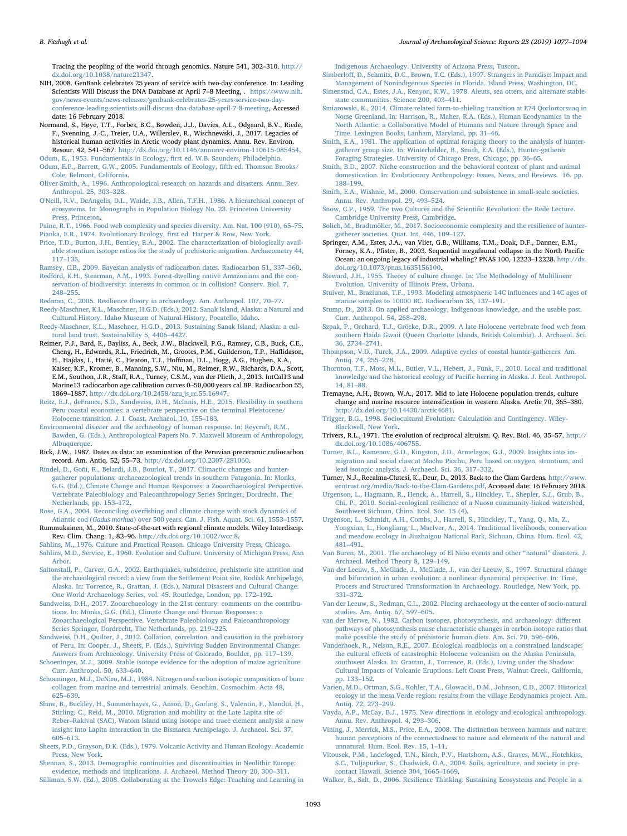Tracing the peopling of the world through genomics. Nature 541, 302–310. [http://](http://dx.doi.org/10.1038/nature21347) [dx.doi.org/10.1038/nature21347](http://dx.doi.org/10.1038/nature21347).

- <span id="page-17-54"></span>NIH, 2008. GenBank celebrates 25 years of service with two-day conference. In: Leading Scientists Will Discuss the DNA Database at April 7–8 Meeting, . [https://www.nih.](https://www.nih.gov/news-events/news-releases/genbank-celebrates-25-years-service-two-day-conference-leading-scientists-will-discuss-dna-database-april-7-8-meeting) [gov/news-events/news-releases/genbank-celebrates-25-years-service-two-day](https://www.nih.gov/news-events/news-releases/genbank-celebrates-25-years-service-two-day-conference-leading-scientists-will-discuss-dna-database-april-7-8-meeting)[conference-leading-scientists-will-discuss-dna-database-april-7-8-meeting](https://www.nih.gov/news-events/news-releases/genbank-celebrates-25-years-service-two-day-conference-leading-scientists-will-discuss-dna-database-april-7-8-meeting), Accessed date: 16 February 2018.
- <span id="page-17-15"></span>Normand, S., Høye, T.T., Forbes, B.C., Bowden, J.J., Davies, A.L., Odgaard, B.V., Riede, F., Svenning, J.-C., Treier, U.A., Willerslev, R., Wischnewski, J., 2017. Legacies of historical human activities in Arctic woody plant dynamics. Annu. Rev. Environ. Resour. 42, 541–567. <http://dx.doi.org/10.1146/annurev-environ-110615-085454>.
- <span id="page-17-3"></span><span id="page-17-2"></span>[Odum, E., 1953. Fundamentals in Ecology,](http://refhub.elsevier.com/S2352-409X(18)30131-7/rf0925) first ed. W.B. Saunders, Philadelphia. [Odum, E.P., Barrett, G.W., 2005. Fundamentals of Ecology,](http://refhub.elsevier.com/S2352-409X(18)30131-7/rf0930) fifth ed. Thomson Brooks/ [Cole, Belmont, California](http://refhub.elsevier.com/S2352-409X(18)30131-7/rf0930).
- <span id="page-17-31"></span>[Oliver-Smith, A., 1996. Anthropological research on hazards and disasters. Annu. Rev.](http://refhub.elsevier.com/S2352-409X(18)30131-7/rf0935) [Anthropol. 25, 303](http://refhub.elsevier.com/S2352-409X(18)30131-7/rf0935)–328.
- <span id="page-17-23"></span>[O'Neill, R.V., DeAngelis, D.L., Waide, J.B., Allen, T.F.H., 1986. A hierarchical concept of](http://refhub.elsevier.com/S2352-409X(18)30131-7/rf0940) [ecosystems. In: Monographs in Population Biology No. 23. Princeton University](http://refhub.elsevier.com/S2352-409X(18)30131-7/rf0940) [Press, Princeton.](http://refhub.elsevier.com/S2352-409X(18)30131-7/rf0940)
- <span id="page-17-50"></span><span id="page-17-7"></span>[Paine, R.T., 1966. Food web complexity and species diversity. Am. Nat. 100 \(910\), 65](http://refhub.elsevier.com/S2352-409X(18)30131-7/rf0945)–75. [Pianka, E.R., 1974. Evolutionary Ecology,](http://refhub.elsevier.com/S2352-409X(18)30131-7/rf0950) first ed. Harper & Row, New York.
- <span id="page-17-51"></span>[Price, T.D., Burton, J.H., Bentley, R.A., 2002. The characterization of biologically avail](http://refhub.elsevier.com/S2352-409X(18)30131-7/rf0955)[able strontium isotope ratios for the study of prehistoric migration. Archaeometry 44,](http://refhub.elsevier.com/S2352-409X(18)30131-7/rf0955) 117–[135](http://refhub.elsevier.com/S2352-409X(18)30131-7/rf0955).
- <span id="page-17-59"></span><span id="page-17-38"></span>[Ramsey, C.B., 2009. Bayesian analysis of radiocarbon dates. Radiocarbon 51, 337](http://refhub.elsevier.com/S2352-409X(18)30131-7/rf0960)–360. [Redford, K.H., Stearman, A.M., 1993. Forest-dwelling native Amazonians and the con-](http://refhub.elsevier.com/S2352-409X(18)30131-7/rf0965)
- [servation of biodiversity: interests in common or in collision? Conserv. Biol. 7,](http://refhub.elsevier.com/S2352-409X(18)30131-7/rf0965) 248–[255](http://refhub.elsevier.com/S2352-409X(18)30131-7/rf0965).
- <span id="page-17-19"></span>[Redman, C., 2005. Resilience theory in archaeology. Am. Anthropol. 107, 70](http://refhub.elsevier.com/S2352-409X(18)30131-7/rf0970)–77.
- <span id="page-17-26"></span>[Reedy-Maschner, K.L., Maschner, H.G.D. \(Eds.\), 2012. Sanak Island, Alaska: a Natural and](http://refhub.elsevier.com/S2352-409X(18)30131-7/rf0975) [Cultural History. Idaho Museum of Natural History, Pocatello, Idaho](http://refhub.elsevier.com/S2352-409X(18)30131-7/rf0975).
- [Reedy-Maschner, K.L., Maschner, H.G.D., 2013. Sustaining Sanak Island, Alaska: a cul](http://refhub.elsevier.com/S2352-409X(18)30131-7/rf0980)[tural land trust. Sustainability 5, 4406](http://refhub.elsevier.com/S2352-409X(18)30131-7/rf0980)–4427.
- <span id="page-17-39"></span>Reimer, P.J., Bard, E., Bayliss, A., Beck, J.W., Blackwell, P.G., Ramsey, C.B., Buck, C.E., Cheng, H., Edwards, R.L., Friedrich, M., Grootes, P.M., Guilderson, T.P., Haflidason, H., Hajdas, I., Hatté, C., Heaton, T.J., Hoffman, D.L., Hogg, A.G., Hughen, K.A., Kaiser, K.F., Kromer, B., Manning, S.W., Niu, M., Reimer, R.W., Richards, D.A., Scott,
- E.M., Southon, J.R., Staff, R.A., Turney, C.S.M., van der Plicth, J., 2013. IntCal13 and Marine13 radiocarbon age calibration curves 0–50,000 years cal BP. Radiocarbon 55, 1869–1887. [http://dx.doi.org/10.2458/azu\\_js\\_rc.55.16947.](http://dx.doi.org/10.2458/azu_js_rc.55.16947)
- <span id="page-17-34"></span>[Reitz, E.J., deFrance, S.D., Sandweiss, D.H., McInnis, H.E., 2015. Flexibility in southern](http://refhub.elsevier.com/S2352-409X(18)30131-7/rf0990) [Peru coastal economies: a vertebrate perspective on the terminal Pleistocene/](http://refhub.elsevier.com/S2352-409X(18)30131-7/rf0990) [Holocene transition. J. I. Coast. Archaeol. 10, 155](http://refhub.elsevier.com/S2352-409X(18)30131-7/rf0990)–183.
- <span id="page-17-30"></span>Environmental [disaster and the archaeology of human response. In: Reycraft, R.M.,](http://refhub.elsevier.com/S2352-409X(18)30131-7/rf0995) [Bawden, G. \(Eds.\), Anthropological Papers No. 7. Maxwell Museum of Anthropology,](http://refhub.elsevier.com/S2352-409X(18)30131-7/rf0995) [Albuquerque.](http://refhub.elsevier.com/S2352-409X(18)30131-7/rf0995)
- <span id="page-17-41"></span>Rick, J.W., 1987. Dates as data: an examination of the Peruvian preceramic radiocarbon record. Am. Antiq. 52, 55–73. [http://dx.doi.org/10.2307/281060.](http://dx.doi.org/10.2307/281060)
- <span id="page-17-35"></span>[Rindel, D., Goñi, R., Belardi, J.B., Bourlot, T., 2017. Climactic changes and hunter](http://refhub.elsevier.com/S2352-409X(18)30131-7/rf1005)[gatherer populations: archaeozoological trends in southern Patagonia. In: Monks,](http://refhub.elsevier.com/S2352-409X(18)30131-7/rf1005) [G.G. \(Ed.\), Climate Change and Human Responses: a Zooarchaeological Perspective.](http://refhub.elsevier.com/S2352-409X(18)30131-7/rf1005) [Vertebrate Paleobiology and Paleoanthropology Series Springer, Dordrecht, The](http://refhub.elsevier.com/S2352-409X(18)30131-7/rf1005) [Netherlands, pp. 153](http://refhub.elsevier.com/S2352-409X(18)30131-7/rf1005)–172.
- <span id="page-17-37"></span>Rose, G.A., 2004. Reconciling overfi[shing and climate change with stock dynamics of](http://refhub.elsevier.com/S2352-409X(18)30131-7/rf1010) Atlantic cod (Gadus morhua[\) over 500 years. Can. J. Fish. Aquat. Sci. 61, 1553](http://refhub.elsevier.com/S2352-409X(18)30131-7/rf1010)–1557.
- <span id="page-17-45"></span>Rummukainen, M., 2010. State-of-the-art with regional climate models. Wiley Interdiscip. Rev. Clim. Chang. 1, 82–96. <http://dx.doi.org/10.1002/wcc.8>.
- <span id="page-17-22"></span><span id="page-17-9"></span>[Sahlins, M., 1976. Culture and Practical Reason. Chicago University Press, Chicago.](http://refhub.elsevier.com/S2352-409X(18)30131-7/rf1020) [Sahlins, M.D., Service, E., 1960. Evolution and Culture. University of Michigan Press, Ann](http://refhub.elsevier.com/S2352-409X(18)30131-7/rf1025) [Arbor.](http://refhub.elsevier.com/S2352-409X(18)30131-7/rf1025)
- <span id="page-17-32"></span>[Saltonstall, P., Carver, G.A., 2002. Earthquakes, subsidence, prehistoric site attrition and](http://refhub.elsevier.com/S2352-409X(18)30131-7/rf1030) [the archaeological record: a view from the Settlement Point site, Kodiak Archipelago,](http://refhub.elsevier.com/S2352-409X(18)30131-7/rf1030) [Alaska. In: Torrence, R., Grattan, J. \(Eds.\), Natural Disasters and Cultural Change.](http://refhub.elsevier.com/S2352-409X(18)30131-7/rf1030) [One World Archaeology Series, vol. 45. Routledge, London, pp. 172](http://refhub.elsevier.com/S2352-409X(18)30131-7/rf1030)–192.
- <span id="page-17-44"></span>[Sandweiss, D.H., 2017. Zooarchaeology in the 21st century: comments on the contribu](http://refhub.elsevier.com/S2352-409X(18)30131-7/rf1035)[tions. In: Monks, G.G. \(Ed.\), Climate Change and Human Responses: a](http://refhub.elsevier.com/S2352-409X(18)30131-7/rf1035) [Zooarchaeological Perspective. Vertebrate Paleobiology and Paleoanthropology](http://refhub.elsevier.com/S2352-409X(18)30131-7/rf1035)
- <span id="page-17-29"></span>[Series Springer, Dordrecht, The Netherlands, pp. 219](http://refhub.elsevier.com/S2352-409X(18)30131-7/rf1035)–225. [Sandweiss, D.H., Quilter, J., 2012. Collation, correlation, and causation in the prehistory](http://refhub.elsevier.com/S2352-409X(18)30131-7/rf1040)
- [of Peru. In: Cooper, J., Sheets, P. \(Eds.\), Surviving Sudden Environmental Change:](http://refhub.elsevier.com/S2352-409X(18)30131-7/rf1040) [Answers from Archaeology. University Press of Colorado, Boulder, pp. 117](http://refhub.elsevier.com/S2352-409X(18)30131-7/rf1040)–139. [Schoeninger, M.J., 2009. Stable isotope evidence for the adoption of maize agriculture.](http://refhub.elsevier.com/S2352-409X(18)30131-7/rf1045)
- <span id="page-17-48"></span><span id="page-17-47"></span>[Curr. Anthropol. 50, 633](http://refhub.elsevier.com/S2352-409X(18)30131-7/rf1045)–640. [Schoeninger, M.J., DeNiro, M.J., 1984. Nitrogen and carbon isotopic composition of bone](http://refhub.elsevier.com/S2352-409X(18)30131-7/rf1050) [collagen from marine and terrestrial animals. Geochim. Cosmochim. Acta 48,](http://refhub.elsevier.com/S2352-409X(18)30131-7/rf1050) 625–[639](http://refhub.elsevier.com/S2352-409X(18)30131-7/rf1050).
- <span id="page-17-52"></span>[Shaw, B., Buckley, H., Summerhayes, G., Anson, D., Garling, S., Valentin, F., Mandui, H.,](http://refhub.elsevier.com/S2352-409X(18)30131-7/rf1055) [Stirling, C., Reid, M., 2010. Migration and mobility at the Late Lapita site of](http://refhub.elsevier.com/S2352-409X(18)30131-7/rf1055) Reber–[Rakival \(SAC\), Watom Island using isotope and trace element analysis: a new](http://refhub.elsevier.com/S2352-409X(18)30131-7/rf1055) [insight into Lapita interaction in the Bismarck Archipelago. J. Archaeol. Sci. 37,](http://refhub.elsevier.com/S2352-409X(18)30131-7/rf1055) 605–[613](http://refhub.elsevier.com/S2352-409X(18)30131-7/rf1055).
- <span id="page-17-28"></span>[Sheets, P.D., Grayson, D.K. \(Eds.\), 1979. Volcanic Activity and Human Ecology. Academic](http://refhub.elsevier.com/S2352-409X(18)30131-7/rf1060) [Press, New York](http://refhub.elsevier.com/S2352-409X(18)30131-7/rf1060).
- <span id="page-17-58"></span><span id="page-17-43"></span>[Shennan, S., 2013. Demographic continuities and discontinuities in Neolithic Europe:](http://refhub.elsevier.com/S2352-409X(18)30131-7/rf1065) [evidence, methods and implications. J. Archaeol. Method Theory 20, 300](http://refhub.elsevier.com/S2352-409X(18)30131-7/rf1065)–311. [Silliman, S.W. \(Ed.\), 2008. Collaborating at the Trowel's Edge: Teaching and Learning in](http://refhub.elsevier.com/S2352-409X(18)30131-7/rf1070)

[Indigenous Archaeology. University of Arizona Press, Tuscon](http://refhub.elsevier.com/S2352-409X(18)30131-7/rf1070).

- <span id="page-17-5"></span>Simberloff[, D., Schmitz, D.C., Brown, T.C. \(Eds.\), 1997. Strangers in Paradise: Impact and](http://refhub.elsevier.com/S2352-409X(18)30131-7/rf1075) [Management of Nonindigenous Species in Florida. Island Press, Washington, DC](http://refhub.elsevier.com/S2352-409X(18)30131-7/rf1075).
- <span id="page-17-36"></span>[Simenstad, C.A., Estes, J.A., Kenyon, K.W., 1978. Aleuts, sea otters, and alternate stable](http://refhub.elsevier.com/S2352-409X(18)30131-7/rf1080)[state communities. Science 200, 403](http://refhub.elsevier.com/S2352-409X(18)30131-7/rf1080)–411.
- <span id="page-17-27"></span>[Smiarowski, K., 2014. Climate related farm-to-shieling transition at E74 Qorlortorsuaq in](http://refhub.elsevier.com/S2352-409X(18)30131-7/rf1085) Norse [Greenland. In: Harrison, R., Maher, R.A. \(Eds.\), Human Ecodynamics in the](http://refhub.elsevier.com/S2352-409X(18)30131-7/rf1085) [North Atlantic: a Collaborative Model of Humans and Nature through Space and](http://refhub.elsevier.com/S2352-409X(18)30131-7/rf1085) [Time. Lexington Books, Lanham, Maryland, pp. 31](http://refhub.elsevier.com/S2352-409X(18)30131-7/rf1085)–46.
- <span id="page-17-12"></span>[Smith, E.A., 1981. The application of optimal foraging theory to the analysis of hunter](http://refhub.elsevier.com/S2352-409X(18)30131-7/rf1090)[gatherer group size. In: Winterhalder, B., Smith, E.A. \(Eds.\), Hunter-gatherer](http://refhub.elsevier.com/S2352-409X(18)30131-7/rf1090) [Foraging Strategies. University of Chicago Press, Chicago, pp. 36](http://refhub.elsevier.com/S2352-409X(18)30131-7/rf1090)–65.
- <span id="page-17-13"></span>[Smith, B.D., 2007. Niche construction and the behavioral context of plant and animal](http://refhub.elsevier.com/S2352-409X(18)30131-7/rf1095) [domestication. In: Evolutionary Anthropology: Issues, News, and Reviews. 16. pp.](http://refhub.elsevier.com/S2352-409X(18)30131-7/rf1095) 188–[199](http://refhub.elsevier.com/S2352-409X(18)30131-7/rf1095).
- <span id="page-17-60"></span>[Smith, E.A., Wishnie, M., 2000. Conservation and subsistence in small-scale societies.](http://refhub.elsevier.com/S2352-409X(18)30131-7/rf1100) [Annu. Rev. Anthropol. 29, 493](http://refhub.elsevier.com/S2352-409X(18)30131-7/rf1100)–524.
- <span id="page-17-14"></span>[Snow, C.P., 1959. The two Cultures and the Scienti](http://refhub.elsevier.com/S2352-409X(18)30131-7/rf1105)fic Revolution: the Rede Lecture. [Cambridge University Press, Cambridge.](http://refhub.elsevier.com/S2352-409X(18)30131-7/rf1105)
- <span id="page-17-21"></span>Solich, M., Bradtmö[ller, M., 2017. Socioeconomic complexity and the resilience of hunter](http://refhub.elsevier.com/S2352-409X(18)30131-7/rf1110)[gatherer societies. Quat. Int. 446, 109](http://refhub.elsevier.com/S2352-409X(18)30131-7/rf1110)–127.
- <span id="page-17-61"></span>Springer, A.M., Estes, J.A., van Vliet, G.B., Williams, T.M., Doak, D.F., Danner, E.M., Forney, K.A., Pfister, B., 2003. Sequential megafaunal collapse in the North Pacific Ocean: an ongoing legacy of industrial whaling? PNAS 100, 12223–12228. [http://dx.](http://dx.doi.org/10.1073/pnas.1635156100) [doi.org/10.1073/pnas.1635156100.](http://dx.doi.org/10.1073/pnas.1635156100)
- <span id="page-17-4"></span>[Steward, J.H., 1955. Theory of culture change. In: The Methodology of Multilinear](http://refhub.elsevier.com/S2352-409X(18)30131-7/rf1120) [Evolution. University of Illinois Press, Urbana](http://refhub.elsevier.com/S2352-409X(18)30131-7/rf1120).
- <span id="page-17-40"></span>[Stuiver, M., Braziunas, T.F., 1993. Modeling atmospheric 14C in](http://refhub.elsevier.com/S2352-409X(18)30131-7/rf1125)fluences and 14C ages of [marine samples to 10000 BC. Radiocarbon 35, 137](http://refhub.elsevier.com/S2352-409X(18)30131-7/rf1125)–191.
- <span id="page-17-55"></span>[Stump, D., 2013. On applied archaeology, Indigenous knowledge, and the usable past.](http://refhub.elsevier.com/S2352-409X(18)30131-7/rf1130) [Curr. Anthropol. 54, 268](http://refhub.elsevier.com/S2352-409X(18)30131-7/rf1130)–298.
- <span id="page-17-49"></span>Szpak, P., Orchard, T.J., Grӧ[cke, D.R., 2009. A late Holocene vertebrate food web from](http://refhub.elsevier.com/S2352-409X(18)30131-7/rf1135) [southern Haida Gwaii \(Queen Charlotte Islands, British Columbia\). J. Archaeol. Sci.](http://refhub.elsevier.com/S2352-409X(18)30131-7/rf1135) [36, 2734](http://refhub.elsevier.com/S2352-409X(18)30131-7/rf1135)–2741.
- <span id="page-17-20"></span>[Thompson, V.D., Turck, J.A., 2009. Adaptive cycles of coastal hunter-gatherers. Am.](http://refhub.elsevier.com/S2352-409X(18)30131-7/rf1140) [Antiq. 74, 255](http://refhub.elsevier.com/S2352-409X(18)30131-7/rf1140)–278.
- <span id="page-17-56"></span>[Thornton, T.F., Moss, M.L., Butler, V.L., Hebert, J., Funk, F., 2010. Local and traditional](http://refhub.elsevier.com/S2352-409X(18)30131-7/rf1145) [knowledge and the historical ecology of Paci](http://refhub.elsevier.com/S2352-409X(18)30131-7/rf1145)fic herring in Alaska. J. Ecol. Anthropol. [14, 81](http://refhub.elsevier.com/S2352-409X(18)30131-7/rf1145)–88.
- <span id="page-17-42"></span>Tremayne, A.H., Brown, W.A., 2017. Mid to late Holocene population trends, culture change and marine resource intensification in western Alaska. Arctic 70, 365–380. <http://dx.doi.org/10.14430/arctic4681>.
- <span id="page-17-11"></span>[Trigger, B.G., 1998. Sociocultural Evolution: Calculation and Contingency. Wiley-](http://refhub.elsevier.com/S2352-409X(18)30131-7/rf1155)[Blackwell, New York.](http://refhub.elsevier.com/S2352-409X(18)30131-7/rf1155)
- <span id="page-17-6"></span>Trivers, R.L., 1971. The evolution of reciprocal altruism. Q. Rev. Biol. 46, 35–57. [http://](http://dx.doi.org/10.1086/406755) [dx.doi.org/10.1086/406755](http://dx.doi.org/10.1086/406755).
- <span id="page-17-53"></span>[Turner, B.L., Kamenov, G.D., Kingston, J.D., Armelagos, G.J., 2009. Insights into im](http://refhub.elsevier.com/S2352-409X(18)30131-7/rf1165)[migration and social class at Machu Picchu, Peru based on oxygen, strontium, and](http://refhub.elsevier.com/S2352-409X(18)30131-7/rf1165) lead [isotopic analysis. J. Archaeol. Sci. 36, 317](http://refhub.elsevier.com/S2352-409X(18)30131-7/rf1165)–332.
- <span id="page-17-57"></span>Turner, N.J., Recalma-Clutesi, K., Deur, D., 2013. Back to the Clam Gardens. [http://www.](http://www.ecotrust.org/media/Back-to-the-Clam-Gardens.pdf) [ecotrust.org/media/Back-to-the-Clam-Gardens.pdf,](http://www.ecotrust.org/media/Back-to-the-Clam-Gardens.pdf) Accessed date: 16 February 2018.
- <span id="page-17-17"></span>[Urgenson, L., Hagmann, R., Henck, A., Harrell, S., Hinckley, T., Shepler, S.J., Grub, B.,](http://refhub.elsevier.com/S2352-409X(18)30131-7/rf1175) [Chi, P., 2010. Social-ecological resilience of a Nuosu community-linked watershed,](http://refhub.elsevier.com/S2352-409X(18)30131-7/rf1175) [Southwest Sichuan, China. Ecol. Soc. 15 \(4\).](http://refhub.elsevier.com/S2352-409X(18)30131-7/rf1175)
- <span id="page-17-16"></span>[Urgenson, L., Schmidt, A.H., Combs, J., Harrell, S., Hinckley, T., Yang, Q., Ma, Z.,](http://refhub.elsevier.com/S2352-409X(18)30131-7/rf1180) [Yongxian, L., Hongliang, L., MacIver, A., 2014. Traditional livelihoods, conservation](http://refhub.elsevier.com/S2352-409X(18)30131-7/rf1180) [and meadow ecology in Jiuzhaigou National Park, Sichuan, China. Hum. Ecol. 42,](http://refhub.elsevier.com/S2352-409X(18)30131-7/rf1180) 481–[491](http://refhub.elsevier.com/S2352-409X(18)30131-7/rf1180).
- <span id="page-17-10"></span>[Van Buren, M., 2001. The archaeology of El Niño events and other](http://refhub.elsevier.com/S2352-409X(18)30131-7/rf1185) "natural" disasters. J. [Archaeol. Method Theory 8, 129](http://refhub.elsevier.com/S2352-409X(18)30131-7/rf1185)–149.
- [Van der Leeuw, S., McGlade, J., McGlade, J., van der Leeuw, S., 1997. Structural change](http://refhub.elsevier.com/S2352-409X(18)30131-7/rf1190) [and bifurcation in urban evolution: a nonlinear dynamical perspective. In: Time,](http://refhub.elsevier.com/S2352-409X(18)30131-7/rf1190) [Process and Structured Transformation in Archaeology. Routledge, New York, pp.](http://refhub.elsevier.com/S2352-409X(18)30131-7/rf1190) 331–[372](http://refhub.elsevier.com/S2352-409X(18)30131-7/rf1190).
- <span id="page-17-0"></span>[Van der Leeuw, S., Redman, C.L., 2002. Placing archaeology at the center of socio-natural](http://refhub.elsevier.com/S2352-409X(18)30131-7/rf1195) [studies. Am. Antiq. 67, 597](http://refhub.elsevier.com/S2352-409X(18)30131-7/rf1195)–605.
- <span id="page-17-46"></span>[van der Merwe, N., 1982. Carbon isotopes, photosynthesis, and archaeology: di](http://refhub.elsevier.com/S2352-409X(18)30131-7/rf1200)fferent [pathways of photosynthesis cause characteristic changes in carbon isotope ratios that](http://refhub.elsevier.com/S2352-409X(18)30131-7/rf1200) [make possible the study of prehistoric human diets. Am. Sci. 70, 596](http://refhub.elsevier.com/S2352-409X(18)30131-7/rf1200)–606.
- <span id="page-17-33"></span>[Vanderhoek, R., Nelson, R.E., 2007. Ecological roadblocks on a constrained landscape:](http://refhub.elsevier.com/S2352-409X(18)30131-7/rf1205) the cultural eff[ects of catastrophic Holocene volcanism on the Alaska Peninsula,](http://refhub.elsevier.com/S2352-409X(18)30131-7/rf1205) [southwest Alaska. In: Grattan, J., Torrence, R. \(Eds.\), Living under the Shadow:](http://refhub.elsevier.com/S2352-409X(18)30131-7/rf1205) [Cultural Impacts of Volcanic Eruptions. Left Coast Press, Walnut Creek, California,](http://refhub.elsevier.com/S2352-409X(18)30131-7/rf1205) [pp. 133](http://refhub.elsevier.com/S2352-409X(18)30131-7/rf1205)–152.
- <span id="page-17-25"></span>[Varien, M.D., Ortman, S.G., Kohler, T.A., Glowacki, D.M., Johnson, C.D., 2007. Historical](http://refhub.elsevier.com/S2352-409X(18)30131-7/rf1210) [ecology in the mesa Verde region: results from the village Ecodynamics project. Am.](http://refhub.elsevier.com/S2352-409X(18)30131-7/rf1210) [Antiq. 72, 273](http://refhub.elsevier.com/S2352-409X(18)30131-7/rf1210)–299.
- <span id="page-17-8"></span>[Vayda, A.P., McCay, B.J., 1975. New directions in ecology and ecological anthropology.](http://refhub.elsevier.com/S2352-409X(18)30131-7/rf1215) [Annu. Rev. Anthropol. 4, 293](http://refhub.elsevier.com/S2352-409X(18)30131-7/rf1215)–306.
- <span id="page-17-1"></span>[Vining, J., Merrick, M.S., Price, E.A., 2008. The distinction between humans and nature:](http://refhub.elsevier.com/S2352-409X(18)30131-7/rf1220) [human perceptions of the connectedness to nature and elements of the natural and](http://refhub.elsevier.com/S2352-409X(18)30131-7/rf1220) [unnatural. Hum. Ecol. Rev. 15, 1](http://refhub.elsevier.com/S2352-409X(18)30131-7/rf1220)–11.
- <span id="page-17-24"></span>[Vitousek, P.M., Ladefoged, T.N., Kirch, P.V., Hartshorn, A.S., Graves, M.W., Hotchkiss,](http://refhub.elsevier.com/S2352-409X(18)30131-7/rf1225) [S.C., Tuljapurkar, S., Chadwick, O.A., 2004. Soils, agriculture, and society in pre](http://refhub.elsevier.com/S2352-409X(18)30131-7/rf1225)[contact Hawaii. Science 304, 1665](http://refhub.elsevier.com/S2352-409X(18)30131-7/rf1225)–1669.
- <span id="page-17-18"></span>[Walker, B., Salt, D., 2006. Resilience Thinking: Sustaining Ecosystems and People in a](http://refhub.elsevier.com/S2352-409X(18)30131-7/rf1230)